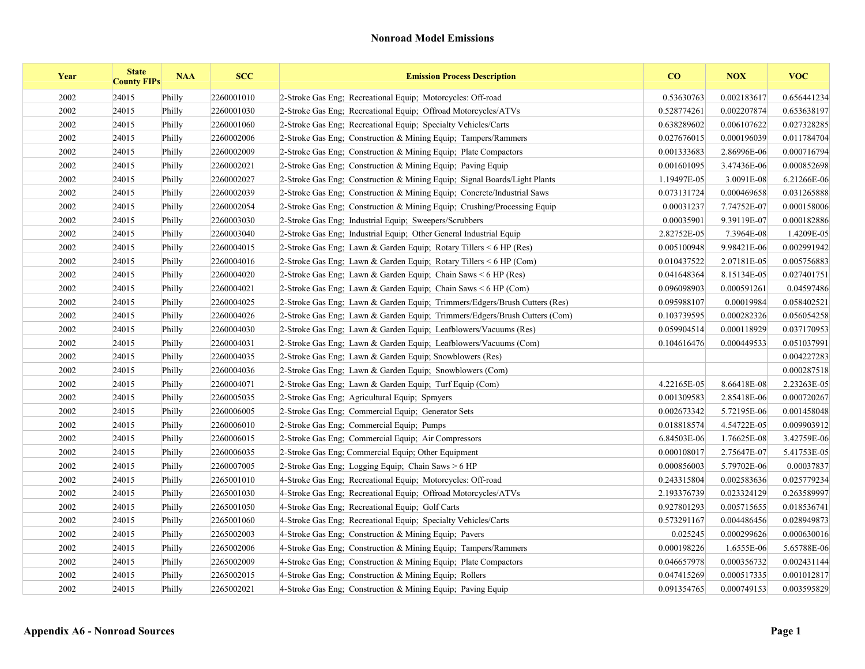| Year | <b>State</b><br><b>County FIPs</b> | <b>NAA</b> | <b>SCC</b> | <b>Emission Process Description</b>                                        | $\bf{CO}$   | <b>NOX</b>  | <b>VOC</b>  |
|------|------------------------------------|------------|------------|----------------------------------------------------------------------------|-------------|-------------|-------------|
| 2002 | 24015                              | Philly     | 2260001010 | 2-Stroke Gas Eng; Recreational Equip; Motorcycles: Off-road                | 0.53630763  | 0.002183617 | 0.656441234 |
| 2002 | 24015                              | Philly     | 2260001030 | 2-Stroke Gas Eng: Recreational Equip: Offroad Motorcycles/ATVs             | 0.528774261 | 0.002207874 | 0.653638197 |
| 2002 | 24015                              | Philly     | 2260001060 | 2-Stroke Gas Eng: Recreational Equip: Specialty Vehicles/Carts             | 0.638289602 | 0.006107622 | 0.027328285 |
| 2002 | 24015                              | Philly     | 2260002006 | 2-Stroke Gas Eng; Construction & Mining Equip; Tampers/Rammers             | 0.027676015 | 0.000196039 | 0.011784704 |
| 2002 | 24015                              | Philly     | 2260002009 | 2-Stroke Gas Eng: Construction & Mining Equip: Plate Compactors            | 0.001333683 | 2.86996E-06 | 0.000716794 |
| 2002 | 24015                              | Philly     | 2260002021 | 2-Stroke Gas Eng; Construction & Mining Equip; Paving Equip                | 0.001601095 | 3.47436E-06 | 0.000852698 |
| 2002 | 24015                              | Philly     | 2260002027 | 2-Stroke Gas Eng; Construction & Mining Equip; Signal Boards/Light Plants  | 1.19497E-05 | 3.0091E-08  | 6.21266E-06 |
| 2002 | 24015                              | Philly     | 2260002039 | 2-Stroke Gas Eng; Construction & Mining Equip; Concrete/Industrial Saws    | 0.073131724 | 0.000469658 | 0.031265888 |
| 2002 | 24015                              | Philly     | 2260002054 | 2-Stroke Gas Eng; Construction & Mining Equip; Crushing/Processing Equip   | 0.00031237  | 7.74752E-07 | 0.000158006 |
| 2002 | 24015                              | Philly     | 2260003030 | 2-Stroke Gas Eng; Industrial Equip; Sweepers/Scrubbers                     | 0.00035901  | 9.39119E-07 | 0.000182886 |
| 2002 | 24015                              | Philly     | 2260003040 | 2-Stroke Gas Eng: Industrial Equip: Other General Industrial Equip         | 2.82752E-05 | 7.3964E-08  | 1.4209E-05  |
| 2002 | 24015                              | Philly     | 2260004015 | 2-Stroke Gas Eng; Lawn & Garden Equip; Rotary Tillers < 6 HP (Res)         | 0.005100948 | 9.98421E-06 | 0.002991942 |
| 2002 | 24015                              | Philly     | 2260004016 | 2-Stroke Gas Eng; Lawn & Garden Equip; Rotary Tillers $\leq 6$ HP (Com)    | 0.010437522 | 2.07181E-05 | 0.005756883 |
| 2002 | 24015                              | Philly     | 2260004020 | 2-Stroke Gas Eng; Lawn & Garden Equip; Chain Saws $\leq 6$ HP (Res)        | 0.041648364 | 8.15134E-05 | 0.027401751 |
| 2002 | 24015                              | Philly     | 2260004021 | 2-Stroke Gas Eng; Lawn & Garden Equip; Chain Saws $\leq 6$ HP (Com)        | 0.096098903 | 0.000591261 | 0.04597486  |
| 2002 | 24015                              | Philly     | 2260004025 | 2-Stroke Gas Eng; Lawn & Garden Equip; Trimmers/Edgers/Brush Cutters (Res) | 0.095988107 | 0.00019984  | 0.058402521 |
| 2002 | 24015                              | Philly     | 2260004026 | 2-Stroke Gas Eng; Lawn & Garden Equip; Trimmers/Edgers/Brush Cutters (Com) | 0.103739595 | 0.000282326 | 0.056054258 |
| 2002 | 24015                              | Philly     | 2260004030 | 2-Stroke Gas Eng: Lawn & Garden Equip: Leafblowers/Vacuums (Res)           | 0.059904514 | 0.000118929 | 0.037170953 |
| 2002 | 24015                              | Philly     | 2260004031 | 2-Stroke Gas Eng; Lawn & Garden Equip; Leafblowers/Vacuums (Com)           | 0.104616476 | 0.000449533 | 0.051037991 |
| 2002 | 24015                              | Philly     | 2260004035 | 2-Stroke Gas Eng; Lawn & Garden Equip; Snowblowers (Res)                   |             |             | 0.004227283 |
| 2002 | 24015                              | Philly     | 2260004036 | 2-Stroke Gas Eng; Lawn & Garden Equip; Snowblowers (Com)                   |             |             | 0.000287518 |
| 2002 | 24015                              | Philly     | 2260004071 | 2-Stroke Gas Eng; Lawn & Garden Equip; Turf Equip (Com)                    | 4.22165E-05 | 8.66418E-08 | 2.23263E-05 |
| 2002 | 24015                              | Philly     | 2260005035 | 2-Stroke Gas Eng; Agricultural Equip; Sprayers                             | 0.001309583 | 2.85418E-06 | 0.000720267 |
| 2002 | 24015                              | Philly     | 2260006005 | 2-Stroke Gas Eng; Commercial Equip; Generator Sets                         | 0.002673342 | 5.72195E-06 | 0.001458048 |
| 2002 | 24015                              | Philly     | 2260006010 | 2-Stroke Gas Eng; Commercial Equip; Pumps                                  | 0.018818574 | 4.54722E-05 | 0.009903912 |
| 2002 | 24015                              | Philly     | 2260006015 | 2-Stroke Gas Eng; Commercial Equip; Air Compressors                        | 6.84503E-06 | 1.76625E-08 | 3.42759E-06 |
| 2002 | 24015                              | Philly     | 2260006035 | 2-Stroke Gas Eng; Commercial Equip; Other Equipment                        | 0.000108017 | 2.75647E-07 | 5.41753E-05 |
| 2002 | 24015                              | Philly     | 2260007005 | 2-Stroke Gas Eng; Logging Equip; Chain Saws > 6 HP                         | 0.000856003 | 5.79702E-06 | 0.00037837  |
| 2002 | 24015                              | Philly     | 2265001010 | 4-Stroke Gas Eng; Recreational Equip; Motorcycles: Off-road                | 0.243315804 | 0.002583636 | 0.025779234 |
| 2002 | 24015                              | Philly     | 2265001030 | 4-Stroke Gas Eng; Recreational Equip; Offroad Motorcycles/ATVs             | 2.193376739 | 0.023324129 | 0.263589997 |
| 2002 | 24015                              | Philly     | 2265001050 | 4-Stroke Gas Eng; Recreational Equip; Golf Carts                           | 0.927801293 | 0.005715655 | 0.018536741 |
| 2002 | 24015                              | Philly     | 2265001060 | 4-Stroke Gas Eng; Recreational Equip; Specialty Vehicles/Carts             | 0.573291167 | 0.004486456 | 0.028949873 |
| 2002 | 24015                              | Philly     | 2265002003 | 4-Stroke Gas Eng; Construction & Mining Equip; Pavers                      | 0.025245    | 0.000299626 | 0.000630016 |
| 2002 | 24015                              | Philly     | 2265002006 | 4-Stroke Gas Eng; Construction & Mining Equip; Tampers/Rammers             | 0.000198226 | 1.6555E-06  | 5.65788E-06 |
| 2002 | 24015                              | Philly     | 2265002009 | 4-Stroke Gas Eng; Construction & Mining Equip; Plate Compactors            | 0.046657978 | 0.000356732 | 0.002431144 |
| 2002 | 24015                              | Philly     | 2265002015 | 4-Stroke Gas Eng: Construction & Mining Equip: Rollers                     | 0.047415269 | 0.000517335 | 0.001012817 |
| 2002 | 24015                              | Philly     | 2265002021 | 4-Stroke Gas Eng; Construction & Mining Equip; Paving Equip                | 0.091354765 | 0.000749153 | 0.003595829 |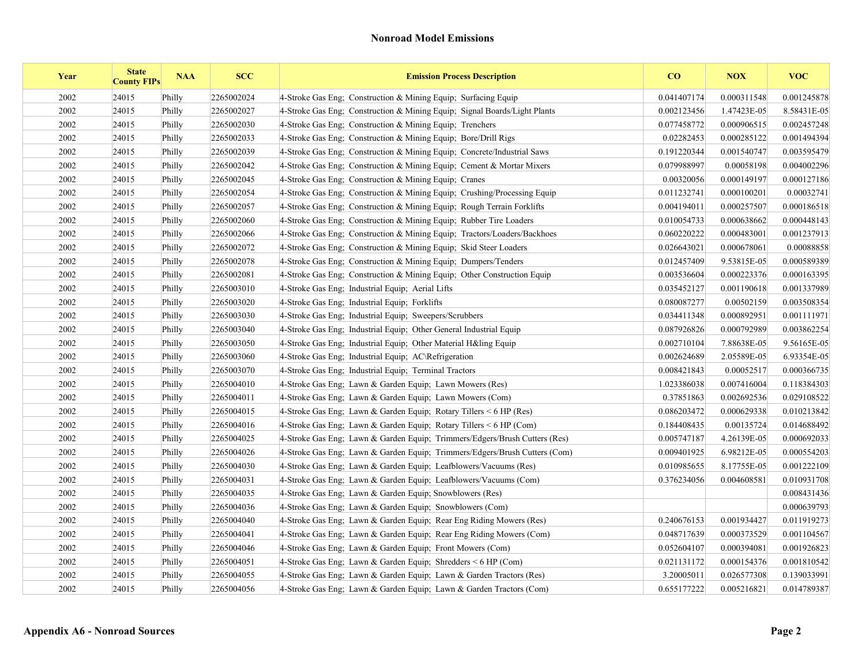| Year | <b>State</b><br><b>County FIPs</b> | <b>NAA</b> | <b>SCC</b> | <b>Emission Process Description</b>                                        | CO          | <b>NOX</b>  | <b>VOC</b>  |
|------|------------------------------------|------------|------------|----------------------------------------------------------------------------|-------------|-------------|-------------|
| 2002 | 24015                              | Philly     | 2265002024 | 4-Stroke Gas Eng: Construction & Mining Equip: Surfacing Equip             | 0.041407174 | 0.000311548 | 0.001245878 |
| 2002 | 24015                              | Philly     | 2265002027 | 4-Stroke Gas Eng; Construction & Mining Equip; Signal Boards/Light Plants  | 0.002123456 | 1.47423E-05 | 8.58431E-05 |
| 2002 | 24015                              | Philly     | 2265002030 | 4-Stroke Gas Eng: Construction & Mining Equip: Trenchers                   | 0.077458772 | 0.000906515 | 0.002457248 |
| 2002 | 24015                              | Philly     | 2265002033 | 4-Stroke Gas Eng; Construction & Mining Equip; Bore/Drill Rigs             | 0.02282453  | 0.000285122 | 0.001494394 |
| 2002 | 24015                              | Philly     | 2265002039 | 4-Stroke Gas Eng; Construction & Mining Equip; Concrete/Industrial Saws    | 0.191220344 | 0.001540747 | 0.003595479 |
| 2002 | 24015                              | Philly     | 2265002042 | 4-Stroke Gas Eng: Construction & Mining Equip: Cement & Mortar Mixers      | 0.079988997 | 0.00058198  | 0.004002296 |
| 2002 | 24015                              | Philly     | 2265002045 | 4-Stroke Gas Eng; Construction & Mining Equip; Cranes                      | 0.00320056  | 0.000149197 | 0.000127186 |
| 2002 | 24015                              | Philly     | 2265002054 | 4-Stroke Gas Eng; Construction & Mining Equip; Crushing/Processing Equip   | 0.011232741 | 0.000100201 | 0.00032741  |
| 2002 | 24015                              | Philly     | 2265002057 | 4-Stroke Gas Eng; Construction & Mining Equip; Rough Terrain Forklifts     | 0.004194011 | 0.000257507 | 0.000186518 |
| 2002 | 24015                              | Philly     | 2265002060 | 4-Stroke Gas Eng; Construction & Mining Equip; Rubber Tire Loaders         | 0.010054733 | 0.000638662 | 0.000448143 |
| 2002 | 24015                              | Philly     | 2265002066 | 4-Stroke Gas Eng. Construction & Mining Equip: Tractors/Loaders/Backhoes   | 0.060220222 | 0.000483001 | 0.001237913 |
| 2002 | 24015                              | Philly     | 2265002072 | 4-Stroke Gas Eng: Construction & Mining Equip: Skid Steer Loaders          | 0.026643021 | 0.000678061 | 0.00088858  |
| 2002 | 24015                              | Philly     | 2265002078 | 4-Stroke Gas Eng; Construction & Mining Equip; Dumpers/Tenders             | 0.012457409 | 9.53815E-05 | 0.000589389 |
| 2002 | 24015                              | Philly     | 2265002081 | 4-Stroke Gas Eng; Construction & Mining Equip; Other Construction Equip    | 0.003536604 | 0.000223376 | 0.000163395 |
| 2002 | 24015                              | Philly     | 2265003010 | 4-Stroke Gas Eng; Industrial Equip; Aerial Lifts                           | 0.035452127 | 0.001190618 | 0.001337989 |
| 2002 | 24015                              | Philly     | 2265003020 | 4-Stroke Gas Eng; Industrial Equip; Forklifts                              | 0.080087277 | 0.00502159  | 0.003508354 |
| 2002 | 24015                              | Philly     | 2265003030 | 4-Stroke Gas Eng: Industrial Equip: Sweepers/Scrubbers                     | 0.034411348 | 0.000892951 | 0.001111971 |
| 2002 | 24015                              | Philly     | 2265003040 | 4-Stroke Gas Eng; Industrial Equip; Other General Industrial Equip         | 0.087926826 | 0.000792989 | 0.003862254 |
| 2002 | 24015                              | Philly     | 2265003050 | 4-Stroke Gas Eng; Industrial Equip; Other Material H&ling Equip            | 0.002710104 | 7.88638E-05 | 9.56165E-05 |
| 2002 | 24015                              | Philly     | 2265003060 | 4-Stroke Gas Eng; Industrial Equip; AC\Refrigeration                       | 0.002624689 | 2.05589E-05 | 6.93354E-05 |
| 2002 | 24015                              | Philly     | 2265003070 | 4-Stroke Gas Eng; Industrial Equip; Terminal Tractors                      | 0.008421843 | 0.00052517  | 0.000366735 |
| 2002 | 24015                              | Philly     | 2265004010 | 4-Stroke Gas Eng; Lawn & Garden Equip; Lawn Mowers (Res)                   | 1.023386038 | 0.007416004 | 0.118384303 |
| 2002 | 24015                              | Philly     | 2265004011 | 4-Stroke Gas Eng; Lawn & Garden Equip; Lawn Mowers (Com)                   | 0.37851863  | 0.002692536 | 0.029108522 |
| 2002 | 24015                              | Philly     | 2265004015 | 4-Stroke Gas Eng; Lawn & Garden Equip; Rotary Tillers $\leq 6$ HP (Res)    | 0.086203472 | 0.000629338 | 0.010213842 |
| 2002 | 24015                              | Philly     | 2265004016 | 4-Stroke Gas Eng; Lawn & Garden Equip; Rotary Tillers $\leq 6$ HP (Com)    | 0.184408435 | 0.00135724  | 0.014688492 |
| 2002 | 24015                              | Philly     | 2265004025 | 4-Stroke Gas Eng; Lawn & Garden Equip; Trimmers/Edgers/Brush Cutters (Res) | 0.005747187 | 4.26139E-05 | 0.000692033 |
| 2002 | 24015                              | Philly     | 2265004026 | 4-Stroke Gas Eng; Lawn & Garden Equip; Trimmers/Edgers/Brush Cutters (Com) | 0.009401925 | 6.98212E-05 | 0.000554203 |
| 2002 | 24015                              | Philly     | 2265004030 | 4-Stroke Gas Eng; Lawn & Garden Equip; Leafblowers/Vacuums (Res)           | 0.010985655 | 8.17755E-05 | 0.001222109 |
| 2002 | 24015                              | Philly     | 2265004031 | 4-Stroke Gas Eng; Lawn & Garden Equip; Leafblowers/Vacuums (Com)           | 0.376234056 | 0.004608581 | 0.010931708 |
| 2002 | 24015                              | Philly     | 2265004035 | 4-Stroke Gas Eng: Lawn & Garden Equip: Snowblowers (Res)                   |             |             | 0.008431436 |
| 2002 | 24015                              | Philly     | 2265004036 | 4-Stroke Gas Eng; Lawn & Garden Equip; Snowblowers (Com)                   |             |             | 0.000639793 |
| 2002 | 24015                              | Philly     | 2265004040 | 4-Stroke Gas Eng; Lawn & Garden Equip; Rear Eng Riding Mowers (Res)        | 0.240676153 | 0.001934427 | 0.011919273 |
| 2002 | 24015                              | Philly     | 2265004041 | 4-Stroke Gas Eng; Lawn & Garden Equip; Rear Eng Riding Mowers (Com)        | 0.048717639 | 0.000373529 | 0.001104567 |
| 2002 | 24015                              | Philly     | 2265004046 | 4-Stroke Gas Eng; Lawn & Garden Equip; Front Mowers (Com)                  | 0.052604107 | 0.000394081 | 0.001926823 |
| 2002 | 24015                              | Philly     | 2265004051 | 4-Stroke Gas Eng; Lawn & Garden Equip; Shredders $\leq 6$ HP (Com)         | 0.021131172 | 0.000154376 | 0.001810542 |
| 2002 | 24015                              | Philly     | 2265004055 | 4-Stroke Gas Eng; Lawn & Garden Equip; Lawn & Garden Tractors (Res)        | 3.20005011  | 0.026577308 | 0.139033991 |
| 2002 | 24015                              | Philly     | 2265004056 | 4-Stroke Gas Eng; Lawn & Garden Equip; Lawn & Garden Tractors (Com)        | 0.655177222 | 0.005216821 | 0.014789387 |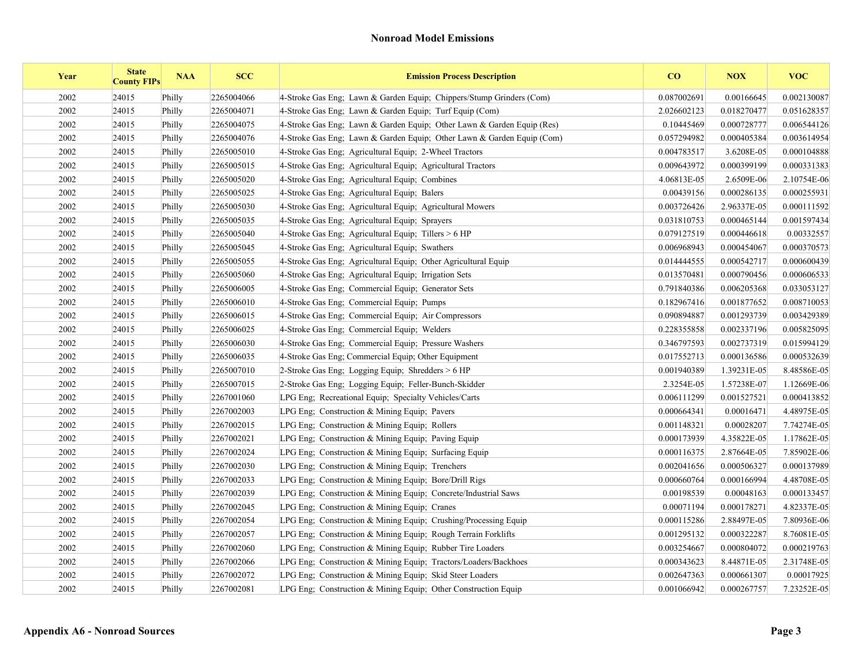| Year | <b>State</b><br><b>County FIPs</b> | <b>NAA</b> | <b>SCC</b> | <b>Emission Process Description</b>                                    | CO          | <b>NOX</b>  | <b>VOC</b>  |
|------|------------------------------------|------------|------------|------------------------------------------------------------------------|-------------|-------------|-------------|
| 2002 | 24015                              | Philly     | 2265004066 | 4-Stroke Gas Eng; Lawn & Garden Equip; Chippers/Stump Grinders (Com)   | 0.087002691 | 0.00166645  | 0.002130087 |
| 2002 | 24015                              | Philly     | 2265004071 | 4-Stroke Gas Eng; Lawn & Garden Equip; Turf Equip (Com)                | 2.026602123 | 0.018270477 | 0.051628357 |
| 2002 | 24015                              | Philly     | 2265004075 | 4-Stroke Gas Eng; Lawn & Garden Equip; Other Lawn & Garden Equip (Res) | 0.10445469  | 0.000728777 | 0.006544126 |
| 2002 | 24015                              | Philly     | 2265004076 | 4-Stroke Gas Eng; Lawn & Garden Equip; Other Lawn & Garden Equip (Com) | 0.057294982 | 0.000405384 | 0.003614954 |
| 2002 | 24015                              | Philly     | 2265005010 | 4-Stroke Gas Eng: Agricultural Equip: 2-Wheel Tractors                 | 0.004783517 | 3.6208E-05  | 0.000104888 |
| 2002 | 24015                              | Philly     | 2265005015 | 4-Stroke Gas Eng; Agricultural Equip; Agricultural Tractors            | 0.009643972 | 0.000399199 | 0.000331383 |
| 2002 | 24015                              | Philly     | 2265005020 | 4-Stroke Gas Eng; Agricultural Equip; Combines                         | 4.06813E-05 | 2.6509E-06  | 2.10754E-06 |
| 2002 | 24015                              | Philly     | 2265005025 | 4-Stroke Gas Eng; Agricultural Equip; Balers                           | 0.00439156  | 0.000286135 | 0.000255931 |
| 2002 | 24015                              | Philly     | 2265005030 | 4-Stroke Gas Eng; Agricultural Equip; Agricultural Mowers              | 0.003726426 | 2.96337E-05 | 0.000111592 |
| 2002 | 24015                              | Philly     | 2265005035 | 4-Stroke Gas Eng; Agricultural Equip; Sprayers                         | 0.031810753 | 0.000465144 | 0.001597434 |
| 2002 | 24015                              | Philly     | 2265005040 | 4-Stroke Gas Eng; Agricultural Equip; Tillers $> 6$ HP                 | 0.079127519 | 0.000446618 | 0.00332557  |
| 2002 | 24015                              | Philly     | 2265005045 | 4-Stroke Gas Eng; Agricultural Equip; Swathers                         | 0.006968943 | 0.000454067 | 0.000370573 |
| 2002 | 24015                              | Philly     | 2265005055 | 4-Stroke Gas Eng; Agricultural Equip; Other Agricultural Equip         | 0.014444555 | 0.000542717 | 0.000600439 |
| 2002 | 24015                              | Philly     | 2265005060 | 4-Stroke Gas Eng; Agricultural Equip; Irrigation Sets                  | 0.013570481 | 0.000790456 | 0.000606533 |
| 2002 | 24015                              | Philly     | 2265006005 | 4-Stroke Gas Eng: Commercial Equip: Generator Sets                     | 0.791840386 | 0.006205368 | 0.033053127 |
| 2002 | 24015                              | Philly     | 2265006010 | 4-Stroke Gas Eng; Commercial Equip; Pumps                              | 0.182967416 | 0.001877652 | 0.008710053 |
| 2002 | 24015                              | Philly     | 2265006015 | 4-Stroke Gas Eng; Commercial Equip; Air Compressors                    | 0.090894887 | 0.001293739 | 0.003429389 |
| 2002 | 24015                              | Philly     | 2265006025 | 4-Stroke Gas Eng: Commercial Equip: Welders                            | 0.228355858 | 0.002337196 | 0.005825095 |
| 2002 | 24015                              | Philly     | 2265006030 | 4-Stroke Gas Eng; Commercial Equip; Pressure Washers                   | 0.346797593 | 0.002737319 | 0.015994129 |
| 2002 | 24015                              | Philly     | 2265006035 | 4-Stroke Gas Eng; Commercial Equip; Other Equipment                    | 0.017552713 | 0.000136586 | 0.000532639 |
| 2002 | 24015                              | Philly     | 2265007010 | 2-Stroke Gas Eng; Logging Equip; Shredders > 6 HP                      | 0.001940389 | 1.39231E-05 | 8.48586E-05 |
| 2002 | 24015                              | Philly     | 2265007015 | 2-Stroke Gas Eng; Logging Equip; Feller-Bunch-Skidder                  | 2.3254E-05  | 1.57238E-07 | 1.12669E-06 |
| 2002 | 24015                              | Philly     | 2267001060 | LPG Eng: Recreational Equip: Specialty Vehicles/Carts                  | 0.006111299 | 0.001527521 | 0.000413852 |
| 2002 | 24015                              | Philly     | 2267002003 | LPG Eng; Construction $&$ Mining Equip; Pavers                         | 0.000664341 | 0.00016471  | 4.48975E-05 |
| 2002 | 24015                              | Philly     | 2267002015 | LPG Eng; Construction & Mining Equip; Rollers                          | 0.001148321 | 0.00028207  | 7.74274E-05 |
| 2002 | 24015                              | Philly     | 2267002021 | LPG Eng: Construction & Mining Equip; Paving Equip                     | 0.000173939 | 4.35822E-05 | 1.17862E-05 |
| 2002 | 24015                              | Philly     | 2267002024 | LPG Eng; Construction & Mining Equip; Surfacing Equip                  | 0.000116375 | 2.87664E-05 | 7.85902E-06 |
| 2002 | 24015                              | Philly     | 2267002030 | LPG Eng; Construction $&$ Mining Equip; Trenchers                      | 0.002041656 | 0.000506327 | 0.000137989 |
| 2002 | 24015                              | Philly     | 2267002033 | LPG Eng: Construction & Mining Equip: Bore/Drill Rigs                  | 0.000660764 | 0.000166994 | 4.48708E-05 |
| 2002 | 24015                              | Philly     | 2267002039 | LPG Eng; Construction & Mining Equip; Concrete/Industrial Saws         | 0.00198539  | 0.00048163  | 0.000133457 |
| 2002 | 24015                              | Philly     | 2267002045 | LPG Eng: Construction & Mining Equip: Cranes                           | 0.00071194  | 0.000178271 | 4.82337E-05 |
| 2002 | 24015                              | Philly     | 2267002054 | LPG Eng; Construction & Mining Equip; Crushing/Processing Equip        | 0.000115286 | 2.88497E-05 | 7.80936E-06 |
| 2002 | 24015                              | Philly     | 2267002057 | LPG Eng: Construction & Mining Equip: Rough Terrain Forklifts          | 0.001295132 | 0.000322287 | 8.76081E-05 |
| 2002 | 24015                              | Philly     | 2267002060 | LPG Eng; Construction & Mining Equip; Rubber Tire Loaders              | 0.003254667 | 0.000804072 | 0.000219763 |
| 2002 | 24015                              | Philly     | 2267002066 | LPG Eng; Construction & Mining Equip; Tractors/Loaders/Backhoes        | 0.000343623 | 8.44871E-05 | 2.31748E-05 |
| 2002 | 24015                              | Philly     | 2267002072 | LPG Eng: Construction & Mining Equip: Skid Steer Loaders               | 0.002647363 | 0.000661307 | 0.00017925  |
| 2002 | 24015                              | Philly     | 2267002081 | LPG Eng; Construction & Mining Equip; Other Construction Equip         | 0.001066942 | 0.000267757 | 7.23252E-05 |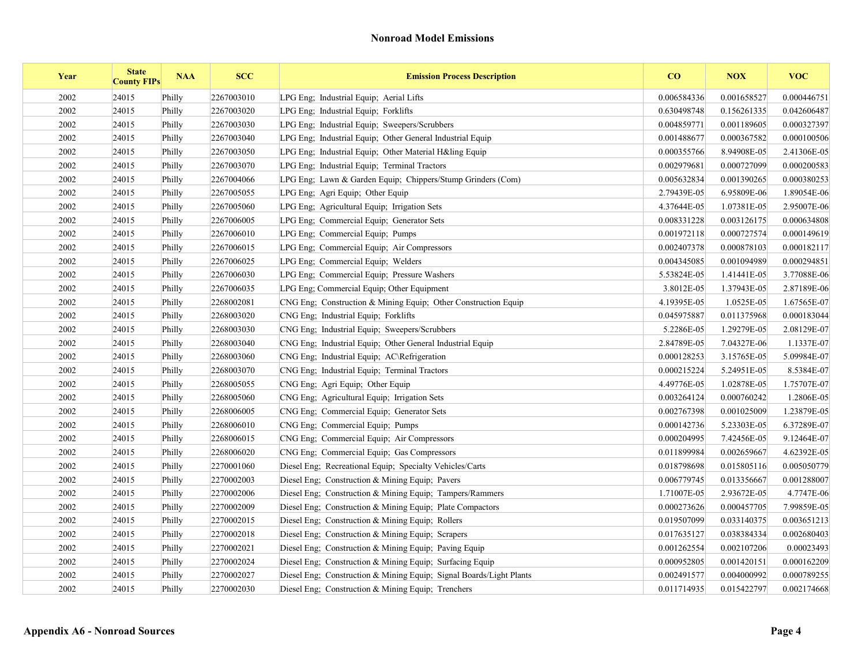| Year | <b>State</b><br><b>County FIPs</b> | <b>NAA</b> | <b>SCC</b> | <b>Emission Process Description</b>                                 | CO          | <b>NOX</b>  | <b>VOC</b>  |
|------|------------------------------------|------------|------------|---------------------------------------------------------------------|-------------|-------------|-------------|
| 2002 | 24015                              | Philly     | 2267003010 | LPG Eng; Industrial Equip; Aerial Lifts                             | 0.006584336 | 0.001658527 | 0.000446751 |
| 2002 | 24015                              | Philly     | 2267003020 | LPG Eng; Industrial Equip; Forklifts                                | 0.630498748 | 0.156261335 | 0.042606487 |
| 2002 | 24015                              | Philly     | 2267003030 | LPG Eng: Industrial Equip: Sweepers/Scrubbers                       | 0.004859771 | 0.001189605 | 0.000327397 |
| 2002 | 24015                              | Philly     | 2267003040 | LPG Eng; Industrial Equip; Other General Industrial Equip           | 0.001488677 | 0.000367582 | 0.000100506 |
| 2002 | 24015                              | Philly     | 2267003050 | LPG Eng; Industrial Equip; Other Material H&ling Equip              | 0.000355766 | 8.94908E-05 | 2.41306E-05 |
| 2002 | 24015                              | Philly     | 2267003070 | LPG Eng: Industrial Equip: Terminal Tractors                        | 0.002979681 | 0.000727099 | 0.000200583 |
| 2002 | 24015                              | Philly     | 2267004066 | LPG Eng; Lawn & Garden Equip; Chippers/Stump Grinders (Com)         | 0.005632834 | 0.001390265 | 0.000380253 |
| 2002 | 24015                              | Philly     | 2267005055 | LPG Eng; Agri Equip; Other Equip                                    | 2.79439E-05 | 6.95809E-06 | 1.89054E-06 |
| 2002 | 24015                              | Philly     | 2267005060 | LPG Eng; Agricultural Equip; Irrigation Sets                        | 4.37644E-05 | 1.07381E-05 | 2.95007E-06 |
| 2002 | 24015                              | Philly     | 2267006005 | LPG Eng; Commercial Equip; Generator Sets                           | 0.008331228 | 0.003126175 | 0.000634808 |
| 2002 | 24015                              | Philly     | 2267006010 | LPG Eng: Commercial Equip: Pumps                                    | 0.001972118 | 0.000727574 | 0.000149619 |
| 2002 | 24015                              | Philly     | 2267006015 | LPG Eng; Commercial Equip; Air Compressors                          | 0.002407378 | 0.000878103 | 0.000182117 |
| 2002 | 24015                              | Philly     | 2267006025 | LPG Eng; Commercial Equip; Welders                                  | 0.004345085 | 0.001094989 | 0.000294851 |
| 2002 | 24015                              | Philly     | 2267006030 | LPG Eng; Commercial Equip; Pressure Washers                         | 5.53824E-05 | 1.41441E-05 | 3.77088E-06 |
| 2002 | 24015                              | Philly     | 2267006035 | LPG Eng; Commercial Equip; Other Equipment                          | 3.8012E-05  | 1.37943E-05 | 2.87189E-06 |
| 2002 | 24015                              | Philly     | 2268002081 | CNG Eng; Construction & Mining Equip; Other Construction Equip      | 4.19395E-05 | 1.0525E-05  | 1.67565E-07 |
| 2002 | 24015                              | Philly     | 2268003020 | CNG Eng: Industrial Equip: Forklifts                                | 0.045975887 | 0.011375968 | 0.000183044 |
| 2002 | 24015                              | Philly     | 2268003030 | CNG Eng; Industrial Equip; Sweepers/Scrubbers                       | 5.2286E-05  | 1.29279E-05 | 2.08129E-07 |
| 2002 | 24015                              | Philly     | 2268003040 | CNG Eng. Industrial Equip: Other General Industrial Equip           | 2.84789E-05 | 7.04327E-06 | 1.1337E-07  |
| 2002 | 24015                              | Philly     | 2268003060 | CNG Eng; Industrial Equip; AC\Refrigeration                         | 0.000128253 | 3.15765E-05 | 5.09984E-07 |
| 2002 | 24015                              | Philly     | 2268003070 | CNG Eng; Industrial Equip; Terminal Tractors                        | 0.000215224 | 5.24951E-05 | 8.5384E-07  |
| 2002 | 24015                              | Philly     | 2268005055 | CNG Eng; Agri Equip; Other Equip                                    | 4.49776E-05 | 1.02878E-05 | 1.75707E-07 |
| 2002 | 24015                              | Philly     | 2268005060 | CNG Eng: Agricultural Equip: Irrigation Sets                        | 0.003264124 | 0.000760242 | 1.2806E-05  |
| 2002 | 24015                              | Philly     | 2268006005 | CNG Eng; Commercial Equip; Generator Sets                           | 0.002767398 | 0.001025009 | 1.23879E-05 |
| 2002 | 24015                              | Philly     | 2268006010 | CNG Eng; Commercial Equip; Pumps                                    | 0.000142736 | 5.23303E-05 | 6.37289E-07 |
| 2002 | 24015                              | Philly     | 2268006015 | CNG Eng; Commercial Equip; Air Compressors                          | 0.000204995 | 7.42456E-05 | 9.12464E-07 |
| 2002 | 24015                              | Philly     | 2268006020 | CNG Eng; Commercial Equip; Gas Compressors                          | 0.011899984 | 0.002659667 | 4.62392E-05 |
| 2002 | 24015                              | Philly     | 2270001060 | Diesel Eng; Recreational Equip; Specialty Vehicles/Carts            | 0.018798698 | 0.015805116 | 0.005050779 |
| 2002 | 24015                              | Philly     | 2270002003 | Diesel Eng; Construction & Mining Equip; Pavers                     | 0.006779745 | 0.013356667 | 0.001288007 |
| 2002 | 24015                              | Philly     | 2270002006 | Diesel Eng: Construction & Mining Equip: Tampers/Rammers            | 1.71007E-05 | 2.93672E-05 | 4.7747E-06  |
| 2002 | 24015                              | Philly     | 2270002009 | Diesel Eng; Construction & Mining Equip; Plate Compactors           | 0.000273626 | 0.000457705 | 7.99859E-05 |
| 2002 | 24015                              | Philly     | 2270002015 | Diesel Eng; Construction & Mining Equip; Rollers                    | 0.019507099 | 0.033140375 | 0.003651213 |
| 2002 | 24015                              | Philly     | 2270002018 | Diesel Eng: Construction & Mining Equip; Scrapers                   | 0.017635127 | 0.038384334 | 0.002680403 |
| 2002 | 24015                              | Philly     | 2270002021 | Diesel Eng; Construction & Mining Equip; Paving Equip               | 0.001262554 | 0.002107206 | 0.00023493  |
| 2002 | 24015                              | Philly     | 2270002024 | Diesel Eng; Construction & Mining Equip; Surfacing Equip            | 0.000952805 | 0.001420151 | 0.000162209 |
| 2002 | 24015                              | Philly     | 2270002027 | Diesel Eng; Construction & Mining Equip; Signal Boards/Light Plants | 0.002491577 | 0.004000992 | 0.000789255 |
| 2002 | 24015                              | Philly     | 2270002030 | Diesel Eng; Construction & Mining Equip; Trenchers                  | 0.011714935 | 0.015422797 | 0.002174668 |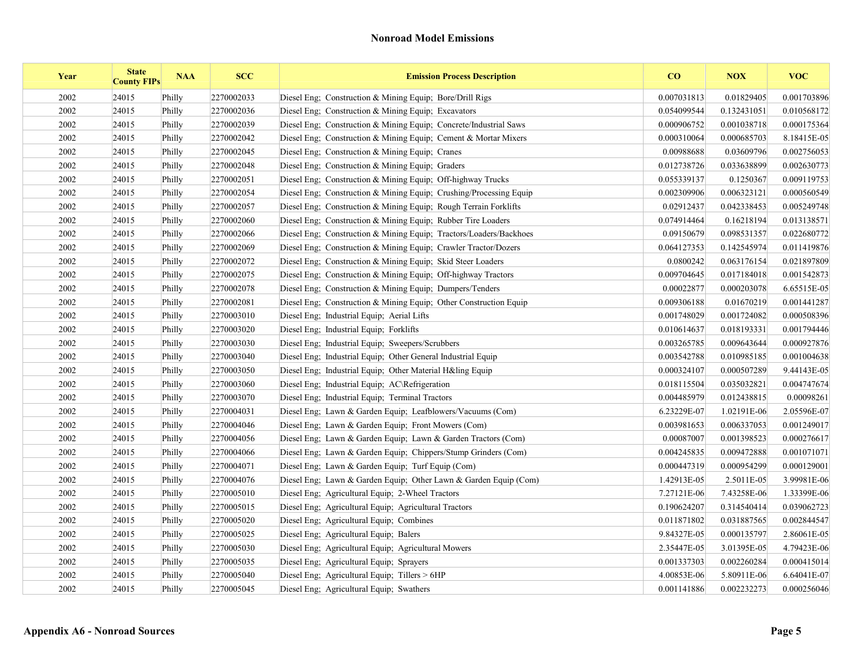| Year | <b>State</b><br><b>County FIPs</b> | <b>NAA</b> | <b>SCC</b> | <b>Emission Process Description</b>                                | CO          | <b>NOX</b>  | <b>VOC</b>  |
|------|------------------------------------|------------|------------|--------------------------------------------------------------------|-------------|-------------|-------------|
| 2002 | 24015                              | Philly     | 2270002033 | Diesel Eng: Construction $\&$ Mining Equip: Bore/Drill Rigs        | 0.007031813 | 0.01829405  | 0.001703896 |
| 2002 | 24015                              | Philly     | 2270002036 | Diesel Eng; Construction & Mining Equip; Excavators                | 0.054099544 | 0.132431051 | 0.010568172 |
| 2002 | 24015                              | Philly     | 2270002039 | Diesel Eng; Construction & Mining Equip; Concrete/Industrial Saws  | 0.000906752 | 0.001038718 | 0.000175364 |
| 2002 | 24015                              | Philly     | 2270002042 | Diesel Eng; Construction & Mining Equip; Cement & Mortar Mixers    | 0.000310064 | 0.000685703 | 8.18415E-05 |
| 2002 | 24015                              | Philly     | 2270002045 | Diesel Eng; Construction & Mining Equip; Cranes                    | 0.00988688  | 0.03609796  | 0.002756053 |
| 2002 | 24015                              | Philly     | 2270002048 | Diesel Eng; Construction & Mining Equip; Graders                   | 0.012738726 | 0.033638899 | 0.002630773 |
| 2002 | 24015                              | Philly     | 2270002051 | Diesel Eng; Construction & Mining Equip; Off-highway Trucks        | 0.055339137 | 0.1250367   | 0.009119753 |
| 2002 | 24015                              | Philly     | 2270002054 | Diesel Eng; Construction & Mining Equip; Crushing/Processing Equip | 0.002309906 | 0.006323121 | 0.000560549 |
| 2002 | 24015                              | Philly     | 2270002057 | Diesel Eng; Construction & Mining Equip; Rough Terrain Forklifts   | 0.02912437  | 0.042338453 | 0.005249748 |
| 2002 | 24015                              | Philly     | 2270002060 | Diesel Eng; Construction & Mining Equip; Rubber Tire Loaders       | 0.074914464 | 0.16218194  | 0.013138571 |
| 2002 | 24015                              | Philly     | 2270002066 | Diesel Eng; Construction & Mining Equip; Tractors/Loaders/Backhoes | 0.09150679  | 0.098531357 | 0.022680772 |
| 2002 | 24015                              | Philly     | 2270002069 | Diesel Eng: Construction & Mining Equip: Crawler Tractor/Dozers    | 0.064127353 | 0.142545974 | 0.011419876 |
| 2002 | 24015                              | Philly     | 2270002072 | Diesel Eng; Construction & Mining Equip; Skid Steer Loaders        | 0.0800242   | 0.063176154 | 0.021897809 |
| 2002 | 24015                              | Philly     | 2270002075 | Diesel Eng; Construction & Mining Equip; Off-highway Tractors      | 0.009704645 | 0.017184018 | 0.001542873 |
| 2002 | 24015                              | Philly     | 2270002078 | Diesel Eng; Construction & Mining Equip; Dumpers/Tenders           | 0.00022877  | 0.000203078 | 6.65515E-05 |
| 2002 | 24015                              | Philly     | 2270002081 | Diesel Eng; Construction & Mining Equip; Other Construction Equip  | 0.009306188 | 0.01670219  | 0.001441287 |
| 2002 | 24015                              | Philly     | 2270003010 | Diesel Eng; Industrial Equip; Aerial Lifts                         | 0.001748029 | 0.001724082 | 0.000508396 |
| 2002 | 24015                              | Philly     | 2270003020 | Diesel Eng; Industrial Equip; Forklifts                            | 0.010614637 | 0.018193331 | 0.001794446 |
| 2002 | 24015                              | Philly     | 2270003030 | Diesel Eng: Industrial Equip: Sweepers/Scrubbers                   | 0.003265785 | 0.009643644 | 0.000927876 |
| 2002 | 24015                              | Philly     | 2270003040 | Diesel Eng; Industrial Equip; Other General Industrial Equip       | 0.003542788 | 0.010985185 | 0.001004638 |
| 2002 | 24015                              | Philly     | 2270003050 | Diesel Eng; Industrial Equip; Other Material H&ling Equip          | 0.000324107 | 0.000507289 | 9.44143E-05 |
| 2002 | 24015                              | Philly     | 2270003060 | Diesel Eng; Industrial Equip; AC\Refrigeration                     | 0.018115504 | 0.035032821 | 0.004747674 |
| 2002 | 24015                              | Philly     | 2270003070 | Diesel Eng; Industrial Equip; Terminal Tractors                    | 0.004485979 | 0.012438815 | 0.00098261  |
| 2002 | 24015                              | Philly     | 2270004031 | Diesel Eng; Lawn & Garden Equip; Leafblowers/Vacuums (Com)         | 6.23229E-07 | 1.02191E-06 | 2.05596E-07 |
| 2002 | 24015                              | Philly     | 2270004046 | Diesel Eng: Lawn & Garden Equip: Front Mowers (Com)                | 0.003981653 | 0.006337053 | 0.001249017 |
| 2002 | 24015                              | Philly     | 2270004056 | Diesel Eng; Lawn & Garden Equip; Lawn & Garden Tractors (Com)      | 0.00087007  | 0.001398523 | 0.000276617 |
| 2002 | 24015                              | Philly     | 2270004066 | Diesel Eng; Lawn & Garden Equip; Chippers/Stump Grinders (Com)     | 0.004245835 | 0.009472888 | 0.001071071 |
| 2002 | 24015                              | Philly     | 2270004071 | Diesel Eng; Lawn & Garden Equip; Turf Equip (Com)                  | 0.000447319 | 0.000954299 | 0.000129001 |
| 2002 | 24015                              | Philly     | 2270004076 | Diesel Eng; Lawn & Garden Equip; Other Lawn & Garden Equip (Com)   | 1.42913E-05 | 2.5011E-05  | 3.99981E-06 |
| 2002 | 24015                              | Philly     | 2270005010 | Diesel Eng: Agricultural Equip: 2-Wheel Tractors                   | 7.27121E-06 | 7.43258E-06 | 1.33399E-06 |
| 2002 | 24015                              | Philly     | 2270005015 | Diesel Eng; Agricultural Equip; Agricultural Tractors              | 0.190624207 | 0.314540414 | 0.039062723 |
| 2002 | 24015                              | Philly     | 2270005020 | Diesel Eng; Agricultural Equip; Combines                           | 0.011871802 | 0.031887565 | 0.002844547 |
| 2002 | 24015                              | Philly     | 2270005025 | Diesel Eng; Agricultural Equip; Balers                             | 9.84327E-05 | 0.000135797 | 2.86061E-05 |
| 2002 | 24015                              | Philly     | 2270005030 | Diesel Eng; Agricultural Equip; Agricultural Mowers                | 2.35447E-05 | 3.01395E-05 | 4.79423E-06 |
| 2002 | 24015                              | Philly     | 2270005035 | Diesel Eng; Agricultural Equip; Sprayers                           | 0.001337303 | 0.002260284 | 0.000415014 |
| 2002 | 24015                              | Philly     | 2270005040 | Diesel Eng; Agricultural Equip; Tillers > 6HP                      | 4.00853E-06 | 5.80911E-06 | 6.64041E-07 |
| 2002 | 24015                              | Philly     | 2270005045 | Diesel Eng: Agricultural Equip: Swathers                           | 0.001141886 | 0.002232273 | 0.000256046 |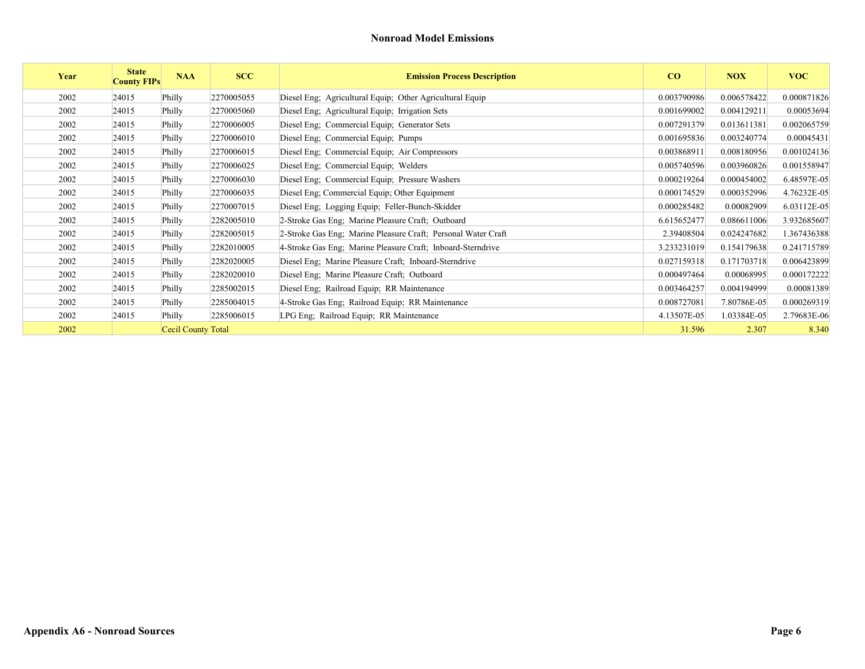| Year | <b>State</b><br><b>County FIPs</b> | <b>NAA</b>         | <b>SCC</b> | <b>Emission Process Description</b>                           | CO          | <b>NOX</b>  | <b>VOC</b>  |
|------|------------------------------------|--------------------|------------|---------------------------------------------------------------|-------------|-------------|-------------|
| 2002 | 24015                              | Philly             | 2270005055 | Diesel Eng; Agricultural Equip; Other Agricultural Equip      | 0.003790986 | 0.006578422 | 0.000871826 |
| 2002 | 24015                              | Philly             | 2270005060 | Diesel Eng; Agricultural Equip; Irrigation Sets               | 0.001699002 | 0.004129211 | 0.00053694  |
| 2002 | 24015                              | Philly             | 2270006005 | Diesel Eng; Commercial Equip; Generator Sets                  | 0.007291379 | 0.013611381 | 0.002065759 |
| 2002 | 24015                              | Philly             | 2270006010 | Diesel Eng; Commercial Equip; Pumps                           | 0.001695836 | 0.003240774 | 0.00045431  |
| 2002 | 24015                              | Philly             | 2270006015 | Diesel Eng; Commercial Equip; Air Compressors                 | 0.003868911 | 0.008180956 | 0.001024136 |
| 2002 | 24015                              | Philly             | 2270006025 | Diesel Eng; Commercial Equip; Welders                         | 0.005740596 | 0.003960826 | 0.001558947 |
| 2002 | 24015                              | Philly             | 2270006030 | Diesel Eng; Commercial Equip; Pressure Washers                | 0.000219264 | 0.000454002 | 6.48597E-05 |
| 2002 | 24015                              | Philly             | 2270006035 | Diesel Eng; Commercial Equip; Other Equipment                 | 0.000174529 | 0.000352996 | 4.76232E-05 |
| 2002 | 24015                              | Philly             | 2270007015 | Diesel Eng; Logging Equip; Feller-Bunch-Skidder               | 0.000285482 | 0.00082909  | 6.03112E-05 |
| 2002 | 24015                              | Philly             | 2282005010 | 2-Stroke Gas Eng; Marine Pleasure Craft; Outboard             | 6.615652477 | 0.086611006 | 3.932685607 |
| 2002 | 24015                              | Philly             | 2282005015 | 2-Stroke Gas Eng; Marine Pleasure Craft; Personal Water Craft | 2.39408504  | 0.024247682 | 1.367436388 |
| 2002 | 24015                              | Philly             | 2282010005 | 4-Stroke Gas Eng; Marine Pleasure Craft; Inboard-Sterndrive   | 3.233231019 | 0.154179638 | 0.241715789 |
| 2002 | 24015                              | Philly             | 2282020005 | Diesel Eng; Marine Pleasure Craft; Inboard-Sterndrive         | 0.027159318 | 0.171703718 | 0.006423899 |
| 2002 | 24015                              | Philly             | 2282020010 | Diesel Eng; Marine Pleasure Craft; Outboard                   | 0.000497464 | 0.00068995  | 0.000172222 |
| 2002 | 24015                              | Philly             | 2285002015 | Diesel Eng; Railroad Equip; RR Maintenance                    | 0.003464257 | 0.004194999 | 0.00081389  |
| 2002 | 24015                              | Philly             | 2285004015 | 4-Stroke Gas Eng; Railroad Equip; RR Maintenance              | 0.008727081 | 7.80786E-05 | 0.000269319 |
| 2002 | 24015                              | Philly             | 2285006015 | LPG Eng; Railroad Equip; RR Maintenance                       | 4.13507E-05 | 1.03384E-05 | 2.79683E-06 |
| 2002 |                                    | Cecil County Total |            |                                                               | 31.596      | 2.307       | 8.340       |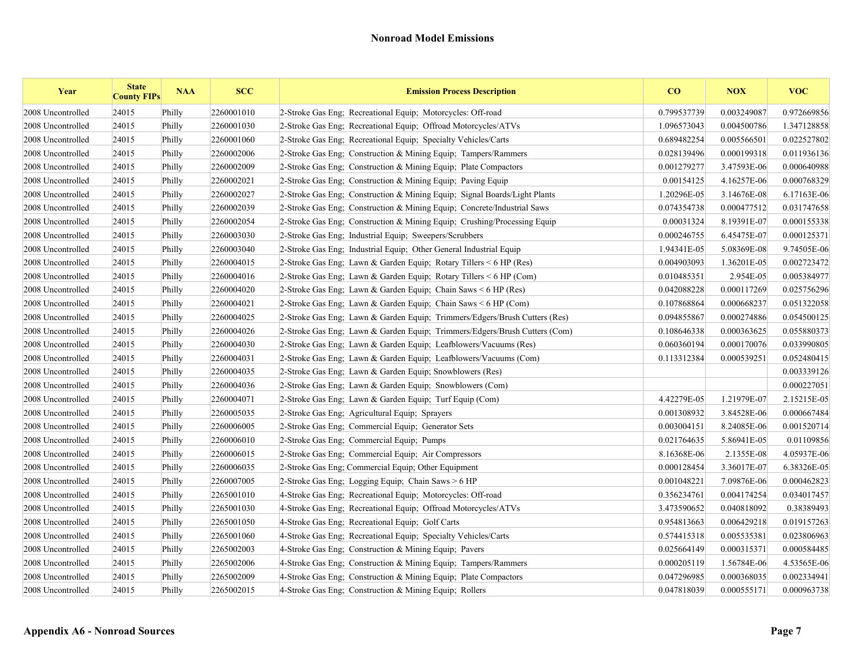| Year              | <b>State</b><br><b>County FIPs</b> | <b>NAA</b> | <b>SCC</b> | <b>Emission Process Description</b>                                        | CO          | <b>NOX</b>  | <b>VOC</b>  |
|-------------------|------------------------------------|------------|------------|----------------------------------------------------------------------------|-------------|-------------|-------------|
| 2008 Uncontrolled | 24015                              | Philly     | 2260001010 | 2-Stroke Gas Eng; Recreational Equip; Motorcycles: Off-road                | 0.799537739 | 0.003249087 | 0.972669856 |
| 2008 Uncontrolled | 24015                              | Philly     | 2260001030 | 2-Stroke Gas Eng; Recreational Equip; Offroad Motorcycles/ATVs             | 1.096573043 | 0.004500786 | 1.347128858 |
| 2008 Uncontrolled | 24015                              | Philly     | 2260001060 | 2-Stroke Gas Eng: Recreational Equip: Specialty Vehicles/Carts             | 0.689482254 | 0.005566501 | 0.022527802 |
| 2008 Uncontrolled | 24015                              | Philly     | 2260002006 | 2-Stroke Gas Eng; Construction & Mining Equip; Tampers/Rammers             | 0.028139496 | 0.000199318 | 0.011936136 |
| 2008 Uncontrolled | 24015                              | Philly     | 2260002009 | 2-Stroke Gas Eng; Construction & Mining Equip; Plate Compactors            | 0.001279277 | 3.47593E-06 | 0.000640988 |
| 2008 Uncontrolled | 24015                              | Philly     | 2260002021 | 2-Stroke Gas Eng: Construction & Mining Equip: Paving Equip                | 0.00154125  | 4.16257E-06 | 0.000768329 |
| 2008 Uncontrolled | 24015                              | Philly     | 2260002027 | 2-Stroke Gas Eng; Construction & Mining Equip; Signal Boards/Light Plants  | 1.20296E-05 | 3.14676E-08 | 6.17163E-06 |
| 2008 Uncontrolled | 24015                              | Philly     | 2260002039 | 2-Stroke Gas Eng; Construction & Mining Equip; Concrete/Industrial Saws    | 0.074354738 | 0.000477512 | 0.031747658 |
| 2008 Uncontrolled | 24015                              | Philly     | 2260002054 | 2-Stroke Gas Eng; Construction & Mining Equip; Crushing/Processing Equip   | 0.00031324  | 8.19391E-07 | 0.000155338 |
| 2008 Uncontrolled | 24015                              | Philly     | 2260003030 | 2-Stroke Gas Eng: Industrial Equip: Sweepers/Scrubbers                     | 0.000246755 | 6.45475E-07 | 0.000125371 |
| 2008 Uncontrolled | 24015                              | Philly     | 2260003040 | 2-Stroke Gas Eng; Industrial Equip; Other General Industrial Equip         | 1.94341E-05 | 5.08369E-08 | 9.74505E-06 |
| 2008 Uncontrolled | 24015                              | Philly     | 2260004015 | 2-Stroke Gas Eng; Lawn & Garden Equip; Rotary Tillers < 6 HP (Res)         | 0.004903093 | 1.36201E-05 | 0.002723472 |
| 2008 Uncontrolled | 24015                              | Philly     | 2260004016 | 2-Stroke Gas Eng; Lawn & Garden Equip; Rotary Tillers < 6 HP (Com)         | 0.010485351 | 2.954E-05   | 0.005384977 |
| 2008 Uncontrolled | 24015                              | Philly     | 2260004020 | 2-Stroke Gas Eng; Lawn & Garden Equip; Chain Saws < 6 HP (Res)             | 0.042088228 | 0.000117269 | 0.025756296 |
| 2008 Uncontrolled | 24015                              | Philly     | 2260004021 | 2-Stroke Gas Eng; Lawn & Garden Equip; Chain Saws < 6 HP (Com)             | 0.107868864 | 0.000668237 | 0.051322058 |
| 2008 Uncontrolled | 24015                              | Philly     | 2260004025 | 2-Stroke Gas Eng; Lawn & Garden Equip; Trimmers/Edgers/Brush Cutters (Res) | 0.094855867 | 0.000274886 | 0.054500125 |
| 2008 Uncontrolled | 24015                              | Philly     | 2260004026 | 2-Stroke Gas Eng; Lawn & Garden Equip; Trimmers/Edgers/Brush Cutters (Com) | 0.108646338 | 0.000363625 | 0.055880373 |
| 2008 Uncontrolled | 24015                              | Philly     | 2260004030 | 2-Stroke Gas Eng: Lawn & Garden Equip: Leafblowers/Vacuums (Res)           | 0.060360194 | 0.000170076 | 0.033990805 |
| 2008 Uncontrolled | 24015                              | Philly     | 2260004031 | 2-Stroke Gas Eng; Lawn & Garden Equip; Leafblowers/Vacuums (Com)           | 0.113312384 | 0.000539251 | 0.052480415 |
| 2008 Uncontrolled | 24015                              | Philly     | 2260004035 | 2-Stroke Gas Eng; Lawn & Garden Equip; Snowblowers (Res)                   |             |             | 0.003339126 |
| 2008 Uncontrolled | 24015                              | Philly     | 2260004036 | 2-Stroke Gas Eng; Lawn & Garden Equip; Snowblowers (Com)                   |             |             | 0.000227051 |
| 2008 Uncontrolled | 24015                              | Philly     | 2260004071 | 2-Stroke Gas Eng: Lawn & Garden Equip: Turf Equip (Com)                    | 4.42279E-05 | 1.21979E-07 | 2.15215E-05 |
| 2008 Uncontrolled | 24015                              | Philly     | 2260005035 | 2-Stroke Gas Eng: Agricultural Equip: Sprayers                             | 0.001308932 | 3.84528E-06 | 0.000667484 |
| 2008 Uncontrolled | 24015                              | Philly     | 2260006005 | 2-Stroke Gas Eng: Commercial Equip: Generator Sets                         | 0.003004151 | 8.24085E-06 | 0.001520714 |
| 2008 Uncontrolled | 24015                              | Philly     | 2260006010 | 2-Stroke Gas Eng; Commercial Equip; Pumps                                  | 0.021764635 | 5.86941E-05 | 0.01109856  |
| 2008 Uncontrolled | 24015                              | Philly     | 2260006015 | 2-Stroke Gas Eng; Commercial Equip; Air Compressors                        | 8.16368E-06 | 2.1355E-08  | 4.05937E-06 |
| 2008 Uncontrolled | 24015                              | Philly     | 2260006035 | 2-Stroke Gas Eng; Commercial Equip; Other Equipment                        | 0.000128454 | 3.36017E-07 | 6.38326E-05 |
| 2008 Uncontrolled | 24015                              | Philly     | 2260007005 | 2-Stroke Gas Eng; Logging Equip; Chain Saws > 6 HP                         | 0.001048221 | 7.09876E-06 | 0.000462823 |
| 2008 Uncontrolled | 24015                              | Philly     | 2265001010 | 4-Stroke Gas Eng; Recreational Equip; Motorcycles: Off-road                | 0.356234761 | 0.004174254 | 0.034017457 |
| 2008 Uncontrolled | 24015                              | Philly     | 2265001030 | 4-Stroke Gas Eng; Recreational Equip; Offroad Motorcycles/ATVs             | 3.473590652 | 0.040818092 | 0.38389493  |
| 2008 Uncontrolled | 24015                              | Philly     | 2265001050 | 4-Stroke Gas Eng; Recreational Equip; Golf Carts                           | 0.954813663 | 0.006429218 | 0.019157263 |
| 2008 Uncontrolled | 24015                              | Philly     | 2265001060 | 4-Stroke Gas Eng; Recreational Equip; Specialty Vehicles/Carts             | 0.574415318 | 0.005535381 | 0.023806963 |
| 2008 Uncontrolled | 24015                              | Philly     | 2265002003 | 4-Stroke Gas Eng; Construction & Mining Equip; Pavers                      | 0.025664149 | 0.000315371 | 0.000584485 |
| 2008 Uncontrolled | 24015                              | Philly     | 2265002006 | 4-Stroke Gas Eng: Construction & Mining Equip: Tampers/Rammers             | 0.000205119 | 1.56784E-06 | 4.53565E-06 |
| 2008 Uncontrolled | 24015                              | Philly     | 2265002009 | 4-Stroke Gas Eng: Construction & Mining Equip: Plate Compactors            | 0.047296985 | 0.000368035 | 0.002334941 |
| 2008 Uncontrolled | 24015                              | Philly     | 2265002015 | 4-Stroke Gas Eng: Construction & Mining Equip: Rollers                     | 0.047818039 | 0.000555171 | 0.000963738 |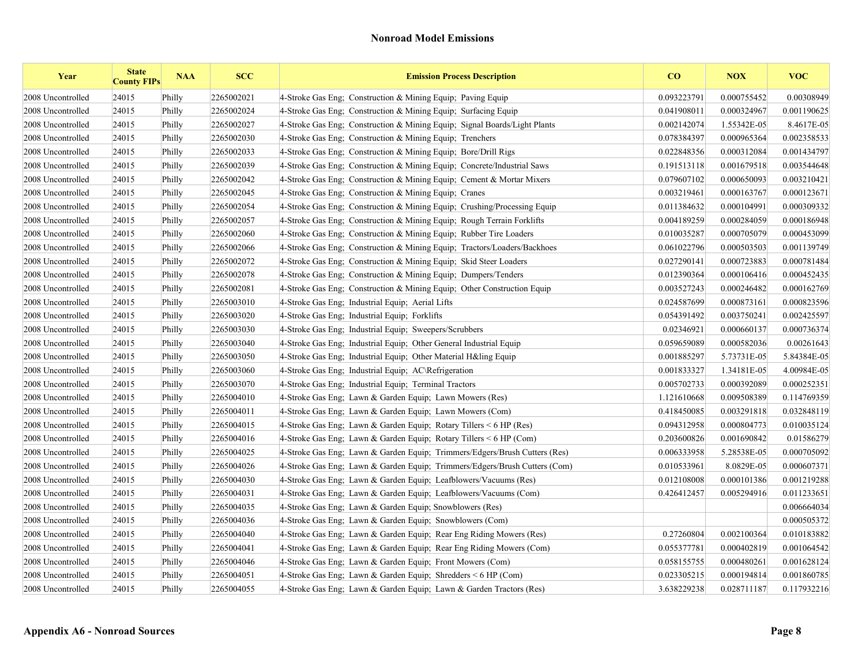| Year              | <b>State</b><br><b>County FIPs</b> | <b>NAA</b> | <b>SCC</b> | <b>Emission Process Description</b>                                        | $\bf{CO}$   | <b>NOX</b>  | <b>VOC</b>  |
|-------------------|------------------------------------|------------|------------|----------------------------------------------------------------------------|-------------|-------------|-------------|
| 2008 Uncontrolled | 24015                              | Philly     | 2265002021 | 4-Stroke Gas Eng; Construction & Mining Equip; Paving Equip                | 0.093223791 | 0.000755452 | 0.00308949  |
| 2008 Uncontrolled | 24015                              | Philly     | 2265002024 | 4-Stroke Gas Eng: Construction & Mining Equip: Surfacing Equip             | 0.041908011 | 0.000324967 | 0.001190625 |
| 2008 Uncontrolled | 24015                              | Philly     | 2265002027 | 4-Stroke Gas Eng: Construction & Mining Equip: Signal Boards/Light Plants  | 0.002142074 | 1.55342E-05 | 8.4617E-05  |
| 2008 Uncontrolled | 24015                              | Philly     | 2265002030 | 4-Stroke Gas Eng; Construction & Mining Equip; Trenchers                   | 0.078384397 | 0.000965364 | 0.002358533 |
| 2008 Uncontrolled | 24015                              | Philly     | 2265002033 | 4-Stroke Gas Eng: Construction & Mining Equip: Bore/Drill Rigs             | 0.022848356 | 0.000312084 | 0.001434797 |
| 2008 Uncontrolled | 24015                              | Philly     | 2265002039 | 4-Stroke Gas Eng: Construction & Mining Equip: Concrete/Industrial Saws    | 0.191513118 | 0.001679518 | 0.003544648 |
| 2008 Uncontrolled | 24015                              | Philly     | 2265002042 | 4-Stroke Gas Eng; Construction & Mining Equip; Cement & Mortar Mixers      | 0.079607102 | 0.000650093 | 0.003210421 |
| 2008 Uncontrolled | 24015                              | Philly     | 2265002045 | 4-Stroke Gas Eng; Construction & Mining Equip; Cranes                      | 0.003219461 | 0.000163767 | 0.000123671 |
| 2008 Uncontrolled | 24015                              | Philly     | 2265002054 | 4-Stroke Gas Eng; Construction & Mining Equip; Crushing/Processing Equip   | 0.011384632 | 0.000104991 | 0.000309332 |
| 2008 Uncontrolled | 24015                              | Philly     | 2265002057 | 4-Stroke Gas Eng; Construction & Mining Equip; Rough Terrain Forklifts     | 0.004189259 | 0.000284059 | 0.000186948 |
| 2008 Uncontrolled | 24015                              | Philly     | 2265002060 | 4-Stroke Gas Eng; Construction & Mining Equip; Rubber Tire Loaders         | 0.010035287 | 0.000705079 | 0.000453099 |
| 2008 Uncontrolled | 24015                              | Philly     | 2265002066 | 4-Stroke Gas Eng; Construction & Mining Equip; Tractors/Loaders/Backhoes   | 0.061022796 | 0.000503503 | 0.001139749 |
| 2008 Uncontrolled | 24015                              | Philly     | 2265002072 | 4-Stroke Gas Eng; Construction & Mining Equip; Skid Steer Loaders          | 0.027290141 | 0.000723883 | 0.000781484 |
| 2008 Uncontrolled | 24015                              | Philly     | 2265002078 | 4-Stroke Gas Eng; Construction & Mining Equip; Dumpers/Tenders             | 0.012390364 | 0.000106416 | 0.000452435 |
| 2008 Uncontrolled | 24015                              | Philly     | 2265002081 | 4-Stroke Gas Eng: Construction & Mining Equip: Other Construction Equip    | 0.003527243 | 0.000246482 | 0.000162769 |
| 2008 Uncontrolled | 24015                              | Philly     | 2265003010 | 4-Stroke Gas Eng; Industrial Equip; Aerial Lifts                           | 0.024587699 | 0.000873161 | 0.000823596 |
| 2008 Uncontrolled | 24015                              | Philly     | 2265003020 | 4-Stroke Gas Eng; Industrial Equip; Forklifts                              | 0.054391492 | 0.003750241 | 0.002425597 |
| 2008 Uncontrolled | 24015                              | Philly     | 2265003030 | 4-Stroke Gas Eng: Industrial Equip: Sweepers/Scrubbers                     | 0.02346921  | 0.000660137 | 0.000736374 |
| 2008 Uncontrolled | 24015                              | Philly     | 2265003040 | 4-Stroke Gas Eng; Industrial Equip; Other General Industrial Equip         | 0.059659089 | 0.000582036 | 0.00261643  |
| 2008 Uncontrolled | 24015                              | Philly     | 2265003050 | 4-Stroke Gas Eng; Industrial Equip; Other Material H&ling Equip            | 0.001885297 | 5.73731E-05 | 5.84384E-05 |
| 2008 Uncontrolled | 24015                              | Philly     | 2265003060 | 4-Stroke Gas Eng; Industrial Equip; AC\Refrigeration                       | 0.001833327 | 1.34181E-05 | 4.00984E-05 |
| 2008 Uncontrolled | 24015                              | Philly     | 2265003070 | 4-Stroke Gas Eng; Industrial Equip; Terminal Tractors                      | 0.005702733 | 0.000392089 | 0.000252351 |
| 2008 Uncontrolled | 24015                              | Philly     | 2265004010 | 4-Stroke Gas Eng: Lawn & Garden Equip: Lawn Mowers (Res)                   | 1.121610668 | 0.009508389 | 0.114769359 |
| 2008 Uncontrolled | 24015                              | Philly     | 2265004011 | 4-Stroke Gas Eng; Lawn & Garden Equip; Lawn Mowers (Com)                   | 0.418450085 | 0.003291818 | 0.032848119 |
| 2008 Uncontrolled | 24015                              | Philly     | 2265004015 | 4-Stroke Gas Eng; Lawn & Garden Equip; Rotary Tillers < 6 HP (Res)         | 0.094312958 | 0.000804773 | 0.010035124 |
| 2008 Uncontrolled | 24015                              | Philly     | 2265004016 | 4-Stroke Gas Eng; Lawn & Garden Equip; Rotary Tillers $\leq 6$ HP (Com)    | 0.203600826 | 0.001690842 | 0.01586279  |
| 2008 Uncontrolled | 24015                              | Philly     | 2265004025 | 4-Stroke Gas Eng; Lawn & Garden Equip; Trimmers/Edgers/Brush Cutters (Res) | 0.006333958 | 5.28538E-05 | 0.000705092 |
| 2008 Uncontrolled | 24015                              | Philly     | 2265004026 | 4-Stroke Gas Eng; Lawn & Garden Equip; Trimmers/Edgers/Brush Cutters (Com) | 0.010533961 | 8.0829E-05  | 0.000607371 |
| 2008 Uncontrolled | 24015                              | Philly     | 2265004030 | 4-Stroke Gas Eng; Lawn & Garden Equip; Leafblowers/Vacuums (Res)           | 0.012108008 | 0.000101386 | 0.001219288 |
| 2008 Uncontrolled | 24015                              | Philly     | 2265004031 | 4-Stroke Gas Eng; Lawn & Garden Equip; Leafblowers/Vacuums (Com)           | 0.426412457 | 0.005294916 | 0.011233651 |
| 2008 Uncontrolled | 24015                              | Philly     | 2265004035 | 4-Stroke Gas Eng; Lawn & Garden Equip; Snowblowers (Res)                   |             |             | 0.006664034 |
| 2008 Uncontrolled | 24015                              | Philly     | 2265004036 | 4-Stroke Gas Eng; Lawn & Garden Equip; Snowblowers (Com)                   |             |             | 0.000505372 |
| 2008 Uncontrolled | 24015                              | Philly     | 2265004040 | 4-Stroke Gas Eng; Lawn & Garden Equip; Rear Eng Riding Mowers (Res)        | 0.27260804  | 0.002100364 | 0.010183882 |
| 2008 Uncontrolled | 24015                              | Philly     | 2265004041 | 4-Stroke Gas Eng; Lawn & Garden Equip; Rear Eng Riding Mowers (Com)        | 0.055377781 | 0.000402819 | 0.001064542 |
| 2008 Uncontrolled | 24015                              | Philly     | 2265004046 | 4-Stroke Gas Eng; Lawn & Garden Equip; Front Mowers (Com)                  | 0.058155755 | 0.000480261 | 0.001628124 |
| 2008 Uncontrolled | 24015                              | Philly     | 2265004051 | 4-Stroke Gas Eng; Lawn & Garden Equip; Shredders $\leq 6$ HP (Com)         | 0.023305215 | 0.000194814 | 0.001860785 |
| 2008 Uncontrolled | 24015                              | Philly     | 2265004055 | 4-Stroke Gas Eng; Lawn & Garden Equip; Lawn & Garden Tractors (Res)        | 3.638229238 | 0.028711187 | 0.117932216 |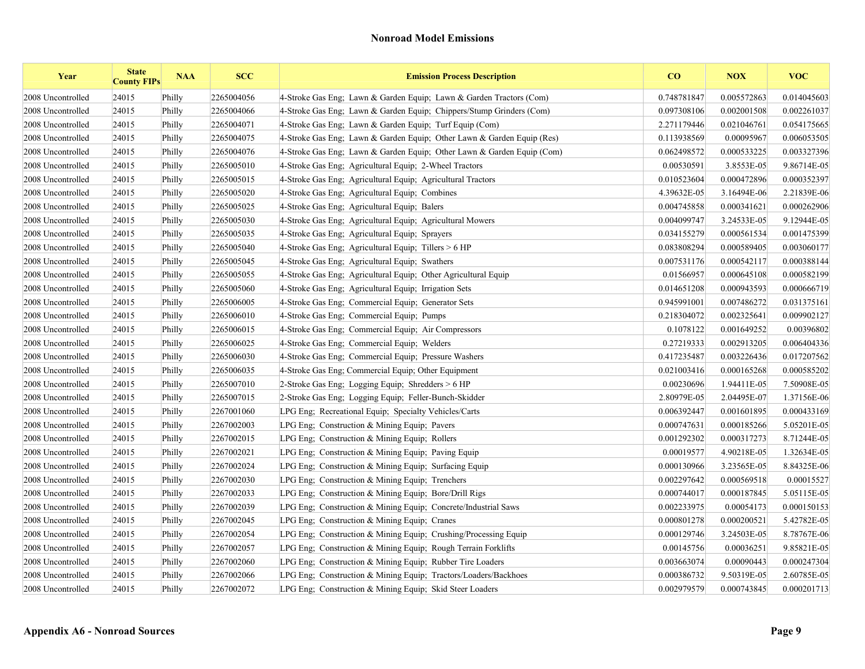| Year              | <b>State</b><br><b>County FIPs</b> | <b>NAA</b> | <b>SCC</b> | <b>Emission Process Description</b>                                    | CO          | <b>NOX</b>  | <b>VOC</b>  |
|-------------------|------------------------------------|------------|------------|------------------------------------------------------------------------|-------------|-------------|-------------|
| 2008 Uncontrolled | 24015                              | Philly     | 2265004056 | 4-Stroke Gas Eng; Lawn & Garden Equip; Lawn & Garden Tractors (Com)    | 0.748781847 | 0.005572863 | 0.014045603 |
| 2008 Uncontrolled | 24015                              | Philly     | 2265004066 | 4-Stroke Gas Eng; Lawn & Garden Equip; Chippers/Stump Grinders (Com)   | 0.097308106 | 0.002001508 | 0.002261037 |
| 2008 Uncontrolled | 24015                              | Philly     | 2265004071 | 4-Stroke Gas Eng; Lawn & Garden Equip; Turf Equip (Com)                | 2.271179446 | 0.021046761 | 0.054175665 |
| 2008 Uncontrolled | 24015                              | Philly     | 2265004075 | 4-Stroke Gas Eng; Lawn & Garden Equip; Other Lawn & Garden Equip (Res) | 0.113938569 | 0.00095967  | 0.006053505 |
| 2008 Uncontrolled | 24015                              | Philly     | 2265004076 | 4-Stroke Gas Eng; Lawn & Garden Equip; Other Lawn & Garden Equip (Com) | 0.062498572 | 0.000533225 | 0.003327396 |
| 2008 Uncontrolled | 24015                              | Philly     | 2265005010 | 4-Stroke Gas Eng; Agricultural Equip; 2-Wheel Tractors                 | 0.00530591  | 3.8553E-05  | 9.86714E-05 |
| 2008 Uncontrolled | 24015                              | Philly     | 2265005015 | 4-Stroke Gas Eng; Agricultural Equip; Agricultural Tractors            | 0.010523604 | 0.000472896 | 0.000352397 |
| 2008 Uncontrolled | 24015                              | Philly     | 2265005020 | 4-Stroke Gas Eng; Agricultural Equip; Combines                         | 4.39632E-05 | 3.16494E-06 | 2.21839E-06 |
| 2008 Uncontrolled | 24015                              | Philly     | 2265005025 | 4-Stroke Gas Eng; Agricultural Equip; Balers                           | 0.004745858 | 0.000341621 | 0.000262906 |
| 2008 Uncontrolled | 24015                              | Philly     | 2265005030 | 4-Stroke Gas Eng; Agricultural Equip; Agricultural Mowers              | 0.004099747 | 3.24533E-05 | 9.12944E-05 |
| 2008 Uncontrolled | 24015                              | Philly     | 2265005035 | 4-Stroke Gas Eng; Agricultural Equip; Sprayers                         | 0.034155279 | 0.000561534 | 0.001475399 |
| 2008 Uncontrolled | 24015                              | Philly     | 2265005040 | 4-Stroke Gas Eng; Agricultural Equip; Tillers > 6 HP                   | 0.083808294 | 0.000589405 | 0.003060177 |
| 2008 Uncontrolled | 24015                              | Philly     | 2265005045 | 4-Stroke Gas Eng; Agricultural Equip; Swathers                         | 0.007531176 | 0.000542117 | 0.000388144 |
| 2008 Uncontrolled | 24015                              | Philly     | 2265005055 | 4-Stroke Gas Eng; Agricultural Equip; Other Agricultural Equip         | 0.01566957  | 0.000645108 | 0.000582199 |
| 2008 Uncontrolled | 24015                              | Philly     | 2265005060 | 4-Stroke Gas Eng; Agricultural Equip; Irrigation Sets                  | 0.014651208 | 0.000943593 | 0.000666719 |
| 2008 Uncontrolled | 24015                              | Philly     | 2265006005 | 4-Stroke Gas Eng; Commercial Equip; Generator Sets                     | 0.945991001 | 0.007486272 | 0.031375161 |
| 2008 Uncontrolled | 24015                              | Philly     | 2265006010 | 4-Stroke Gas Eng; Commercial Equip; Pumps                              | 0.218304072 | 0.002325641 | 0.009902127 |
| 2008 Uncontrolled | 24015                              | Philly     | 2265006015 | 4-Stroke Gas Eng: Commercial Equip: Air Compressors                    | 0.1078122   | 0.001649252 | 0.00396802  |
| 2008 Uncontrolled | 24015                              | Philly     | 2265006025 | 4-Stroke Gas Eng; Commercial Equip; Welders                            | 0.27219333  | 0.002913205 | 0.006404336 |
| 2008 Uncontrolled | 24015                              | Philly     | 2265006030 | 4-Stroke Gas Eng; Commercial Equip; Pressure Washers                   | 0.417235487 | 0.003226436 | 0.017207562 |
| 2008 Uncontrolled | 24015                              | Philly     | 2265006035 | 4-Stroke Gas Eng; Commercial Equip; Other Equipment                    | 0.021003416 | 0.000165268 | 0.000585202 |
| 2008 Uncontrolled | 24015                              | Philly     | 2265007010 | 2-Stroke Gas Eng; Logging Equip; Shredders > 6 HP                      | 0.00230696  | 1.94411E-05 | 7.50908E-05 |
| 2008 Uncontrolled | 24015                              | Philly     | 2265007015 | 2-Stroke Gas Eng; Logging Equip; Feller-Bunch-Skidder                  | 2.80979E-05 | 2.04495E-07 | 1.37156E-06 |
| 2008 Uncontrolled | 24015                              | Philly     | 2267001060 | LPG Eng; Recreational Equip; Specialty Vehicles/Carts                  | 0.006392447 | 0.001601895 | 0.000433169 |
| 2008 Uncontrolled | 24015                              | Philly     | 2267002003 | LPG Eng; Construction $&$ Mining Equip; Pavers                         | 0.000747631 | 0.000185266 | 5.05201E-05 |
| 2008 Uncontrolled | 24015                              | Philly     | 2267002015 | LPG Eng; Construction $&$ Mining Equip; Rollers                        | 0.001292302 | 0.000317273 | 8.71244E-05 |
| 2008 Uncontrolled | 24015                              | Philly     | 2267002021 | LPG Eng; Construction & Mining Equip; Paving Equip                     | 0.00019577  | 4.90218E-05 | 1.32634E-05 |
| 2008 Uncontrolled | 24015                              | Philly     | 2267002024 | LPG Eng: Construction & Mining Equip: Surfacing Equip                  | 0.000130966 | 3.23565E-05 | 8.84325E-06 |
| 2008 Uncontrolled | 24015                              | Philly     | 2267002030 | LPG Eng: Construction & Mining Equip: Trenchers                        | 0.002297642 | 0.000569518 | 0.00015527  |
| 2008 Uncontrolled | 24015                              | Philly     | 2267002033 | LPG Eng; Construction & Mining Equip; Bore/Drill Rigs                  | 0.000744017 | 0.000187845 | 5.05115E-05 |
| 2008 Uncontrolled | 24015                              | Philly     | 2267002039 | LPG Eng; Construction & Mining Equip; Concrete/Industrial Saws         | 0.002233975 | 0.00054173  | 0.000150153 |
| 2008 Uncontrolled | 24015                              | Philly     | 2267002045 | LPG Eng; Construction & Mining Equip; Cranes                           | 0.000801278 | 0.000200521 | 5.42782E-05 |
| 2008 Uncontrolled | 24015                              | Philly     | 2267002054 | LPG Eng. Construction & Mining Equip. Crushing/Processing Equip        | 0.000129746 | 3.24503E-05 | 8.78767E-06 |
| 2008 Uncontrolled | 24015                              | Philly     | 2267002057 | LPG Eng; Construction & Mining Equip; Rough Terrain Forklifts          | 0.00145756  | 0.00036251  | 9.85821E-05 |
| 2008 Uncontrolled | 24015                              | Philly     | 2267002060 | LPG Eng; Construction & Mining Equip; Rubber Tire Loaders              | 0.003663074 | 0.00090443  | 0.000247304 |
| 2008 Uncontrolled | 24015                              | Philly     | 2267002066 | LPG Eng: Construction & Mining Equip: Tractors/Loaders/Backhoes        | 0.000386732 | 9.50319E-05 | 2.60785E-05 |
| 2008 Uncontrolled | 24015                              | Philly     | 2267002072 | LPG Eng; Construction & Mining Equip; Skid Steer Loaders               | 0.002979579 | 0.000743845 | 0.000201713 |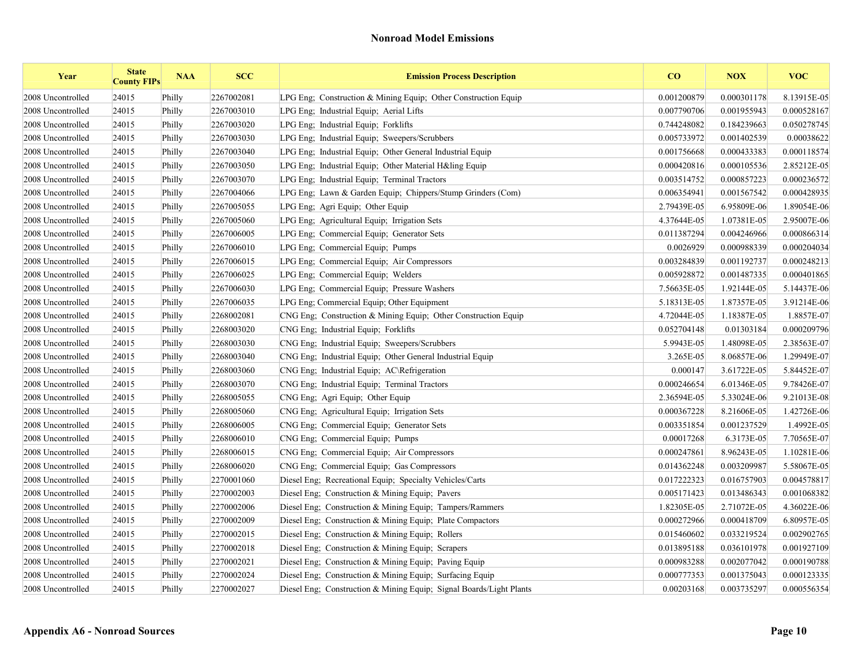| Year              | <b>State</b><br><b>County FIPs</b> | <b>NAA</b> | <b>SCC</b> | <b>Emission Process Description</b>                                 | CO          | <b>NOX</b>  | <b>VOC</b>  |
|-------------------|------------------------------------|------------|------------|---------------------------------------------------------------------|-------------|-------------|-------------|
| 2008 Uncontrolled | 24015                              | Philly     | 2267002081 | LPG Eng; Construction & Mining Equip; Other Construction Equip      | 0.001200879 | 0.000301178 | 8.13915E-05 |
| 2008 Uncontrolled | 24015                              | Philly     | 2267003010 | LPG Eng; Industrial Equip; Aerial Lifts                             | 0.007790706 | 0.001955943 | 0.000528167 |
| 2008 Uncontrolled | 24015                              | Philly     | 2267003020 | LPG Eng; Industrial Equip; Forklifts                                | 0.744248082 | 0.184239663 | 0.050278745 |
| 2008 Uncontrolled | 24015                              | Philly     | 2267003030 | LPG Eng; Industrial Equip; Sweepers/Scrubbers                       | 0.005733972 | 0.001402539 | 0.00038622  |
| 2008 Uncontrolled | 24015                              | Philly     | 2267003040 | LPG Eng; Industrial Equip; Other General Industrial Equip           | 0.001756668 | 0.000433383 | 0.000118574 |
| 2008 Uncontrolled | 24015                              | Philly     | 2267003050 | LPG Eng; Industrial Equip; Other Material H&ling Equip              | 0.000420816 | 0.000105536 | 2.85212E-05 |
| 2008 Uncontrolled | 24015                              | Philly     | 2267003070 | LPG Eng; Industrial Equip; Terminal Tractors                        | 0.003514752 | 0.000857223 | 0.000236572 |
| 2008 Uncontrolled | 24015                              | Philly     | 2267004066 | LPG Eng; Lawn & Garden Equip; Chippers/Stump Grinders (Com)         | 0.006354941 | 0.001567542 | 0.000428935 |
| 2008 Uncontrolled | 24015                              | Philly     | 2267005055 | LPG Eng; Agri Equip; Other Equip                                    | 2.79439E-05 | 6.95809E-06 | 1.89054E-06 |
| 2008 Uncontrolled | 24015                              | Philly     | 2267005060 | LPG Eng; Agricultural Equip; Irrigation Sets                        | 4.37644E-05 | 1.07381E-05 | 2.95007E-06 |
| 2008 Uncontrolled | 24015                              | Philly     | 2267006005 | LPG Eng: Commercial Equip; Generator Sets                           | 0.011387294 | 0.004246966 | 0.000866314 |
| 2008 Uncontrolled | 24015                              | Philly     | 2267006010 | LPG Eng; Commercial Equip; Pumps                                    | 0.0026929   | 0.000988339 | 0.000204034 |
| 2008 Uncontrolled | 24015                              | Philly     | 2267006015 | LPG Eng; Commercial Equip; Air Compressors                          | 0.003284839 | 0.001192737 | 0.000248213 |
| 2008 Uncontrolled | 24015                              | Philly     | 2267006025 | LPG Eng; Commercial Equip; Welders                                  | 0.005928872 | 0.001487335 | 0.000401865 |
| 2008 Uncontrolled | 24015                              | Philly     | 2267006030 | LPG Eng; Commercial Equip; Pressure Washers                         | 7.56635E-05 | 1.92144E-05 | 5.14437E-06 |
| 2008 Uncontrolled | 24015                              | Philly     | 2267006035 | LPG Eng; Commercial Equip; Other Equipment                          | 5.18313E-05 | 1.87357E-05 | 3.91214E-06 |
| 2008 Uncontrolled | 24015                              | Philly     | 2268002081 | CNG Eng; Construction & Mining Equip; Other Construction Equip      | 4.72044E-05 | 1.18387E-05 | 1.8857E-07  |
| 2008 Uncontrolled | 24015                              | Philly     | 2268003020 | CNG Eng: Industrial Equip: Forklifts                                | 0.052704148 | 0.01303184  | 0.000209796 |
| 2008 Uncontrolled | 24015                              | Philly     | 2268003030 | CNG Eng; Industrial Equip; Sweepers/Scrubbers                       | 5.9943E-05  | 1.48098E-05 | 2.38563E-07 |
| 2008 Uncontrolled | 24015                              | Philly     | 2268003040 | CNG Eng; Industrial Equip; Other General Industrial Equip           | 3.265E-05   | 8.06857E-06 | 1.29949E-07 |
| 2008 Uncontrolled | 24015                              | Philly     | 2268003060 | CNG Eng; Industrial Equip; AC\Refrigeration                         | 0.000147    | 3.61722E-05 | 5.84452E-07 |
| 2008 Uncontrolled | 24015                              | Philly     | 2268003070 | CNG Eng; Industrial Equip; Terminal Tractors                        | 0.000246654 | 6.01346E-05 | 9.78426E-07 |
| 2008 Uncontrolled | 24015                              | Philly     | 2268005055 | CNG Eng: Agri Equip: Other Equip                                    | 2.36594E-05 | 5.33024E-06 | 9.21013E-08 |
| 2008 Uncontrolled | 24015                              | Philly     | 2268005060 | CNG Eng; Agricultural Equip; Irrigation Sets                        | 0.000367228 | 8.21606E-05 | 1.42726E-06 |
| 2008 Uncontrolled | 24015                              | Philly     | 2268006005 | CNG Eng; Commercial Equip; Generator Sets                           | 0.003351854 | 0.001237529 | 1.4992E-05  |
| 2008 Uncontrolled | 24015                              | Philly     | 2268006010 | CNG Eng; Commercial Equip; Pumps                                    | 0.00017268  | 6.3173E-05  | 7.70565E-07 |
| 2008 Uncontrolled | 24015                              | Philly     | 2268006015 | CNG Eng; Commercial Equip; Air Compressors                          | 0.000247861 | 8.96243E-05 | 1.10281E-06 |
| 2008 Uncontrolled | 24015                              | Philly     | 2268006020 | CNG Eng: Commercial Equip: Gas Compressors                          | 0.014362248 | 0.003209987 | 5.58067E-05 |
| 2008 Uncontrolled | 24015                              | Philly     | 2270001060 | Diesel Eng; Recreational Equip; Specialty Vehicles/Carts            | 0.017222323 | 0.016757903 | 0.004578817 |
| 2008 Uncontrolled | 24015                              | Philly     | 2270002003 | Diesel Eng; Construction & Mining Equip; Pavers                     | 0.005171423 | 0.013486343 | 0.001068382 |
| 2008 Uncontrolled | 24015                              | Philly     | 2270002006 | Diesel Eng; Construction & Mining Equip; Tampers/Rammers            | 1.82305E-05 | 2.71072E-05 | 4.36022E-06 |
| 2008 Uncontrolled | 24015                              | Philly     | 2270002009 | Diesel Eng; Construction & Mining Equip; Plate Compactors           | 0.000272966 | 0.000418709 | 6.80957E-05 |
| 2008 Uncontrolled | 24015                              | Philly     | 2270002015 | Diesel Eng; Construction & Mining Equip; Rollers                    | 0.015460602 | 0.033219524 | 0.002902765 |
| 2008 Uncontrolled | 24015                              | Philly     | 2270002018 | Diesel Eng; Construction & Mining Equip; Scrapers                   | 0.013895188 | 0.036101978 | 0.001927109 |
| 2008 Uncontrolled | 24015                              | Philly     | 2270002021 | Diesel Eng; Construction & Mining Equip; Paving Equip               | 0.000983288 | 0.002077042 | 0.000190788 |
| 2008 Uncontrolled | 24015                              | Philly     | 2270002024 | Diesel Eng: Construction & Mining Equip: Surfacing Equip            | 0.000777353 | 0.001375043 | 0.000123335 |
| 2008 Uncontrolled | 24015                              | Philly     | 2270002027 | Diesel Eng; Construction & Mining Equip; Signal Boards/Light Plants | 0.00203168  | 0.003735297 | 0.000556354 |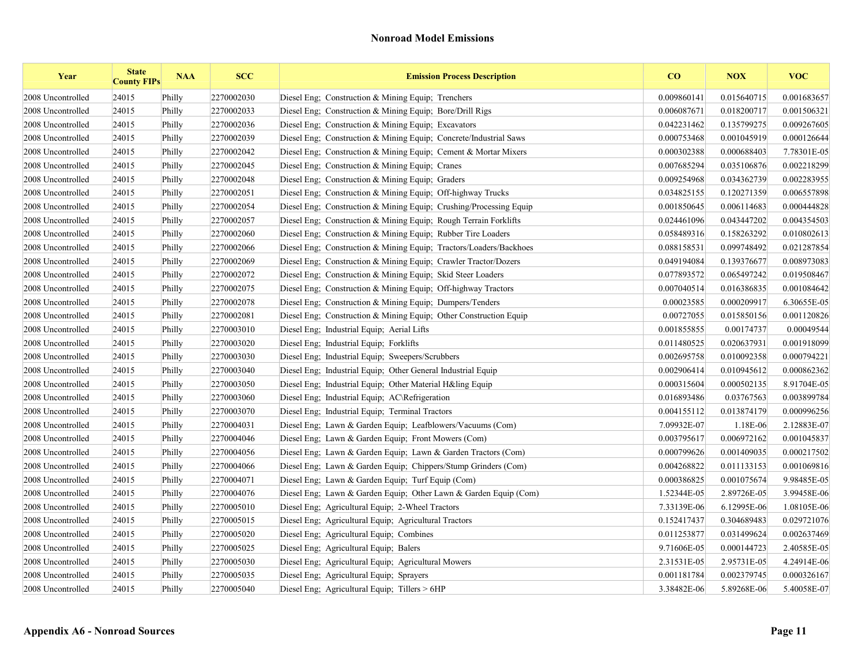| Year              | <b>State</b><br><b>County FIPs</b> | <b>NAA</b> | <b>SCC</b> | <b>Emission Process Description</b>                                | CO          | <b>NOX</b>  | <b>VOC</b>  |
|-------------------|------------------------------------|------------|------------|--------------------------------------------------------------------|-------------|-------------|-------------|
| 2008 Uncontrolled | 24015                              | Philly     | 2270002030 | Diesel Eng; Construction $&$ Mining Equip; Trenchers               | 0.009860141 | 0.015640715 | 0.001683657 |
| 2008 Uncontrolled | 24015                              | Philly     | 2270002033 | Diesel Eng; Construction & Mining Equip; Bore/Drill Rigs           | 0.006087671 | 0.018200717 | 0.001506321 |
| 2008 Uncontrolled | 24015                              | Philly     | 2270002036 | Diesel Eng: Construction & Mining Equip: Excavators                | 0.042231462 | 0.135799275 | 0.009267605 |
| 2008 Uncontrolled | 24015                              | Philly     | 2270002039 | Diesel Eng; Construction & Mining Equip; Concrete/Industrial Saws  | 0.000753468 | 0.001045919 | 0.000126644 |
| 2008 Uncontrolled | 24015                              | Philly     | 2270002042 | Diesel Eng; Construction & Mining Equip; Cement & Mortar Mixers    | 0.000302388 | 0.000688403 | 7.78301E-05 |
| 2008 Uncontrolled | 24015                              | Philly     | 2270002045 | Diesel Eng; Construction & Mining Equip; Cranes                    | 0.007685294 | 0.035106876 | 0.002218299 |
| 2008 Uncontrolled | 24015                              | Philly     | 2270002048 | Diesel Eng; Construction & Mining Equip; Graders                   | 0.009254968 | 0.034362739 | 0.002283955 |
| 2008 Uncontrolled | 24015                              | Philly     | 2270002051 | Diesel Eng; Construction & Mining Equip; Off-highway Trucks        | 0.034825155 | 0.120271359 | 0.006557898 |
| 2008 Uncontrolled | 24015                              | Philly     | 2270002054 | Diesel Eng; Construction & Mining Equip; Crushing/Processing Equip | 0.001850645 | 0.006114683 | 0.000444828 |
| 2008 Uncontrolled | 24015                              | Philly     | 2270002057 | Diesel Eng; Construction & Mining Equip; Rough Terrain Forklifts   | 0.024461096 | 0.043447202 | 0.004354503 |
| 2008 Uncontrolled | 24015                              | Philly     | 2270002060 | Diesel Eng. Construction & Mining Equip. Rubber Tire Loaders       | 0.058489316 | 0.158263292 | 0.010802613 |
| 2008 Uncontrolled | 24015                              | Philly     | 2270002066 | Diesel Eng; Construction & Mining Equip; Tractors/Loaders/Backhoes | 0.088158531 | 0.099748492 | 0.021287854 |
| 2008 Uncontrolled | 24015                              | Philly     | 2270002069 | Diesel Eng; Construction & Mining Equip; Crawler Tractor/Dozers    | 0.049194084 | 0.139376677 | 0.008973083 |
| 2008 Uncontrolled | 24015                              | Philly     | 2270002072 | Diesel Eng; Construction & Mining Equip; Skid Steer Loaders        | 0.077893572 | 0.065497242 | 0.019508467 |
| 2008 Uncontrolled | 24015                              | Philly     | 2270002075 | Diesel Eng; Construction & Mining Equip; Off-highway Tractors      | 0.007040514 | 0.016386835 | 0.001084642 |
| 2008 Uncontrolled | 24015                              | Philly     | 2270002078 | Diesel Eng; Construction & Mining Equip; Dumpers/Tenders           | 0.00023585  | 0.000209917 | 6.30655E-05 |
| 2008 Uncontrolled | 24015                              | Philly     | 2270002081 | Diesel Eng. Construction & Mining Equip. Other Construction Equip. | 0.00727055  | 0.015850156 | 0.001120826 |
| 2008 Uncontrolled | 24015                              | Philly     | 2270003010 | Diesel Eng; Industrial Equip; Aerial Lifts                         | 0.001855855 | 0.00174737  | 0.00049544  |
| 2008 Uncontrolled | 24015                              | Philly     | 2270003020 | Diesel Eng; Industrial Equip; Forklifts                            | 0.011480525 | 0.020637931 | 0.001918099 |
| 2008 Uncontrolled | 24015                              | Philly     | 2270003030 | Diesel Eng; Industrial Equip; Sweepers/Scrubbers                   | 0.002695758 | 0.010092358 | 0.000794221 |
| 2008 Uncontrolled | 24015                              | Philly     | 2270003040 | Diesel Eng; Industrial Equip; Other General Industrial Equip       | 0.002906414 | 0.010945612 | 0.000862362 |
| 2008 Uncontrolled | 24015                              | Philly     | 2270003050 | Diesel Eng; Industrial Equip; Other Material H&ling Equip          | 0.000315604 | 0.000502135 | 8.91704E-05 |
| 2008 Uncontrolled | 24015                              | Philly     | 2270003060 | Diesel Eng; Industrial Equip; AC\Refrigeration                     | 0.016893486 | 0.03767563  | 0.003899784 |
| 2008 Uncontrolled | 24015                              | Philly     | 2270003070 | Diesel Eng; Industrial Equip; Terminal Tractors                    | 0.004155112 | 0.013874179 | 0.000996256 |
| 2008 Uncontrolled | 24015                              | Philly     | 2270004031 | Diesel Eng; Lawn & Garden Equip; Leafblowers/Vacuums (Com)         | 7.09932E-07 | 1.18E-06    | 2.12883E-07 |
| 2008 Uncontrolled | 24015                              | Philly     | 2270004046 | Diesel Eng; Lawn & Garden Equip; Front Mowers (Com)                | 0.003795617 | 0.006972162 | 0.001045837 |
| 2008 Uncontrolled | 24015                              | Philly     | 2270004056 | Diesel Eng; Lawn & Garden Equip; Lawn & Garden Tractors (Com)      | 0.000799626 | 0.001409035 | 0.000217502 |
| 2008 Uncontrolled | 24015                              | Philly     | 2270004066 | Diesel Eng; Lawn & Garden Equip; Chippers/Stump Grinders (Com)     | 0.004268822 | 0.011133153 | 0.001069816 |
| 2008 Uncontrolled | 24015                              | Philly     | 2270004071 | Diesel Eng; Lawn & Garden Equip; Turf Equip (Com)                  | 0.000386825 | 0.001075674 | 9.98485E-05 |
| 2008 Uncontrolled | 24015                              | Philly     | 2270004076 | Diesel Eng; Lawn & Garden Equip; Other Lawn & Garden Equip (Com)   | 1.52344E-05 | 2.89726E-05 | 3.99458E-06 |
| 2008 Uncontrolled | 24015                              | Philly     | 2270005010 | Diesel Eng; Agricultural Equip; 2-Wheel Tractors                   | 7.33139E-06 | 6.12995E-06 | 1.08105E-06 |
| 2008 Uncontrolled | 24015                              | Philly     | 2270005015 | Diesel Eng; Agricultural Equip; Agricultural Tractors              | 0.152417437 | 0.304689483 | 0.029721076 |
| 2008 Uncontrolled | 24015                              | Philly     | 2270005020 | Diesel Eng; Agricultural Equip; Combines                           | 0.011253877 | 0.031499624 | 0.002637469 |
| 2008 Uncontrolled | 24015                              | Philly     | 2270005025 | Diesel Eng; Agricultural Equip; Balers                             | 9.71606E-05 | 0.000144723 | 2.40585E-05 |
| 2008 Uncontrolled | 24015                              | Philly     | 2270005030 | Diesel Eng; Agricultural Equip; Agricultural Mowers                | 2.31531E-05 | 2.95731E-05 | 4.24914E-06 |
| 2008 Uncontrolled | 24015                              | Philly     | 2270005035 | Diesel Eng; Agricultural Equip; Sprayers                           | 0.001181784 | 0.002379745 | 0.000326167 |
| 2008 Uncontrolled | 24015                              | Philly     | 2270005040 | Diesel Eng; Agricultural Equip; Tillers > 6HP                      | 3.38482E-06 | 5.89268E-06 | 5.40058E-07 |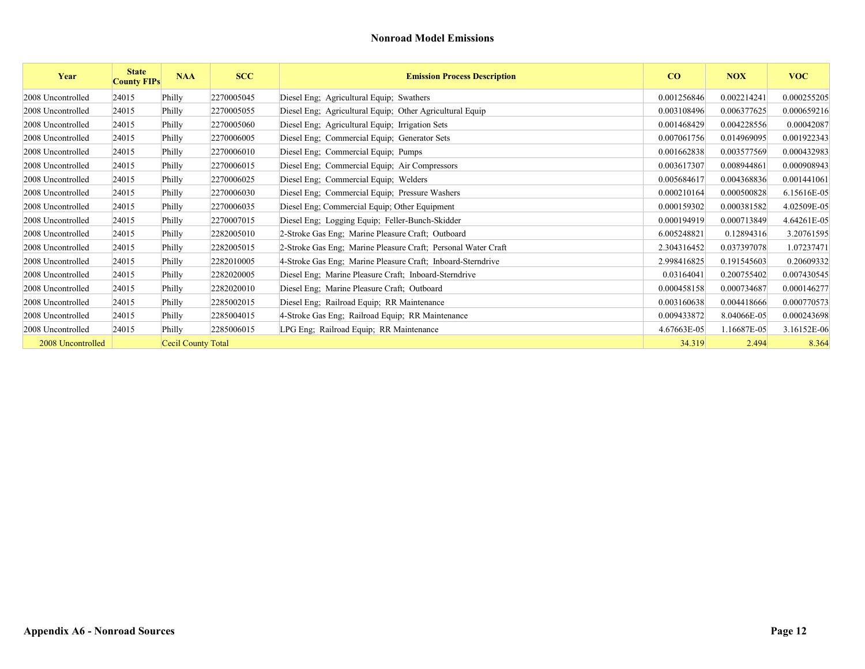| Year              | <b>State</b><br><b>County FIPs</b> | <b>NAA</b>         | <b>SCC</b> | <b>Emission Process Description</b>                           | CO          | <b>NOX</b>  | <b>VOC</b>  |
|-------------------|------------------------------------|--------------------|------------|---------------------------------------------------------------|-------------|-------------|-------------|
| 2008 Uncontrolled | 24015                              | Philly             | 2270005045 | Diesel Eng; Agricultural Equip; Swathers                      | 0.001256846 | 0.002214241 | 0.000255205 |
| 2008 Uncontrolled | 24015                              | Philly             | 2270005055 | Diesel Eng; Agricultural Equip; Other Agricultural Equip      | 0.003108496 | 0.006377625 | 0.000659216 |
| 2008 Uncontrolled | 24015                              | Philly             | 2270005060 | Diesel Eng; Agricultural Equip; Irrigation Sets               | 0.001468429 | 0.004228556 | 0.00042087  |
| 2008 Uncontrolled | 24015                              | Philly             | 2270006005 | Diesel Eng; Commercial Equip; Generator Sets                  | 0.007061756 | 0.014969095 | 0.001922343 |
| 2008 Uncontrolled | 24015                              | Philly             | 2270006010 | Diesel Eng; Commercial Equip; Pumps                           | 0.001662838 | 0.003577569 | 0.000432983 |
| 2008 Uncontrolled | 24015                              | Philly             | 2270006015 | Diesel Eng; Commercial Equip; Air Compressors                 | 0.003617307 | 0.008944861 | 0.000908943 |
| 2008 Uncontrolled | 24015                              | Philly             | 2270006025 | Diesel Eng; Commercial Equip; Welders                         | 0.005684617 | 0.004368836 | 0.001441061 |
| 2008 Uncontrolled | 24015                              | Philly             | 2270006030 | Diesel Eng; Commercial Equip; Pressure Washers                | 0.000210164 | 0.000500828 | 6.15616E-05 |
| 2008 Uncontrolled | 24015                              | Philly             | 2270006035 | Diesel Eng; Commercial Equip; Other Equipment                 | 0.000159302 | 0.000381582 | 4.02509E-05 |
| 2008 Uncontrolled | 24015                              | Philly             | 2270007015 | Diesel Eng; Logging Equip; Feller-Bunch-Skidder               | 0.000194919 | 0.000713849 | 4.64261E-05 |
| 2008 Uncontrolled | 24015                              | Philly             | 2282005010 | 2-Stroke Gas Eng; Marine Pleasure Craft; Outboard             | 6.005248821 | 0.12894316  | 3.20761595  |
| 2008 Uncontrolled | 24015                              | Philly             | 2282005015 | 2-Stroke Gas Eng; Marine Pleasure Craft; Personal Water Craft | 2.304316452 | 0.037397078 | 1.07237471  |
| 2008 Uncontrolled | 24015                              | Philly             | 2282010005 | 4-Stroke Gas Eng; Marine Pleasure Craft; Inboard-Sterndrive   | 2.998416825 | 0.191545603 | 0.20609332  |
| 2008 Uncontrolled | 24015                              | Philly             | 2282020005 | Diesel Eng; Marine Pleasure Craft; Inboard-Sterndrive         | 0.03164041  | 0.200755402 | 0.007430545 |
| 2008 Uncontrolled | 24015                              | Philly             | 2282020010 | Diesel Eng; Marine Pleasure Craft; Outboard                   | 0.000458158 | 0.000734687 | 0.000146277 |
| 2008 Uncontrolled | 24015                              | Philly             | 2285002015 | Diesel Eng; Railroad Equip; RR Maintenance                    | 0.003160638 | 0.004418666 | 0.000770573 |
| 2008 Uncontrolled | 24015                              | Philly             | 2285004015 | 4-Stroke Gas Eng; Railroad Equip; RR Maintenance              | 0.009433872 | 8.04066E-05 | 0.000243698 |
| 2008 Uncontrolled | 24015                              | Philly             | 2285006015 | LPG Eng; Railroad Equip; RR Maintenance                       | 4.67663E-05 | 1.16687E-05 | 3.16152E-06 |
| 2008 Uncontrolled |                                    | Cecil County Total |            |                                                               | 34.319      | 2.494       | 8.364       |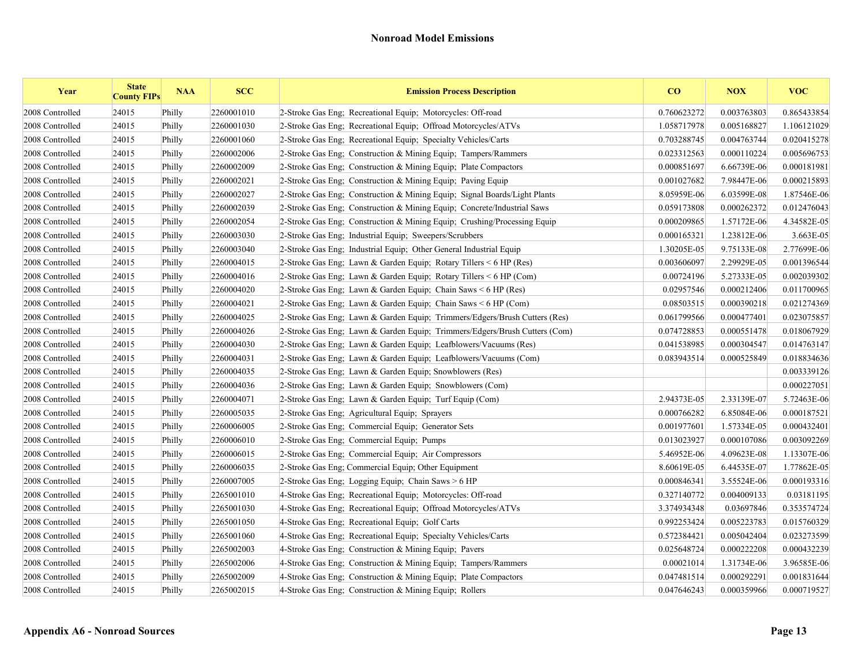| Year            | <b>State</b><br><b>County FIPs</b> | <b>NAA</b> | <b>SCC</b> | <b>Emission Process Description</b>                                        | CO          | <b>NOX</b>  | <b>VOC</b>  |
|-----------------|------------------------------------|------------|------------|----------------------------------------------------------------------------|-------------|-------------|-------------|
| 2008 Controlled | 24015                              | Philly     | 2260001010 | 2-Stroke Gas Eng; Recreational Equip; Motorcycles: Off-road                | 0.760623272 | 0.003763803 | 0.865433854 |
| 2008 Controlled | 24015                              | Philly     | 2260001030 | 2-Stroke Gas Eng; Recreational Equip; Offroad Motorcycles/ATVs             | 1.058717978 | 0.005168827 | 1.106121029 |
| 2008 Controlled | 24015                              | Philly     | 2260001060 | 2-Stroke Gas Eng: Recreational Equip: Specialty Vehicles/Carts             | 0.703288745 | 0.004763744 | 0.020415278 |
| 2008 Controlled | 24015                              | Philly     | 2260002006 | 2-Stroke Gas Eng: Construction & Mining Equip: Tampers/Rammers             | 0.023312563 | 0.000110224 | 0.005696753 |
| 2008 Controlled | 24015                              | Philly     | 2260002009 | 2-Stroke Gas Eng: Construction & Mining Equip: Plate Compactors            | 0.000851697 | 6.66739E-06 | 0.000181981 |
| 2008 Controlled | 24015                              | Philly     | 2260002021 | 2-Stroke Gas Eng: Construction & Mining Equip: Paving Equip                | 0.001027682 | 7.98447E-06 | 0.000215893 |
| 2008 Controlled | 24015                              | Philly     | 2260002027 | 2-Stroke Gas Eng; Construction & Mining Equip; Signal Boards/Light Plants  | 8.05959E-06 | 6.03599E-08 | 1.87546E-06 |
| 2008 Controlled | 24015                              | Philly     | 2260002039 | 2-Stroke Gas Eng; Construction & Mining Equip; Concrete/Industrial Saws    | 0.059173808 | 0.000262372 | 0.012476043 |
| 2008 Controlled | 24015                              | Philly     | 2260002054 | 2-Stroke Gas Eng; Construction & Mining Equip; Crushing/Processing Equip   | 0.000209865 | 1.57172E-06 | 4.34582E-05 |
| 2008 Controlled | 24015                              | Philly     | 2260003030 | 2-Stroke Gas Eng; Industrial Equip; Sweepers/Scrubbers                     | 0.000165321 | 1.23812E-06 | 3.663E-05   |
| 2008 Controlled | 24015                              | Philly     | 2260003040 | 2-Stroke Gas Eng; Industrial Equip; Other General Industrial Equip         | 1.30205E-05 | 9.75133E-08 | 2.77699E-06 |
| 2008 Controlled | 24015                              | Philly     | 2260004015 | 2-Stroke Gas Eng; Lawn & Garden Equip; Rotary Tillers $\leq 6$ HP (Res)    | 0.003606097 | 2.29929E-05 | 0.001396544 |
| 2008 Controlled | 24015                              | Philly     | 2260004016 | 2-Stroke Gas Eng; Lawn & Garden Equip; Rotary Tillers < 6 HP (Com)         | 0.00724196  | 5.27333E-05 | 0.002039302 |
| 2008 Controlled | 24015                              | Philly     | 2260004020 | 2-Stroke Gas Eng; Lawn & Garden Equip; Chain Saws < 6 HP (Res)             | 0.02957546  | 0.000212406 | 0.011700965 |
| 2008 Controlled | 24015                              | Philly     | 2260004021 | 2-Stroke Gas Eng; Lawn & Garden Equip; Chain Saws < 6 HP (Com)             | 0.08503515  | 0.000390218 | 0.021274369 |
| 2008 Controlled | 24015                              | Philly     | 2260004025 | 2-Stroke Gas Eng; Lawn & Garden Equip; Trimmers/Edgers/Brush Cutters (Res) | 0.061799566 | 0.000477401 | 0.023075857 |
| 2008 Controlled | 24015                              | Philly     | 2260004026 | 2-Stroke Gas Eng; Lawn & Garden Equip; Trimmers/Edgers/Brush Cutters (Com) | 0.074728853 | 0.000551478 | 0.018067929 |
| 2008 Controlled | 24015                              | Philly     | 2260004030 | 2-Stroke Gas Eng: Lawn & Garden Equip: Leafblowers/Vacuums (Res)           | 0.041538985 | 0.000304547 | 0.014763147 |
| 2008 Controlled | 24015                              | Philly     | 2260004031 | 2-Stroke Gas Eng; Lawn & Garden Equip; Leafblowers/Vacuums (Com)           | 0.083943514 | 0.000525849 | 0.018834636 |
| 2008 Controlled | 24015                              | Philly     | 2260004035 | 2-Stroke Gas Eng; Lawn & Garden Equip; Snowblowers (Res)                   |             |             | 0.003339126 |
| 2008 Controlled | 24015                              | Philly     | 2260004036 | 2-Stroke Gas Eng: Lawn & Garden Equip: Snowblowers (Com)                   |             |             | 0.000227051 |
| 2008 Controlled | 24015                              | Philly     | 2260004071 | 2-Stroke Gas Eng: Lawn & Garden Equip: Turf Equip (Com)                    | 2.94373E-05 | 2.33139E-07 | 5.72463E-06 |
| 2008 Controlled | 24015                              | Philly     | 2260005035 | 2-Stroke Gas Eng: Agricultural Equip: Sprayers                             | 0.000766282 | 6.85084E-06 | 0.000187521 |
| 2008 Controlled | 24015                              | Philly     | 2260006005 | 2-Stroke Gas Eng: Commercial Equip: Generator Sets                         | 0.001977601 | 1.57334E-05 | 0.000432401 |
| 2008 Controlled | 24015                              | Philly     | 2260006010 | 2-Stroke Gas Eng; Commercial Equip; Pumps                                  | 0.013023927 | 0.000107086 | 0.003092269 |
| 2008 Controlled | 24015                              | Philly     | 2260006015 | 2-Stroke Gas Eng; Commercial Equip; Air Compressors                        | 5.46952E-06 | 4.09623E-08 | 1.13307E-06 |
| 2008 Controlled | 24015                              | Philly     | 2260006035 | 2-Stroke Gas Eng; Commercial Equip; Other Equipment                        | 8.60619E-05 | 6.44535E-07 | 1.77862E-05 |
| 2008 Controlled | 24015                              | Philly     | 2260007005 | 2-Stroke Gas Eng; Logging Equip; Chain Saws > 6 HP                         | 0.000846341 | 3.55524E-06 | 0.000193316 |
| 2008 Controlled | 24015                              | Philly     | 2265001010 | 4-Stroke Gas Eng; Recreational Equip; Motorcycles: Off-road                | 0.327140772 | 0.004009133 | 0.03181195  |
| 2008 Controlled | 24015                              | Philly     | 2265001030 | 4-Stroke Gas Eng; Recreational Equip; Offroad Motorcycles/ATVs             | 3.374934348 | 0.03697846  | 0.353574724 |
| 2008 Controlled | 24015                              | Philly     | 2265001050 | 4-Stroke Gas Eng; Recreational Equip; Golf Carts                           | 0.992253424 | 0.005223783 | 0.015760329 |
| 2008 Controlled | 24015                              | Philly     | 2265001060 | 4-Stroke Gas Eng; Recreational Equip; Specialty Vehicles/Carts             | 0.572384421 | 0.005042404 | 0.023273599 |
| 2008 Controlled | 24015                              | Philly     | 2265002003 | 4-Stroke Gas Eng; Construction & Mining Equip; Pavers                      | 0.025648724 | 0.000222208 | 0.000432239 |
| 2008 Controlled | 24015                              | Philly     | 2265002006 | 4-Stroke Gas Eng: Construction & Mining Equip: Tampers/Rammers             | 0.00021014  | 1.31734E-06 | 3.96585E-06 |
| 2008 Controlled | 24015                              | Philly     | 2265002009 | 4-Stroke Gas Eng: Construction & Mining Equip: Plate Compactors            | 0.047481514 | 0.000292291 | 0.001831644 |
| 2008 Controlled | 24015                              | Philly     | 2265002015 | 4-Stroke Gas Eng: Construction & Mining Equip: Rollers                     | 0.047646243 | 0.000359966 | 0.000719527 |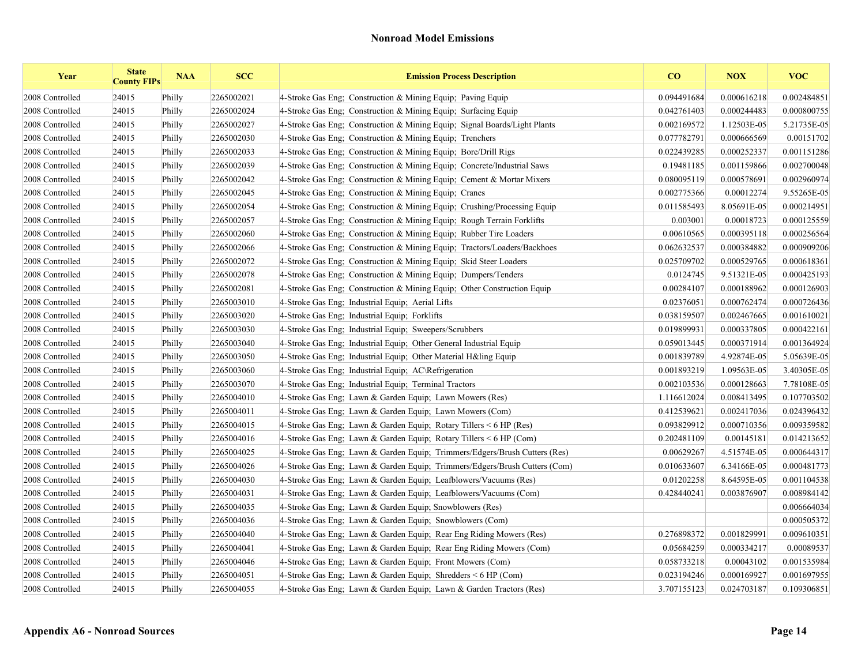| Year            | <b>State</b><br><b>County FIPs</b> | <b>NAA</b> | <b>SCC</b> | <b>Emission Process Description</b>                                        | $\bf{CO}$   | <b>NOX</b>  | <b>VOC</b>  |
|-----------------|------------------------------------|------------|------------|----------------------------------------------------------------------------|-------------|-------------|-------------|
| 2008 Controlled | 24015                              | Philly     | 2265002021 | 4-Stroke Gas Eng; Construction & Mining Equip; Paving Equip                | 0.094491684 | 0.000616218 | 0.002484851 |
| 2008 Controlled | 24015                              | Philly     | 2265002024 | 4-Stroke Gas Eng: Construction & Mining Equip: Surfacing Equip             | 0.042761403 | 0.000244483 | 0.000800755 |
| 2008 Controlled | 24015                              | Philly     | 2265002027 | 4-Stroke Gas Eng. Construction & Mining Equip. Signal Boards/Light Plants  | 0.002169572 | 1.12503E-05 | 5.21735E-05 |
| 2008 Controlled | 24015                              | Philly     | 2265002030 | 4-Stroke Gas Eng; Construction & Mining Equip; Trenchers                   | 0.077782791 | 0.000666569 | 0.00151702  |
| 2008 Controlled | 24015                              | Philly     | 2265002033 | 4-Stroke Gas Eng: Construction & Mining Equip: Bore/Drill Rigs             | 0.022439285 | 0.000252337 | 0.001151286 |
| 2008 Controlled | 24015                              | Philly     | 2265002039 | 4-Stroke Gas Eng: Construction & Mining Equip: Concrete/Industrial Saws    | 0.19481185  | 0.001159866 | 0.002700048 |
| 2008 Controlled | 24015                              | Philly     | 2265002042 | 4-Stroke Gas Eng; Construction & Mining Equip; Cement & Mortar Mixers      | 0.080095119 | 0.000578691 | 0.002960974 |
| 2008 Controlled | 24015                              | Philly     | 2265002045 | 4-Stroke Gas Eng; Construction & Mining Equip; Cranes                      | 0.002775366 | 0.00012274  | 9.55265E-05 |
| 2008 Controlled | 24015                              | Philly     | 2265002054 | 4-Stroke Gas Eng; Construction & Mining Equip; Crushing/Processing Equip   | 0.011585493 | 8.05691E-05 | 0.000214951 |
| 2008 Controlled | 24015                              | Philly     | 2265002057 | 4-Stroke Gas Eng; Construction & Mining Equip; Rough Terrain Forklifts     | 0.003001    | 0.00018723  | 0.000125559 |
| 2008 Controlled | 24015                              | Philly     | 2265002060 | 4-Stroke Gas Eng; Construction & Mining Equip; Rubber Tire Loaders         | 0.00610565  | 0.000395118 | 0.000256564 |
| 2008 Controlled | 24015                              | Philly     | 2265002066 | 4-Stroke Gas Eng; Construction & Mining Equip; Tractors/Loaders/Backhoes   | 0.062632537 | 0.000384882 | 0.000909206 |
| 2008 Controlled | 24015                              | Philly     | 2265002072 | 4-Stroke Gas Eng: Construction & Mining Equip: Skid Steer Loaders          | 0.025709702 | 0.000529765 | 0.000618361 |
| 2008 Controlled | 24015                              | Philly     | 2265002078 | 4-Stroke Gas Eng; Construction & Mining Equip; Dumpers/Tenders             | 0.0124745   | 9.51321E-05 | 0.000425193 |
| 2008 Controlled | 24015                              | Philly     | 2265002081 | 4-Stroke Gas Eng: Construction & Mining Equip: Other Construction Equip    | 0.00284107  | 0.000188962 | 0.000126903 |
| 2008 Controlled | 24015                              | Philly     | 2265003010 | 4-Stroke Gas Eng; Industrial Equip; Aerial Lifts                           | 0.02376051  | 0.000762474 | 0.000726436 |
| 2008 Controlled | 24015                              | Philly     | 2265003020 | 4-Stroke Gas Eng; Industrial Equip; Forklifts                              | 0.038159507 | 0.002467665 | 0.001610021 |
| 2008 Controlled | 24015                              | Philly     | 2265003030 | 4-Stroke Gas Eng: Industrial Equip: Sweepers/Scrubbers                     | 0.019899931 | 0.000337805 | 0.000422161 |
| 2008 Controlled | 24015                              | Philly     | 2265003040 | 4-Stroke Gas Eng; Industrial Equip; Other General Industrial Equip         | 0.059013445 | 0.000371914 | 0.001364924 |
| 2008 Controlled | 24015                              | Philly     | 2265003050 | 4-Stroke Gas Eng; Industrial Equip; Other Material H&ling Equip            | 0.001839789 | 4.92874E-05 | 5.05639E-05 |
| 2008 Controlled | 24015                              | Philly     | 2265003060 | 4-Stroke Gas Eng; Industrial Equip; AC\Refrigeration                       | 0.001893219 | 1.09563E-05 | 3.40305E-05 |
| 2008 Controlled | 24015                              | Philly     | 2265003070 | 4-Stroke Gas Eng; Industrial Equip; Terminal Tractors                      | 0.002103536 | 0.000128663 | 7.78108E-05 |
| 2008 Controlled | 24015                              | Philly     | 2265004010 | 4-Stroke Gas Eng: Lawn & Garden Equip: Lawn Mowers (Res)                   | 1.116612024 | 0.008413495 | 0.107703502 |
| 2008 Controlled | 24015                              | Philly     | 2265004011 | 4-Stroke Gas Eng; Lawn & Garden Equip; Lawn Mowers (Com)                   | 0.412539621 | 0.002417036 | 0.024396432 |
| 2008 Controlled | 24015                              | Philly     | 2265004015 | 4-Stroke Gas Eng; Lawn & Garden Equip; Rotary Tillers < 6 HP (Res)         | 0.093829912 | 0.000710356 | 0.009359582 |
| 2008 Controlled | 24015                              | Philly     | 2265004016 | 4-Stroke Gas Eng; Lawn & Garden Equip; Rotary Tillers $\leq 6$ HP (Com)    | 0.202481109 | 0.00145181  | 0.014213652 |
| 2008 Controlled | 24015                              | Philly     | 2265004025 | 4-Stroke Gas Eng; Lawn & Garden Equip; Trimmers/Edgers/Brush Cutters (Res) | 0.00629267  | 4.51574E-05 | 0.000644317 |
| 2008 Controlled | 24015                              | Philly     | 2265004026 | 4-Stroke Gas Eng; Lawn & Garden Equip; Trimmers/Edgers/Brush Cutters (Com) | 0.010633607 | 6.34166E-05 | 0.000481773 |
| 2008 Controlled | 24015                              | Philly     | 2265004030 | 4-Stroke Gas Eng; Lawn & Garden Equip; Leafblowers/Vacuums (Res)           | 0.01202258  | 8.64595E-05 | 0.001104538 |
| 2008 Controlled | 24015                              | Philly     | 2265004031 | 4-Stroke Gas Eng; Lawn & Garden Equip; Leafblowers/Vacuums (Com)           | 0.428440241 | 0.003876907 | 0.008984142 |
| 2008 Controlled | 24015                              | Philly     | 2265004035 | 4-Stroke Gas Eng; Lawn & Garden Equip; Snowblowers (Res)                   |             |             | 0.006664034 |
| 2008 Controlled | 24015                              | Philly     | 2265004036 | 4-Stroke Gas Eng; Lawn & Garden Equip; Snowblowers (Com)                   |             |             | 0.000505372 |
| 2008 Controlled | 24015                              | Philly     | 2265004040 | 4-Stroke Gas Eng; Lawn & Garden Equip; Rear Eng Riding Mowers (Res)        | 0.276898372 | 0.001829991 | 0.009610351 |
| 2008 Controlled | 24015                              | Philly     | 2265004041 | 4-Stroke Gas Eng; Lawn & Garden Equip; Rear Eng Riding Mowers (Com)        | 0.05684259  | 0.000334217 | 0.00089537  |
| 2008 Controlled | 24015                              | Philly     | 2265004046 | 4-Stroke Gas Eng; Lawn & Garden Equip; Front Mowers (Com)                  | 0.058733218 | 0.00043102  | 0.001535984 |
| 2008 Controlled | 24015                              | Philly     | 2265004051 | 4-Stroke Gas Eng; Lawn & Garden Equip; Shredders $\leq 6$ HP (Com)         | 0.023194246 | 0.000169927 | 0.001697955 |
| 2008 Controlled | 24015                              | Philly     | 2265004055 | 4-Stroke Gas Eng; Lawn & Garden Equip; Lawn & Garden Tractors (Res)        | 3.707155123 | 0.024703187 | 0.109306851 |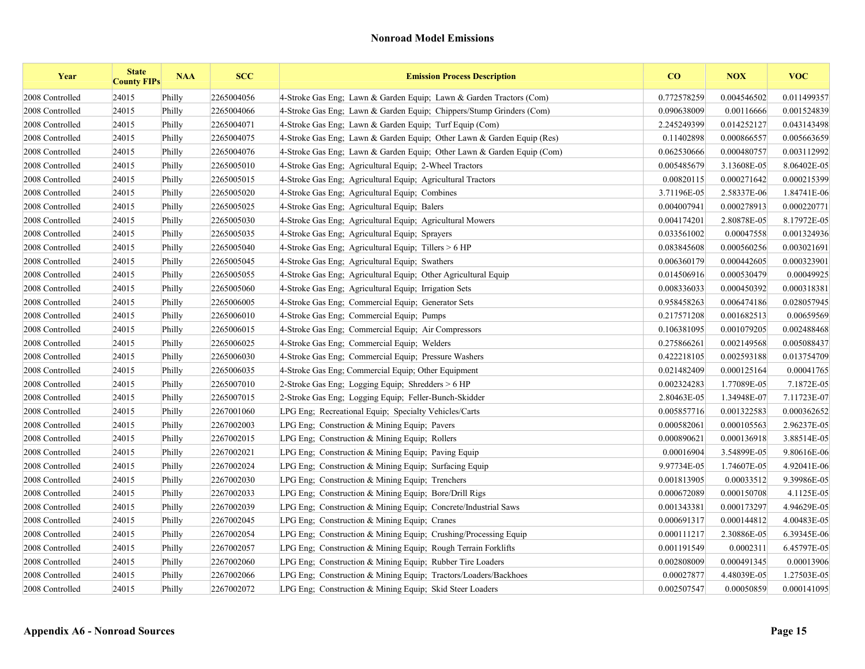| Year            | <b>State</b><br><b>County FIPs</b> | <b>NAA</b> | <b>SCC</b> | <b>Emission Process Description</b>                                    | $\bf{CO}$   | <b>NOX</b>  | <b>VOC</b>  |
|-----------------|------------------------------------|------------|------------|------------------------------------------------------------------------|-------------|-------------|-------------|
| 2008 Controlled | 24015                              | Philly     | 2265004056 | 4-Stroke Gas Eng; Lawn & Garden Equip; Lawn & Garden Tractors (Com)    | 0.772578259 | 0.004546502 | 0.011499357 |
| 2008 Controlled | 24015                              | Philly     | 2265004066 | 4-Stroke Gas Eng; Lawn & Garden Equip; Chippers/Stump Grinders (Com)   | 0.090638009 | 0.00116666  | 0.001524839 |
| 2008 Controlled | 24015                              | Philly     | 2265004071 | 4-Stroke Gas Eng; Lawn & Garden Equip; Turf Equip (Com)                | 2.245249399 | 0.014252127 | 0.043143498 |
| 2008 Controlled | 24015                              | Philly     | 2265004075 | 4-Stroke Gas Eng; Lawn & Garden Equip; Other Lawn & Garden Equip (Res) | 0.11402898  | 0.000866557 | 0.005663659 |
| 2008 Controlled | 24015                              | Philly     | 2265004076 | 4-Stroke Gas Eng; Lawn & Garden Equip; Other Lawn & Garden Equip (Com) | 0.062530666 | 0.000480757 | 0.003112992 |
| 2008 Controlled | 24015                              | Philly     | 2265005010 | 4-Stroke Gas Eng: Agricultural Equip: 2-Wheel Tractors                 | 0.005485679 | 3.13608E-05 | 8.06402E-05 |
| 2008 Controlled | 24015                              | Philly     | 2265005015 | 4-Stroke Gas Eng; Agricultural Equip; Agricultural Tractors            | 0.00820115  | 0.000271642 | 0.000215399 |
| 2008 Controlled | 24015                              | Philly     | 2265005020 | 4-Stroke Gas Eng; Agricultural Equip; Combines                         | 3.71196E-05 | 2.58337E-06 | 1.84741E-06 |
| 2008 Controlled | 24015                              | Philly     | 2265005025 | 4-Stroke Gas Eng; Agricultural Equip; Balers                           | 0.004007941 | 0.000278913 | 0.000220771 |
| 2008 Controlled | 24015                              | Philly     | 2265005030 | 4-Stroke Gas Eng; Agricultural Equip; Agricultural Mowers              | 0.004174201 | 2.80878E-05 | 8.17972E-05 |
| 2008 Controlled | 24015                              | Philly     | 2265005035 | 4-Stroke Gas Eng; Agricultural Equip; Sprayers                         | 0.033561002 | 0.00047558  | 0.001324936 |
| 2008 Controlled | 24015                              | Philly     | 2265005040 | 4-Stroke Gas Eng; Agricultural Equip; Tillers $> 6$ HP                 | 0.083845608 | 0.000560256 | 0.003021691 |
| 2008 Controlled | 24015                              | Philly     | 2265005045 | 4-Stroke Gas Eng; Agricultural Equip; Swathers                         | 0.006360179 | 0.000442605 | 0.000323901 |
| 2008 Controlled | 24015                              | Philly     | 2265005055 | 4-Stroke Gas Eng; Agricultural Equip; Other Agricultural Equip         | 0.014506916 | 0.000530479 | 0.00049925  |
| 2008 Controlled | 24015                              | Philly     | 2265005060 | 4-Stroke Gas Eng; Agricultural Equip; Irrigation Sets                  | 0.008336033 | 0.000450392 | 0.000318381 |
| 2008 Controlled | 24015                              | Philly     | 2265006005 | 4-Stroke Gas Eng; Commercial Equip; Generator Sets                     | 0.958458263 | 0.006474186 | 0.028057945 |
| 2008 Controlled | 24015                              | Philly     | 2265006010 | 4-Stroke Gas Eng; Commercial Equip; Pumps                              | 0.217571208 | 0.001682513 | 0.00659569  |
| 2008 Controlled | 24015                              | Philly     | 2265006015 | 4-Stroke Gas Eng; Commercial Equip; Air Compressors                    | 0.106381095 | 0.001079205 | 0.002488468 |
| 2008 Controlled | 24015                              | Philly     | 2265006025 | 4-Stroke Gas Eng: Commercial Equip: Welders                            | 0.275866261 | 0.002149568 | 0.005088437 |
| 2008 Controlled | 24015                              | Philly     | 2265006030 | 4-Stroke Gas Eng; Commercial Equip; Pressure Washers                   | 0.422218105 | 0.002593188 | 0.013754709 |
| 2008 Controlled | 24015                              | Philly     | 2265006035 | 4-Stroke Gas Eng; Commercial Equip; Other Equipment                    | 0.021482409 | 0.000125164 | 0.00041765  |
| 2008 Controlled | 24015                              | Philly     | 2265007010 | 2-Stroke Gas Eng; Logging Equip; Shredders > 6 HP                      | 0.002324283 | 1.77089E-05 | 7.1872E-05  |
| 2008 Controlled | 24015                              | Philly     | 2265007015 | 2-Stroke Gas Eng; Logging Equip; Feller-Bunch-Skidder                  | 2.80463E-05 | 1.34948E-07 | 7.11723E-07 |
| 2008 Controlled | 24015                              | Philly     | 2267001060 | LPG Eng; Recreational Equip; Specialty Vehicles/Carts                  | 0.005857716 | 0.001322583 | 0.000362652 |
| 2008 Controlled | 24015                              | Philly     | 2267002003 | LPG Eng; Construction & Mining Equip; Pavers                           | 0.000582061 | 0.000105563 | 2.96237E-05 |
| 2008 Controlled | 24015                              | Philly     | 2267002015 | LPG Eng; Construction & Mining Equip; Rollers                          | 0.000890621 | 0.000136918 | 3.88514E-05 |
| 2008 Controlled | 24015                              | Philly     | 2267002021 | LPG Eng; Construction & Mining Equip; Paving Equip                     | 0.00016904  | 3.54899E-05 | 9.80616E-06 |
| 2008 Controlled | 24015                              | Philly     | 2267002024 | LPG Eng; Construction & Mining Equip; Surfacing Equip                  | 9.97734E-05 | 1.74607E-05 | 4.92041E-06 |
| 2008 Controlled | 24015                              | Philly     | 2267002030 | LPG Eng: Construction & Mining Equip; Trenchers                        | 0.001813905 | 0.00033512  | 9.39986E-05 |
| 2008 Controlled | 24015                              | Philly     | 2267002033 | LPG Eng: Construction & Mining Equip: Bore/Drill Rigs                  | 0.000672089 | 0.000150708 | 4.1125E-05  |
| 2008 Controlled | 24015                              | Philly     | 2267002039 | LPG Eng; Construction & Mining Equip; Concrete/Industrial Saws         | 0.001343381 | 0.000173297 | 4.94629E-05 |
| 2008 Controlled | 24015                              | Philly     | 2267002045 | LPG Eng; Construction & Mining Equip; Cranes                           | 0.000691317 | 0.000144812 | 4.00483E-05 |
| 2008 Controlled | 24015                              | Philly     | 2267002054 | LPG Eng; Construction & Mining Equip; Crushing/Processing Equip        | 0.000111217 | 2.30886E-05 | 6.39345E-06 |
| 2008 Controlled | 24015                              | Philly     | 2267002057 | LPG Eng; Construction & Mining Equip; Rough Terrain Forklifts          | 0.001191549 | 0.0002311   | 6.45797E-05 |
| 2008 Controlled | 24015                              | Philly     | 2267002060 | LPG Eng; Construction & Mining Equip; Rubber Tire Loaders              | 0.002808009 | 0.000491345 | 0.00013906  |
| 2008 Controlled | 24015                              | Philly     | 2267002066 | LPG Eng; Construction & Mining Equip; Tractors/Loaders/Backhoes        | 0.00027877  | 4.48039E-05 | 1.27503E-05 |
| 2008 Controlled | 24015                              | Philly     | 2267002072 | LPG Eng; Construction & Mining Equip; Skid Steer Loaders               | 0.002507547 | 0.00050859  | 0.000141095 |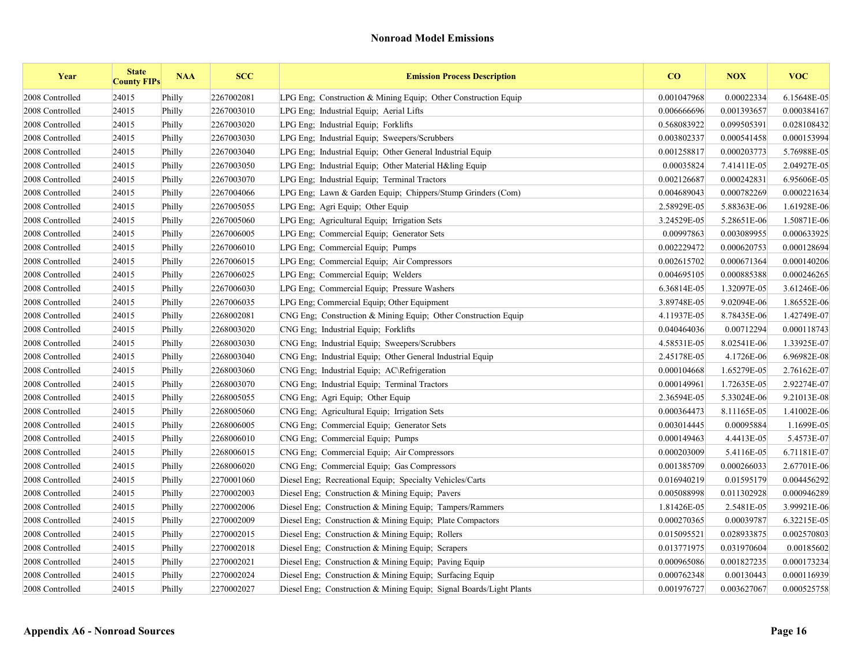| Year            | <b>State</b><br><b>County FIPs</b> | <b>NAA</b> | <b>SCC</b> | <b>Emission Process Description</b>                                 | CO          | <b>NOX</b>  | <b>VOC</b>  |
|-----------------|------------------------------------|------------|------------|---------------------------------------------------------------------|-------------|-------------|-------------|
| 2008 Controlled | 24015                              | Philly     | 2267002081 | LPG Eng; Construction & Mining Equip; Other Construction Equip      | 0.001047968 | 0.00022334  | 6.15648E-05 |
| 2008 Controlled | 24015                              | Philly     | 2267003010 | LPG Eng; Industrial Equip; Aerial Lifts                             | 0.006666696 | 0.001393657 | 0.000384167 |
| 2008 Controlled | 24015                              | Philly     | 2267003020 | LPG Eng; Industrial Equip; Forklifts                                | 0.568083922 | 0.099505391 | 0.028108432 |
| 2008 Controlled | 24015                              | Philly     | 2267003030 | LPG Eng: Industrial Equip: Sweepers/Scrubbers                       | 0.003802337 | 0.000541458 | 0.000153994 |
| 2008 Controlled | 24015                              | Philly     | 2267003040 | LPG Eng; Industrial Equip; Other General Industrial Equip           | 0.001258817 | 0.000203773 | 5.76988E-05 |
| 2008 Controlled | 24015                              | Philly     | 2267003050 | LPG Eng; Industrial Equip; Other Material H&ling Equip              | 0.00035824  | 7.41411E-05 | 2.04927E-05 |
| 2008 Controlled | 24015                              | Philly     | 2267003070 | LPG Eng; Industrial Equip; Terminal Tractors                        | 0.002126687 | 0.000242831 | 6.95606E-05 |
| 2008 Controlled | 24015                              | Philly     | 2267004066 | LPG Eng; Lawn & Garden Equip; Chippers/Stump Grinders (Com)         | 0.004689043 | 0.000782269 | 0.000221634 |
| 2008 Controlled | 24015                              | Philly     | 2267005055 | LPG Eng; Agri Equip; Other Equip                                    | 2.58929E-05 | 5.88363E-06 | 1.61928E-06 |
| 2008 Controlled | 24015                              | Philly     | 2267005060 | LPG Eng; Agricultural Equip; Irrigation Sets                        | 3.24529E-05 | 5.28651E-06 | 1.50871E-06 |
| 2008 Controlled | 24015                              | Philly     | 2267006005 | LPG Eng; Commercial Equip; Generator Sets                           | 0.00997863  | 0.003089955 | 0.000633925 |
| 2008 Controlled | 24015                              | Philly     | 2267006010 | LPG Eng: Commercial Equip: Pumps                                    | 0.002229472 | 0.000620753 | 0.000128694 |
| 2008 Controlled | 24015                              | Philly     | 2267006015 | LPG Eng; Commercial Equip; Air Compressors                          | 0.002615702 | 0.000671364 | 0.000140206 |
| 2008 Controlled | 24015                              | Philly     | 2267006025 | LPG Eng; Commercial Equip; Welders                                  | 0.004695105 | 0.000885388 | 0.000246265 |
| 2008 Controlled | 24015                              | Philly     | 2267006030 | LPG Eng; Commercial Equip; Pressure Washers                         | 6.36814E-05 | 1.32097E-05 | 3.61246E-06 |
| 2008 Controlled | 24015                              | Philly     | 2267006035 | LPG Eng; Commercial Equip; Other Equipment                          | 3.89748E-05 | 9.02094E-06 | 1.86552E-06 |
| 2008 Controlled | 24015                              | Philly     | 2268002081 | CNG Eng. Construction & Mining Equip. Other Construction Equip      | 4.11937E-05 | 8.78435E-06 | 1.42749E-07 |
| 2008 Controlled | 24015                              | Philly     | 2268003020 | CNG Eng; Industrial Equip; Forklifts                                | 0.040464036 | 0.00712294  | 0.000118743 |
| 2008 Controlled | 24015                              | Philly     | 2268003030 | CNG Eng; Industrial Equip; Sweepers/Scrubbers                       | 4.58531E-05 | 8.02541E-06 | 1.33925E-07 |
| 2008 Controlled | 24015                              | Philly     | 2268003040 | CNG Eng; Industrial Equip; Other General Industrial Equip           | 2.45178E-05 | 4.1726E-06  | 6.96982E-08 |
| 2008 Controlled | 24015                              | Philly     | 2268003060 | CNG Eng; Industrial Equip; AC\Refrigeration                         | 0.000104668 | 1.65279E-05 | 2.76162E-07 |
| 2008 Controlled | 24015                              | Philly     | 2268003070 | CNG Eng; Industrial Equip; Terminal Tractors                        | 0.000149961 | 1.72635E-05 | 2.92274E-07 |
| 2008 Controlled | 24015                              | Philly     | 2268005055 | CNG Eng; Agri Equip; Other Equip                                    | 2.36594E-05 | 5.33024E-06 | 9.21013E-08 |
| 2008 Controlled | 24015                              | Philly     | 2268005060 | CNG Eng; Agricultural Equip; Irrigation Sets                        | 0.000364473 | 8.11165E-05 | 1.41002E-06 |
| 2008 Controlled | 24015                              | Philly     | 2268006005 | CNG Eng; Commercial Equip; Generator Sets                           | 0.003014445 | 0.00095884  | 1.1699E-05  |
| 2008 Controlled | 24015                              | Philly     | 2268006010 | CNG Eng; Commercial Equip; Pumps                                    | 0.000149463 | 4.4413E-05  | 5.4573E-07  |
| 2008 Controlled | 24015                              | Philly     | 2268006015 | CNG Eng; Commercial Equip; Air Compressors                          | 0.000203009 | 5.4116E-05  | 6.71181E-07 |
| 2008 Controlled | 24015                              | Philly     | 2268006020 | CNG Eng; Commercial Equip; Gas Compressors                          | 0.001385709 | 0.000266033 | 2.67701E-06 |
| 2008 Controlled | 24015                              | Philly     | 2270001060 | Diesel Eng; Recreational Equip; Specialty Vehicles/Carts            | 0.016940219 | 0.01595179  | 0.004456292 |
| 2008 Controlled | 24015                              | Philly     | 2270002003 | Diesel Eng; Construction & Mining Equip; Pavers                     | 0.005088998 | 0.011302928 | 0.000946289 |
| 2008 Controlled | 24015                              | Philly     | 2270002006 | Diesel Eng; Construction & Mining Equip; Tampers/Rammers            | 1.81426E-05 | 2.5481E-05  | 3.99921E-06 |
| 2008 Controlled | 24015                              | Philly     | 2270002009 | Diesel Eng; Construction & Mining Equip; Plate Compactors           | 0.000270365 | 0.00039787  | 6.32215E-05 |
| 2008 Controlled | 24015                              | Philly     | 2270002015 | Diesel Eng; Construction & Mining Equip; Rollers                    | 0.015095521 | 0.028933875 | 0.002570803 |
| 2008 Controlled | 24015                              | Philly     | 2270002018 | Diesel Eng; Construction & Mining Equip; Scrapers                   | 0.013771975 | 0.031970604 | 0.00185602  |
| 2008 Controlled | 24015                              | Philly     | 2270002021 | Diesel Eng; Construction & Mining Equip; Paving Equip               | 0.000965086 | 0.001827235 | 0.000173234 |
| 2008 Controlled | 24015                              | Philly     | 2270002024 | Diesel Eng: Construction & Mining Equip: Surfacing Equip            | 0.000762348 | 0.00130443  | 0.000116939 |
| 2008 Controlled | 24015                              | Philly     | 2270002027 | Diesel Eng; Construction & Mining Equip; Signal Boards/Light Plants | 0.001976727 | 0.003627067 | 0.000525758 |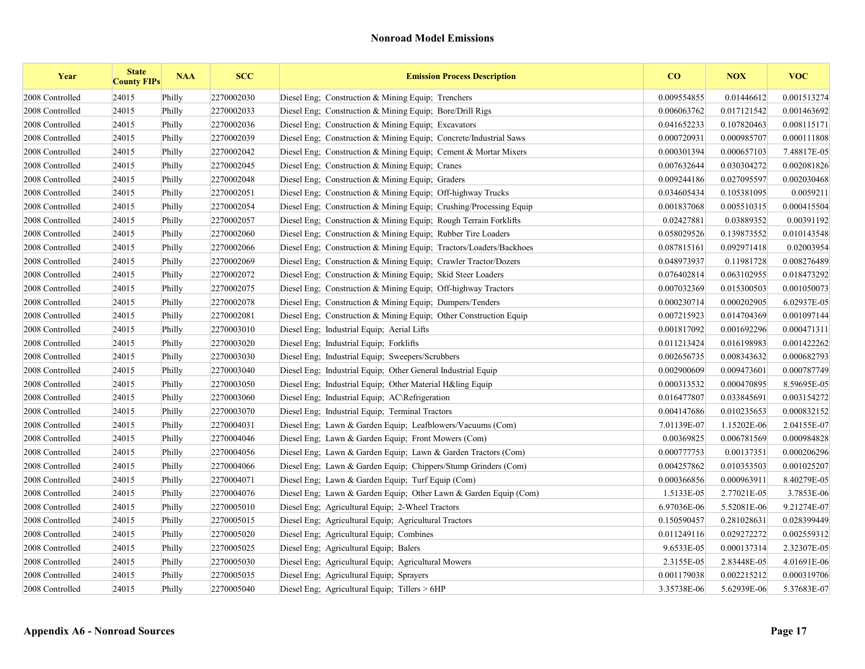| Year            | <b>State</b><br><b>County FIPs</b> | <b>NAA</b> | <b>SCC</b> | <b>Emission Process Description</b>                                | CO          | <b>NOX</b>  | <b>VOC</b>  |
|-----------------|------------------------------------|------------|------------|--------------------------------------------------------------------|-------------|-------------|-------------|
| 2008 Controlled | 24015                              | Philly     | 2270002030 | Diesel Eng: Construction & Mining Equip: Trenchers                 | 0.009554855 | 0.01446612  | 0.001513274 |
| 2008 Controlled | 24015                              | Philly     | 2270002033 | Diesel Eng; Construction & Mining Equip; Bore/Drill Rigs           | 0.006063762 | 0.017121542 | 0.001463692 |
| 2008 Controlled | 24015                              | Philly     | 2270002036 | Diesel Eng: Construction & Mining Equip: Excavators                | 0.041652233 | 0.107820463 | 0.008115171 |
| 2008 Controlled | 24015                              | Philly     | 2270002039 | Diesel Eng; Construction & Mining Equip; Concrete/Industrial Saws  | 0.000720931 | 0.000985707 | 0.000111808 |
| 2008 Controlled | 24015                              | Philly     | 2270002042 | Diesel Eng; Construction & Mining Equip; Cement & Mortar Mixers    | 0.000301394 | 0.000657103 | 7.48817E-05 |
| 2008 Controlled | 24015                              | Philly     | 2270002045 | Diesel Eng; Construction & Mining Equip; Cranes                    | 0.007632644 | 0.030304272 | 0.002081826 |
| 2008 Controlled | 24015                              | Philly     | 2270002048 | Diesel Eng; Construction & Mining Equip; Graders                   | 0.009244186 | 0.027095597 | 0.002030468 |
| 2008 Controlled | 24015                              | Philly     | 2270002051 | Diesel Eng; Construction & Mining Equip; Off-highway Trucks        | 0.034605434 | 0.105381095 | 0.0059211   |
| 2008 Controlled | 24015                              | Philly     | 2270002054 | Diesel Eng; Construction & Mining Equip; Crushing/Processing Equip | 0.001837068 | 0.005510315 | 0.000415504 |
| 2008 Controlled | 24015                              | Philly     | 2270002057 | Diesel Eng; Construction & Mining Equip; Rough Terrain Forklifts   | 0.02427881  | 0.03889352  | 0.00391192  |
| 2008 Controlled | 24015                              | Philly     | 2270002060 | Diesel Eng. Construction & Mining Equip. Rubber Tire Loaders       | 0.058029526 | 0.139873552 | 0.010143548 |
| 2008 Controlled | 24015                              | Philly     | 2270002066 | Diesel Eng; Construction & Mining Equip; Tractors/Loaders/Backhoes | 0.087815161 | 0.092971418 | 0.02003954  |
| 2008 Controlled | 24015                              | Philly     | 2270002069 | Diesel Eng; Construction & Mining Equip; Crawler Tractor/Dozers    | 0.048973937 | 0.11981728  | 0.008276489 |
| 2008 Controlled | 24015                              | Philly     | 2270002072 | Diesel Eng; Construction & Mining Equip; Skid Steer Loaders        | 0.076402814 | 0.063102955 | 0.018473292 |
| 2008 Controlled | 24015                              | Philly     | 2270002075 | Diesel Eng; Construction & Mining Equip; Off-highway Tractors      | 0.007032369 | 0.015300503 | 0.001050073 |
| 2008 Controlled | 24015                              | Philly     | 2270002078 | Diesel Eng; Construction & Mining Equip; Dumpers/Tenders           | 0.000230714 | 0.000202905 | 6.02937E-05 |
| 2008 Controlled | 24015                              | Philly     | 2270002081 | Diesel Eng. Construction & Mining Equip. Other Construction Equip. | 0.007215923 | 0.014704369 | 0.001097144 |
| 2008 Controlled | 24015                              | Philly     | 2270003010 | Diesel Eng; Industrial Equip; Aerial Lifts                         | 0.001817092 | 0.001692296 | 0.000471311 |
| 2008 Controlled | 24015                              | Philly     | 2270003020 | Diesel Eng; Industrial Equip; Forklifts                            | 0.011213424 | 0.016198983 | 0.001422262 |
| 2008 Controlled | 24015                              | Philly     | 2270003030 | Diesel Eng; Industrial Equip; Sweepers/Scrubbers                   | 0.002656735 | 0.008343632 | 0.000682793 |
| 2008 Controlled | 24015                              | Philly     | 2270003040 | Diesel Eng; Industrial Equip; Other General Industrial Equip       | 0.002900609 | 0.009473601 | 0.000787749 |
| 2008 Controlled | 24015                              | Philly     | 2270003050 | Diesel Eng; Industrial Equip; Other Material H&ling Equip          | 0.000313532 | 0.000470895 | 8.59695E-05 |
| 2008 Controlled | 24015                              | Philly     | 2270003060 | Diesel Eng; Industrial Equip; AC\Refrigeration                     | 0.016477807 | 0.033845691 | 0.003154272 |
| 2008 Controlled | 24015                              | Philly     | 2270003070 | Diesel Eng; Industrial Equip; Terminal Tractors                    | 0.004147686 | 0.010235653 | 0.000832152 |
| 2008 Controlled | 24015                              | Philly     | 2270004031 | Diesel Eng; Lawn & Garden Equip; Leafblowers/Vacuums (Com)         | 7.01139E-07 | 1.15202E-06 | 2.04155E-07 |
| 2008 Controlled | 24015                              | Philly     | 2270004046 | Diesel Eng; Lawn & Garden Equip; Front Mowers (Com)                | 0.00369825  | 0.006781569 | 0.000984828 |
| 2008 Controlled | 24015                              | Philly     | 2270004056 | Diesel Eng; Lawn & Garden Equip; Lawn & Garden Tractors (Com)      | 0.000777753 | 0.00137351  | 0.000206296 |
| 2008 Controlled | 24015                              | Philly     | 2270004066 | Diesel Eng; Lawn & Garden Equip; Chippers/Stump Grinders (Com)     | 0.004257862 | 0.010353503 | 0.001025207 |
| 2008 Controlled | 24015                              | Philly     | 2270004071 | Diesel Eng; Lawn & Garden Equip; Turf Equip (Com)                  | 0.000366856 | 0.000963911 | 8.40279E-05 |
| 2008 Controlled | 24015                              | Philly     | 2270004076 | Diesel Eng; Lawn & Garden Equip; Other Lawn & Garden Equip (Com)   | 1.5133E-05  | 2.77021E-05 | 3.7853E-06  |
| 2008 Controlled | 24015                              | Philly     | 2270005010 | Diesel Eng; Agricultural Equip; 2-Wheel Tractors                   | 6.97036E-06 | 5.52081E-06 | 9.21274E-07 |
| 2008 Controlled | 24015                              | Philly     | 2270005015 | Diesel Eng; Agricultural Equip; Agricultural Tractors              | 0.150590457 | 0.281028631 | 0.028399449 |
| 2008 Controlled | 24015                              | Philly     | 2270005020 | Diesel Eng; Agricultural Equip; Combines                           | 0.011249116 | 0.029272272 | 0.002559312 |
| 2008 Controlled | 24015                              | Philly     | 2270005025 | Diesel Eng; Agricultural Equip; Balers                             | 9.6533E-05  | 0.000137314 | 2.32307E-05 |
| 2008 Controlled | 24015                              | Philly     | 2270005030 | Diesel Eng; Agricultural Equip; Agricultural Mowers                | 2.3155E-05  | 2.83448E-05 | 4.01691E-06 |
| 2008 Controlled | 24015                              | Philly     | 2270005035 | Diesel Eng; Agricultural Equip; Sprayers                           | 0.001179038 | 0.002215212 | 0.000319706 |
| 2008 Controlled | 24015                              | Philly     | 2270005040 | Diesel Eng; Agricultural Equip; Tillers > 6HP                      | 3.35738E-06 | 5.62939E-06 | 5.37683E-07 |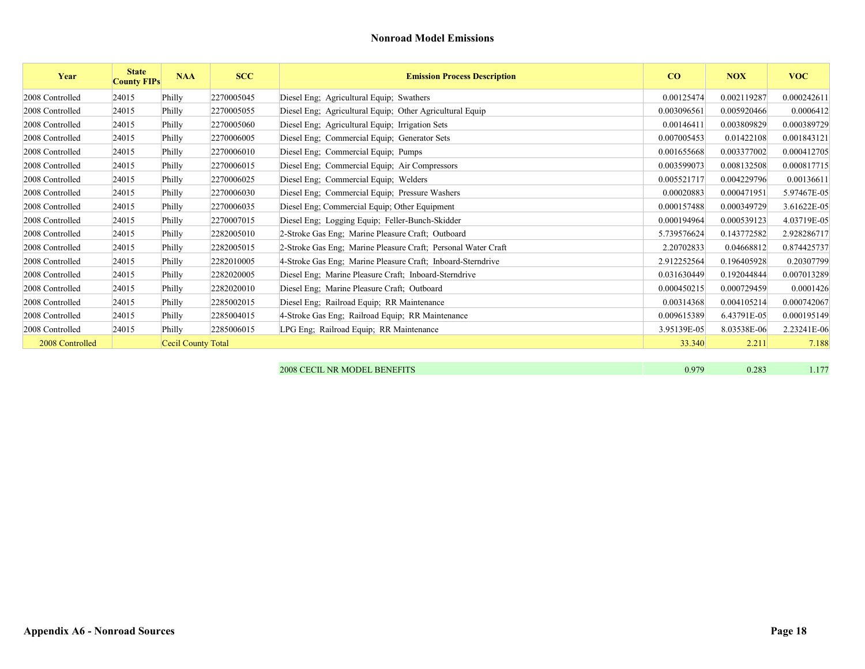| Year            | <b>State</b><br><b>County FIPs</b> | <b>NAA</b>         | <b>SCC</b> | <b>Emission Process Description</b>                           | CO          | <b>NOX</b>  | <b>VOC</b>  |
|-----------------|------------------------------------|--------------------|------------|---------------------------------------------------------------|-------------|-------------|-------------|
| 2008 Controlled | 24015                              | Philly             | 2270005045 | Diesel Eng; Agricultural Equip; Swathers                      | 0.00125474  | 0.002119287 | 0.000242611 |
| 2008 Controlled | 24015                              | Philly             | 2270005055 | Diesel Eng; Agricultural Equip; Other Agricultural Equip      | 0.003096561 | 0.005920466 | 0.0006412   |
| 2008 Controlled | 24015                              | Philly             | 2270005060 | Diesel Eng; Agricultural Equip; Irrigation Sets               | 0.00146411  | 0.003809829 | 0.000389729 |
| 2008 Controlled | 24015                              | Philly             | 2270006005 | Diesel Eng; Commercial Equip; Generator Sets                  | 0.007005453 | 0.01422108  | 0.001843121 |
| 2008 Controlled | 24015                              | Philly             | 2270006010 | Diesel Eng; Commercial Equip; Pumps                           | 0.001655668 | 0.003377002 | 0.000412705 |
| 2008 Controlled | 24015                              | Philly             | 2270006015 | Diesel Eng; Commercial Equip; Air Compressors                 | 0.003599073 | 0.008132508 | 0.000817715 |
| 2008 Controlled | 24015                              | Philly             | 2270006025 | Diesel Eng; Commercial Equip; Welders                         | 0.005521717 | 0.004229796 | 0.00136611  |
| 2008 Controlled | 24015                              | Philly             | 2270006030 | Diesel Eng; Commercial Equip; Pressure Washers                | 0.00020883  | 0.000471951 | 5.97467E-05 |
| 2008 Controlled | 24015                              | Philly             | 2270006035 | Diesel Eng; Commercial Equip; Other Equipment                 | 0.000157488 | 0.000349729 | 3.61622E-05 |
| 2008 Controlled | 24015                              | Philly             | 2270007015 | Diesel Eng; Logging Equip; Feller-Bunch-Skidder               | 0.000194964 | 0.000539123 | 4.03719E-05 |
| 2008 Controlled | 24015                              | Philly             | 2282005010 | 2-Stroke Gas Eng; Marine Pleasure Craft; Outboard             | 5.739576624 | 0.143772582 | 2.928286717 |
| 2008 Controlled | 24015                              | Philly             | 2282005015 | 2-Stroke Gas Eng: Marine Pleasure Craft: Personal Water Craft | 2.20702833  | 0.04668812  | 0.874425737 |
| 2008 Controlled | 24015                              | Philly             | 2282010005 | 4-Stroke Gas Eng; Marine Pleasure Craft; Inboard-Sterndrive   | 2.912252564 | 0.196405928 | 0.20307799  |
| 2008 Controlled | 24015                              | Philly             | 2282020005 | Diesel Eng; Marine Pleasure Craft; Inboard-Sterndrive         | 0.031630449 | 0.192044844 | 0.007013289 |
| 2008 Controlled | 24015                              | Philly             | 2282020010 | Diesel Eng; Marine Pleasure Craft; Outboard                   | 0.000450215 | 0.000729459 | 0.0001426   |
| 2008 Controlled | 24015                              | Philly             | 2285002015 | Diesel Eng; Railroad Equip; RR Maintenance                    | 0.00314368  | 0.004105214 | 0.000742067 |
| 2008 Controlled | 24015                              | Philly             | 2285004015 | 4-Stroke Gas Eng; Railroad Equip; RR Maintenance              | 0.009615389 | 6.43791E-05 | 0.000195149 |
| 2008 Controlled | 24015                              | Philly             | 2285006015 | LPG Eng; Railroad Equip; RR Maintenance                       | 3.95139E-05 | 8.03538E-06 | 2.23241E-06 |
| 2008 Controlled |                                    | Cecil County Total |            |                                                               | 33.340      | 2.211       | 7.188       |
|                 |                                    |                    |            |                                                               |             |             |             |

| <b>2008 CECIL NR MODEL BENEFITS</b> | 0.283 |  |
|-------------------------------------|-------|--|
|                                     |       |  |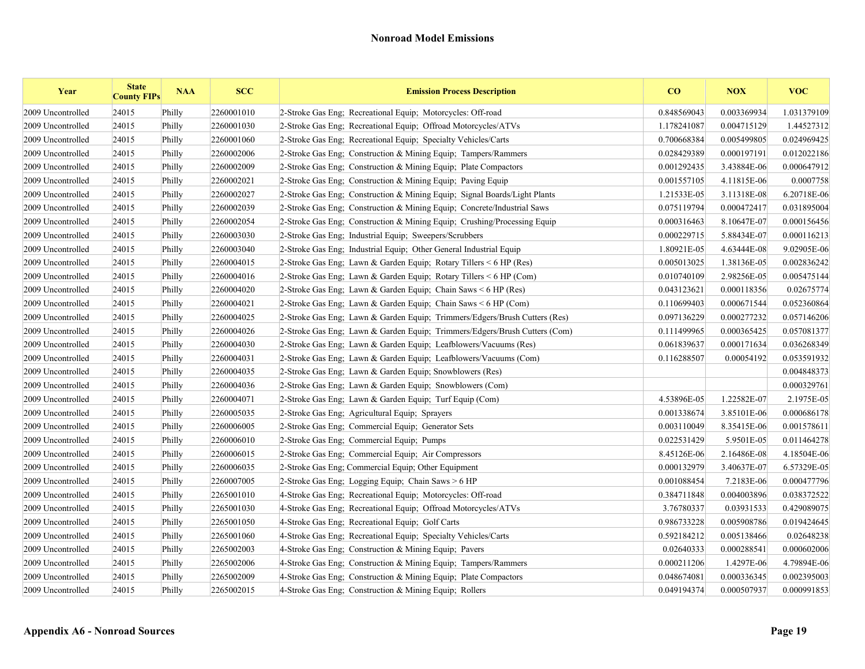| Year              | <b>State</b><br><b>County FIPs</b> | <b>NAA</b> | <b>SCC</b> | <b>Emission Process Description</b>                                        | CO          | <b>NOX</b>  | <b>VOC</b>  |
|-------------------|------------------------------------|------------|------------|----------------------------------------------------------------------------|-------------|-------------|-------------|
| 2009 Uncontrolled | 24015                              | Philly     | 2260001010 | 2-Stroke Gas Eng; Recreational Equip; Motorcycles: Off-road                | 0.848569043 | 0.003369934 | 1.031379109 |
| 2009 Uncontrolled | 24015                              | Philly     | 2260001030 | 2-Stroke Gas Eng; Recreational Equip; Offroad Motorcycles/ATVs             | 1.178241087 | 0.004715129 | 1.44527312  |
| 2009 Uncontrolled | 24015                              | Philly     | 2260001060 | 2-Stroke Gas Eng: Recreational Equip: Specialty Vehicles/Carts             | 0.700668384 | 0.005499805 | 0.024969425 |
| 2009 Uncontrolled | 24015                              | Philly     | 2260002006 | 2-Stroke Gas Eng; Construction & Mining Equip; Tampers/Rammers             | 0.028429389 | 0.000197191 | 0.012022186 |
| 2009 Uncontrolled | 24015                              | Philly     | 2260002009 | 2-Stroke Gas Eng; Construction & Mining Equip; Plate Compactors            | 0.001292435 | 3.43884E-06 | 0.000647912 |
| 2009 Uncontrolled | 24015                              | Philly     | 2260002021 | 2-Stroke Gas Eng: Construction & Mining Equip: Paving Equip                | 0.001557105 | 4.11815E-06 | 0.0007758   |
| 2009 Uncontrolled | 24015                              | Philly     | 2260002027 | 2-Stroke Gas Eng; Construction & Mining Equip; Signal Boards/Light Plants  | 1.21533E-05 | 3.11318E-08 | 6.20718E-06 |
| 2009 Uncontrolled | 24015                              | Philly     | 2260002039 | 2-Stroke Gas Eng; Construction & Mining Equip; Concrete/Industrial Saws    | 0.075119794 | 0.000472417 | 0.031895004 |
| 2009 Uncontrolled | 24015                              | Philly     | 2260002054 | 2-Stroke Gas Eng; Construction & Mining Equip; Crushing/Processing Equip   | 0.000316463 | 8.10647E-07 | 0.000156456 |
| 2009 Uncontrolled | 24015                              | Philly     | 2260003030 | 2-Stroke Gas Eng; Industrial Equip; Sweepers/Scrubbers                     | 0.000229715 | 5.88434E-07 | 0.000116213 |
| 2009 Uncontrolled | 24015                              | Philly     | 2260003040 | 2-Stroke Gas Eng; Industrial Equip; Other General Industrial Equip         | 1.80921E-05 | 4.63444E-08 | 9.02905E-06 |
| 2009 Uncontrolled | 24015                              | Philly     | 2260004015 | 2-Stroke Gas Eng; Lawn & Garden Equip; Rotary Tillers < 6 HP (Res)         | 0.005013025 | 1.38136E-05 | 0.002836242 |
| 2009 Uncontrolled | 24015                              | Philly     | 2260004016 | 2-Stroke Gas Eng; Lawn & Garden Equip; Rotary Tillers $\leq 6$ HP (Com)    | 0.010740109 | 2.98256E-05 | 0.005475144 |
| 2009 Uncontrolled | 24015                              | Philly     | 2260004020 | 2-Stroke Gas Eng; Lawn & Garden Equip; Chain Saws $\leq 6$ HP (Res)        | 0.043123621 | 0.000118356 | 0.02675774  |
| 2009 Uncontrolled | 24015                              | Philly     | 2260004021 | 2-Stroke Gas Eng; Lawn & Garden Equip; Chain Saws < 6 HP (Com)             | 0.110699403 | 0.000671544 | 0.052360864 |
| 2009 Uncontrolled | 24015                              | Philly     | 2260004025 | 2-Stroke Gas Eng; Lawn & Garden Equip; Trimmers/Edgers/Brush Cutters (Res) | 0.097136229 | 0.000277232 | 0.057146206 |
| 2009 Uncontrolled | 24015                              | Philly     | 2260004026 | 2-Stroke Gas Eng; Lawn & Garden Equip; Trimmers/Edgers/Brush Cutters (Com) | 0.111499965 | 0.000365425 | 0.057081377 |
| 2009 Uncontrolled | 24015                              | Philly     | 2260004030 | 2-Stroke Gas Eng; Lawn & Garden Equip; Leafblowers/Vacuums (Res)           | 0.061839637 | 0.000171634 | 0.036268349 |
| 2009 Uncontrolled | 24015                              | Philly     | 2260004031 | 2-Stroke Gas Eng: Lawn & Garden Equip: Leafblowers/Vacuums (Com)           | 0.116288507 | 0.00054192  | 0.053591932 |
| 2009 Uncontrolled | 24015                              | Philly     | 2260004035 | 2-Stroke Gas Eng; Lawn & Garden Equip; Snowblowers (Res)                   |             |             | 0.004848373 |
| 2009 Uncontrolled | 24015                              | Philly     | 2260004036 | 2-Stroke Gas Eng; Lawn & Garden Equip; Snowblowers (Com)                   |             |             | 0.000329761 |
| 2009 Uncontrolled | 24015                              | Philly     | 2260004071 | 2-Stroke Gas Eng; Lawn & Garden Equip; Turf Equip (Com)                    | 4.53896E-05 | 1.22582E-07 | 2.1975E-05  |
| 2009 Uncontrolled | 24015                              | Philly     | 2260005035 | 2-Stroke Gas Eng; Agricultural Equip; Sprayers                             | 0.001338674 | 3.85101E-06 | 0.000686178 |
| 2009 Uncontrolled | 24015                              | Philly     | 2260006005 | 2-Stroke Gas Eng: Commercial Equip: Generator Sets                         | 0.003110049 | 8.35415E-06 | 0.001578611 |
| 2009 Uncontrolled | 24015                              | Philly     | 2260006010 | 2-Stroke Gas Eng; Commercial Equip; Pumps                                  | 0.022531429 | 5.9501E-05  | 0.011464278 |
| 2009 Uncontrolled | 24015                              | Philly     | 2260006015 | 2-Stroke Gas Eng; Commercial Equip; Air Compressors                        | 8.45126E-06 | 2.16486E-08 | 4.18504E-06 |
| 2009 Uncontrolled | 24015                              | Philly     | 2260006035 | 2-Stroke Gas Eng; Commercial Equip; Other Equipment                        | 0.000132979 | 3.40637E-07 | 6.57329E-05 |
| 2009 Uncontrolled | 24015                              | Philly     | 2260007005 | 2-Stroke Gas Eng; Logging Equip; Chain Saws > 6 HP                         | 0.001088454 | 7.2183E-06  | 0.000477796 |
| 2009 Uncontrolled | 24015                              | Philly     | 2265001010 | 4-Stroke Gas Eng; Recreational Equip; Motorcycles: Off-road                | 0.384711848 | 0.004003896 | 0.038372522 |
| 2009 Uncontrolled | 24015                              | Philly     | 2265001030 | 4-Stroke Gas Eng; Recreational Equip; Offroad Motorcycles/ATVs             | 3.76780337  | 0.03931533  | 0.429089075 |
| 2009 Uncontrolled | 24015                              | Philly     | 2265001050 | 4-Stroke Gas Eng; Recreational Equip; Golf Carts                           | 0.986733228 | 0.005908786 | 0.019424645 |
| 2009 Uncontrolled | 24015                              | Philly     | 2265001060 | 4-Stroke Gas Eng; Recreational Equip; Specialty Vehicles/Carts             | 0.592184212 | 0.005138466 | 0.02648238  |
| 2009 Uncontrolled | 24015                              | Philly     | 2265002003 | 4-Stroke Gas Eng; Construction & Mining Equip; Pavers                      | 0.02640333  | 0.000288541 | 0.000602006 |
| 2009 Uncontrolled | 24015                              | Philly     | 2265002006 | 4-Stroke Gas Eng: Construction & Mining Equip: Tampers/Rammers             | 0.000211206 | 1.4297E-06  | 4.79894E-06 |
| 2009 Uncontrolled | 24015                              | Philly     | 2265002009 | 4-Stroke Gas Eng: Construction & Mining Equip: Plate Compactors            | 0.048674081 | 0.000336345 | 0.002395003 |
| 2009 Uncontrolled | 24015                              | Philly     | 2265002015 | 4-Stroke Gas Eng: Construction & Mining Equip: Rollers                     | 0.049194374 | 0.000507937 | 0.000991853 |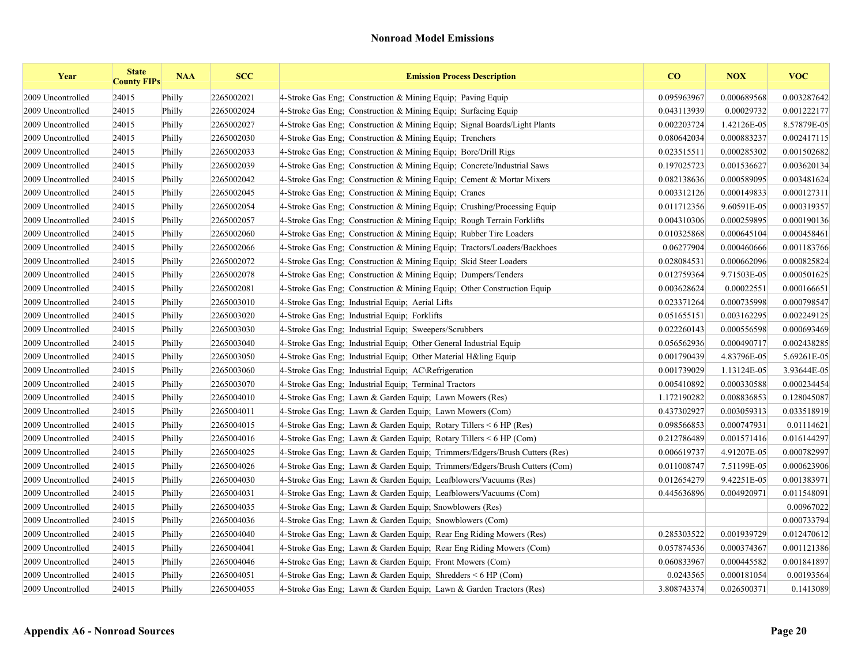| Year              | <b>State</b><br><b>County FIPs</b> | <b>NAA</b> | <b>SCC</b> | <b>Emission Process Description</b>                                        | $\bf{CO}$   | <b>NOX</b>  | <b>VOC</b>  |
|-------------------|------------------------------------|------------|------------|----------------------------------------------------------------------------|-------------|-------------|-------------|
| 2009 Uncontrolled | 24015                              | Philly     | 2265002021 | 4-Stroke Gas Eng; Construction & Mining Equip; Paving Equip                | 0.095963967 | 0.000689568 | 0.003287642 |
| 2009 Uncontrolled | 24015                              | Philly     | 2265002024 | 4-Stroke Gas Eng: Construction & Mining Equip: Surfacing Equip             | 0.043113939 | 0.00029732  | 0.001222177 |
| 2009 Uncontrolled | 24015                              | Philly     | 2265002027 | 4-Stroke Gas Eng: Construction & Mining Equip: Signal Boards/Light Plants  | 0.002203724 | 1.42126E-05 | 8.57879E-05 |
| 2009 Uncontrolled | 24015                              | Philly     | 2265002030 | 4-Stroke Gas Eng; Construction & Mining Equip; Trenchers                   | 0.080642034 | 0.000883237 | 0.002417115 |
| 2009 Uncontrolled | 24015                              | Philly     | 2265002033 | 4-Stroke Gas Eng: Construction & Mining Equip: Bore/Drill Rigs             | 0.023515511 | 0.000285302 | 0.001502682 |
| 2009 Uncontrolled | 24015                              | Philly     | 2265002039 | 4-Stroke Gas Eng: Construction & Mining Equip: Concrete/Industrial Saws    | 0.197025723 | 0.001536627 | 0.003620134 |
| 2009 Uncontrolled | 24015                              | Philly     | 2265002042 | 4-Stroke Gas Eng; Construction & Mining Equip; Cement & Mortar Mixers      | 0.082138636 | 0.000589095 | 0.003481624 |
| 2009 Uncontrolled | 24015                              | Philly     | 2265002045 | 4-Stroke Gas Eng; Construction & Mining Equip; Cranes                      | 0.003312126 | 0.000149833 | 0.000127311 |
| 2009 Uncontrolled | 24015                              | Philly     | 2265002054 | 4-Stroke Gas Eng; Construction & Mining Equip; Crushing/Processing Equip   | 0.011712356 | 9.60591E-05 | 0.000319357 |
| 2009 Uncontrolled | 24015                              | Philly     | 2265002057 | 4-Stroke Gas Eng; Construction & Mining Equip; Rough Terrain Forklifts     | 0.004310306 | 0.000259895 | 0.000190136 |
| 2009 Uncontrolled | 24015                              | Philly     | 2265002060 | 4-Stroke Gas Eng; Construction & Mining Equip; Rubber Tire Loaders         | 0.010325868 | 0.000645104 | 0.000458461 |
| 2009 Uncontrolled | 24015                              | Philly     | 2265002066 | 4-Stroke Gas Eng; Construction & Mining Equip; Tractors/Loaders/Backhoes   | 0.06277904  | 0.000460666 | 0.001183766 |
| 2009 Uncontrolled | 24015                              | Philly     | 2265002072 | 4-Stroke Gas Eng; Construction & Mining Equip; Skid Steer Loaders          | 0.028084531 | 0.000662096 | 0.000825824 |
| 2009 Uncontrolled | 24015                              | Philly     | 2265002078 | 4-Stroke Gas Eng; Construction & Mining Equip; Dumpers/Tenders             | 0.012759364 | 9.71503E-05 | 0.000501625 |
| 2009 Uncontrolled | 24015                              | Philly     | 2265002081 | 4-Stroke Gas Eng: Construction & Mining Equip: Other Construction Equip    | 0.003628624 | 0.00022551  | 0.000166651 |
| 2009 Uncontrolled | 24015                              | Philly     | 2265003010 | 4-Stroke Gas Eng; Industrial Equip; Aerial Lifts                           | 0.023371264 | 0.000735998 | 0.000798547 |
| 2009 Uncontrolled | 24015                              | Philly     | 2265003020 | 4-Stroke Gas Eng; Industrial Equip; Forklifts                              | 0.051655151 | 0.003162295 | 0.002249125 |
| 2009 Uncontrolled | 24015                              | Philly     | 2265003030 | 4-Stroke Gas Eng: Industrial Equip: Sweepers/Scrubbers                     | 0.022260143 | 0.000556598 | 0.000693469 |
| 2009 Uncontrolled | 24015                              | Philly     | 2265003040 | 4-Stroke Gas Eng; Industrial Equip; Other General Industrial Equip         | 0.056562936 | 0.000490717 | 0.002438285 |
| 2009 Uncontrolled | 24015                              | Philly     | 2265003050 | 4-Stroke Gas Eng; Industrial Equip; Other Material H&ling Equip            | 0.001790439 | 4.83796E-05 | 5.69261E-05 |
| 2009 Uncontrolled | 24015                              | Philly     | 2265003060 | 4-Stroke Gas Eng; Industrial Equip; AC\Refrigeration                       | 0.001739029 | 1.13124E-05 | 3.93644E-05 |
| 2009 Uncontrolled | 24015                              | Philly     | 2265003070 | 4-Stroke Gas Eng; Industrial Equip; Terminal Tractors                      | 0.005410892 | 0.000330588 | 0.000234454 |
| 2009 Uncontrolled | 24015                              | Philly     | 2265004010 | 4-Stroke Gas Eng: Lawn & Garden Equip: Lawn Mowers (Res)                   | 1.172190282 | 0.008836853 | 0.128045087 |
| 2009 Uncontrolled | 24015                              | Philly     | 2265004011 | 4-Stroke Gas Eng; Lawn & Garden Equip; Lawn Mowers (Com)                   | 0.437302927 | 0.003059313 | 0.033518919 |
| 2009 Uncontrolled | 24015                              | Philly     | 2265004015 | 4-Stroke Gas Eng; Lawn & Garden Equip; Rotary Tillers < 6 HP (Res)         | 0.098566853 | 0.000747931 | 0.01114621  |
| 2009 Uncontrolled | 24015                              | Philly     | 2265004016 | 4-Stroke Gas Eng; Lawn & Garden Equip; Rotary Tillers $\leq 6$ HP (Com)    | 0.212786489 | 0.001571416 | 0.016144297 |
| 2009 Uncontrolled | 24015                              | Philly     | 2265004025 | 4-Stroke Gas Eng; Lawn & Garden Equip; Trimmers/Edgers/Brush Cutters (Res) | 0.006619737 | 4.91207E-05 | 0.000782997 |
| 2009 Uncontrolled | 24015                              | Philly     | 2265004026 | 4-Stroke Gas Eng; Lawn & Garden Equip; Trimmers/Edgers/Brush Cutters (Com) | 0.011008747 | 7.51199E-05 | 0.000623906 |
| 2009 Uncontrolled | 24015                              | Philly     | 2265004030 | 4-Stroke Gas Eng; Lawn & Garden Equip; Leafblowers/Vacuums (Res)           | 0.012654279 | 9.42251E-05 | 0.001383971 |
| 2009 Uncontrolled | 24015                              | Philly     | 2265004031 | 4-Stroke Gas Eng; Lawn & Garden Equip; Leafblowers/Vacuums (Com)           | 0.445636896 | 0.004920971 | 0.011548091 |
| 2009 Uncontrolled | 24015                              | Philly     | 2265004035 | 4-Stroke Gas Eng; Lawn & Garden Equip; Snowblowers (Res)                   |             |             | 0.00967022  |
| 2009 Uncontrolled | 24015                              | Philly     | 2265004036 | 4-Stroke Gas Eng; Lawn & Garden Equip; Snowblowers (Com)                   |             |             | 0.000733794 |
| 2009 Uncontrolled | 24015                              | Philly     | 2265004040 | 4-Stroke Gas Eng; Lawn & Garden Equip; Rear Eng Riding Mowers (Res)        | 0.285303522 | 0.001939729 | 0.012470612 |
| 2009 Uncontrolled | 24015                              | Philly     | 2265004041 | 4-Stroke Gas Eng; Lawn & Garden Equip; Rear Eng Riding Mowers (Com)        | 0.057874536 | 0.000374367 | 0.001121386 |
| 2009 Uncontrolled | 24015                              | Philly     | 2265004046 | 4-Stroke Gas Eng; Lawn & Garden Equip; Front Mowers (Com)                  | 0.060833967 | 0.000445582 | 0.001841897 |
| 2009 Uncontrolled | 24015                              | Philly     | 2265004051 | 4-Stroke Gas Eng; Lawn & Garden Equip; Shredders $\leq 6$ HP (Com)         | 0.0243565   | 0.000181054 | 0.00193564  |
| 2009 Uncontrolled | 24015                              | Philly     | 2265004055 | 4-Stroke Gas Eng; Lawn & Garden Equip; Lawn & Garden Tractors (Res)        | 3.808743374 | 0.026500371 | 0.1413089   |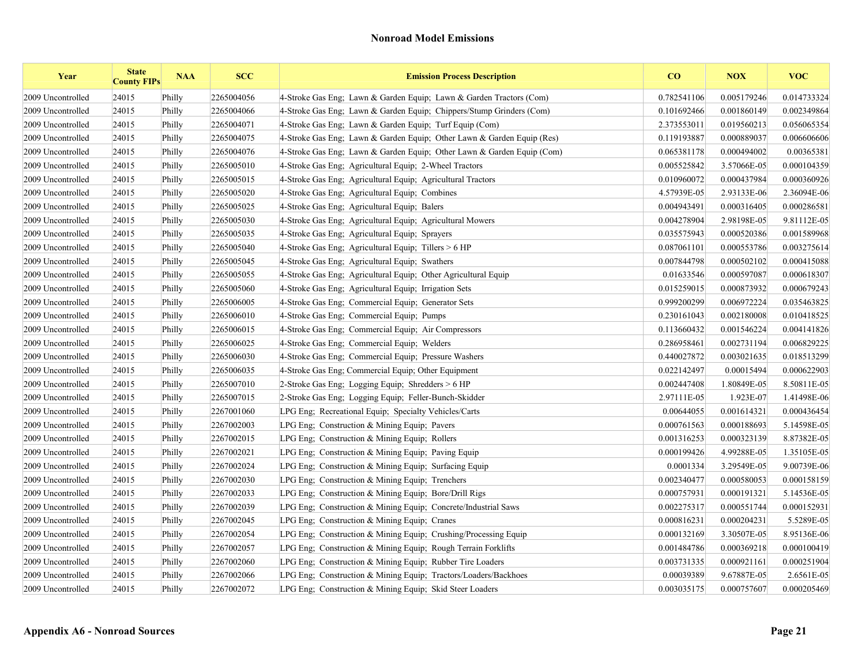| Year              | <b>State</b><br><b>County FIPs</b> | <b>NAA</b> | <b>SCC</b> | <b>Emission Process Description</b>                                    | CO          | <b>NOX</b>  | <b>VOC</b>  |
|-------------------|------------------------------------|------------|------------|------------------------------------------------------------------------|-------------|-------------|-------------|
| 2009 Uncontrolled | 24015                              | Philly     | 2265004056 | 4-Stroke Gas Eng; Lawn & Garden Equip; Lawn & Garden Tractors (Com)    | 0.782541106 | 0.005179246 | 0.014733324 |
| 2009 Uncontrolled | 24015                              | Philly     | 2265004066 | 4-Stroke Gas Eng; Lawn & Garden Equip; Chippers/Stump Grinders (Com)   | 0.101692466 | 0.001860149 | 0.002349864 |
| 2009 Uncontrolled | 24015                              | Philly     | 2265004071 | 4-Stroke Gas Eng; Lawn & Garden Equip; Turf Equip (Com)                | 2.373553011 | 0.019560213 | 0.056065354 |
| 2009 Uncontrolled | 24015                              | Philly     | 2265004075 | 4-Stroke Gas Eng; Lawn & Garden Equip; Other Lawn & Garden Equip (Res) | 0.119193887 | 0.000889037 | 0.006606606 |
| 2009 Uncontrolled | 24015                              | Philly     | 2265004076 | 4-Stroke Gas Eng; Lawn & Garden Equip; Other Lawn & Garden Equip (Com) | 0.065381178 | 0.000494002 | 0.00365381  |
| 2009 Uncontrolled | 24015                              | Philly     | 2265005010 | 4-Stroke Gas Eng: Agricultural Equip: 2-Wheel Tractors                 | 0.005525842 | 3.57066E-05 | 0.000104359 |
| 2009 Uncontrolled | 24015                              | Philly     | 2265005015 | 4-Stroke Gas Eng; Agricultural Equip; Agricultural Tractors            | 0.010960072 | 0.000437984 | 0.000360926 |
| 2009 Uncontrolled | 24015                              | Philly     | 2265005020 | 4-Stroke Gas Eng; Agricultural Equip; Combines                         | 4.57939E-05 | 2.93133E-06 | 2.36094E-06 |
| 2009 Uncontrolled | 24015                              | Philly     | 2265005025 | 4-Stroke Gas Eng; Agricultural Equip; Balers                           | 0.004943491 | 0.000316405 | 0.000286581 |
| 2009 Uncontrolled | 24015                              | Philly     | 2265005030 | 4-Stroke Gas Eng; Agricultural Equip; Agricultural Mowers              | 0.004278904 | 2.98198E-05 | 9.81112E-05 |
| 2009 Uncontrolled | 24015                              | Philly     | 2265005035 | 4-Stroke Gas Eng; Agricultural Equip; Sprayers                         | 0.035575943 | 0.000520386 | 0.001589968 |
| 2009 Uncontrolled | 24015                              | Philly     | 2265005040 | 4-Stroke Gas Eng; Agricultural Equip; Tillers $> 6$ HP                 | 0.087061101 | 0.000553786 | 0.003275614 |
| 2009 Uncontrolled | 24015                              | Philly     | 2265005045 | 4-Stroke Gas Eng; Agricultural Equip; Swathers                         | 0.007844798 | 0.000502102 | 0.000415088 |
| 2009 Uncontrolled | 24015                              | Philly     | 2265005055 | 4-Stroke Gas Eng; Agricultural Equip; Other Agricultural Equip         | 0.01633546  | 0.000597087 | 0.000618307 |
| 2009 Uncontrolled | 24015                              | Philly     | 2265005060 | 4-Stroke Gas Eng; Agricultural Equip; Irrigation Sets                  | 0.015259015 | 0.000873932 | 0.000679243 |
| 2009 Uncontrolled | 24015                              | Philly     | 2265006005 | 4-Stroke Gas Eng; Commercial Equip; Generator Sets                     | 0.999200299 | 0.006972224 | 0.035463825 |
| 2009 Uncontrolled | 24015                              | Philly     | 2265006010 | 4-Stroke Gas Eng; Commercial Equip; Pumps                              | 0.230161043 | 0.002180008 | 0.010418525 |
| 2009 Uncontrolled | 24015                              | Philly     | 2265006015 | 4-Stroke Gas Eng; Commercial Equip; Air Compressors                    | 0.113660432 | 0.001546224 | 0.004141826 |
| 2009 Uncontrolled | 24015                              | Philly     | 2265006025 | 4-Stroke Gas Eng: Commercial Equip: Welders                            | 0.286958461 | 0.002731194 | 0.006829225 |
| 2009 Uncontrolled | 24015                              | Philly     | 2265006030 | 4-Stroke Gas Eng; Commercial Equip; Pressure Washers                   | 0.440027872 | 0.003021635 | 0.018513299 |
| 2009 Uncontrolled | 24015                              | Philly     | 2265006035 | 4-Stroke Gas Eng; Commercial Equip; Other Equipment                    | 0.022142497 | 0.00015494  | 0.000622903 |
| 2009 Uncontrolled | 24015                              | Philly     | 2265007010 | 2-Stroke Gas Eng; Logging Equip; Shredders > 6 HP                      | 0.002447408 | 1.80849E-05 | 8.50811E-05 |
| 2009 Uncontrolled | 24015                              | Philly     | 2265007015 | 2-Stroke Gas Eng; Logging Equip; Feller-Bunch-Skidder                  | 2.97111E-05 | 1.923E-07   | 1.41498E-06 |
| 2009 Uncontrolled | 24015                              | Philly     | 2267001060 | LPG Eng; Recreational Equip; Specialty Vehicles/Carts                  | 0.00644055  | 0.001614321 | 0.000436454 |
| 2009 Uncontrolled | 24015                              | Philly     | 2267002003 | LPG Eng; Construction & Mining Equip; Pavers                           | 0.000761563 | 0.000188693 | 5.14598E-05 |
| 2009 Uncontrolled | 24015                              | Philly     | 2267002015 | LPG Eng; Construction & Mining Equip; Rollers                          | 0.001316253 | 0.000323139 | 8.87382E-05 |
| 2009 Uncontrolled | 24015                              | Philly     | 2267002021 | LPG Eng; Construction & Mining Equip; Paving Equip                     | 0.000199426 | 4.99288E-05 | 1.35105E-05 |
| 2009 Uncontrolled | 24015                              | Philly     | 2267002024 | LPG Eng; Construction & Mining Equip; Surfacing Equip                  | 0.0001334   | 3.29549E-05 | 9.00739E-06 |
| 2009 Uncontrolled | 24015                              | Philly     | 2267002030 | LPG Eng: Construction & Mining Equip; Trenchers                        | 0.002340477 | 0.000580053 | 0.000158159 |
| 2009 Uncontrolled | 24015                              | Philly     | 2267002033 | LPG Eng: Construction & Mining Equip: Bore/Drill Rigs                  | 0.000757931 | 0.000191321 | 5.14536E-05 |
| 2009 Uncontrolled | 24015                              | Philly     | 2267002039 | LPG Eng; Construction & Mining Equip; Concrete/Industrial Saws         | 0.002275317 | 0.000551744 | 0.000152931 |
| 2009 Uncontrolled | 24015                              | Philly     | 2267002045 | LPG Eng; Construction & Mining Equip; Cranes                           | 0.000816231 | 0.000204231 | 5.5289E-05  |
| 2009 Uncontrolled | 24015                              | Philly     | 2267002054 | LPG Eng; Construction & Mining Equip; Crushing/Processing Equip        | 0.000132169 | 3.30507E-05 | 8.95136E-06 |
| 2009 Uncontrolled | 24015                              | Philly     | 2267002057 | LPG Eng; Construction & Mining Equip; Rough Terrain Forklifts          | 0.001484786 | 0.000369218 | 0.000100419 |
| 2009 Uncontrolled | 24015                              | Philly     | 2267002060 | LPG Eng; Construction & Mining Equip; Rubber Tire Loaders              | 0.003731335 | 0.000921161 | 0.000251904 |
| 2009 Uncontrolled | 24015                              | Philly     | 2267002066 | LPG Eng; Construction & Mining Equip; Tractors/Loaders/Backhoes        | 0.00039389  | 9.67887E-05 | 2.6561E-05  |
| 2009 Uncontrolled | 24015                              | Philly     | 2267002072 | LPG Eng; Construction & Mining Equip; Skid Steer Loaders               | 0.003035175 | 0.000757607 | 0.000205469 |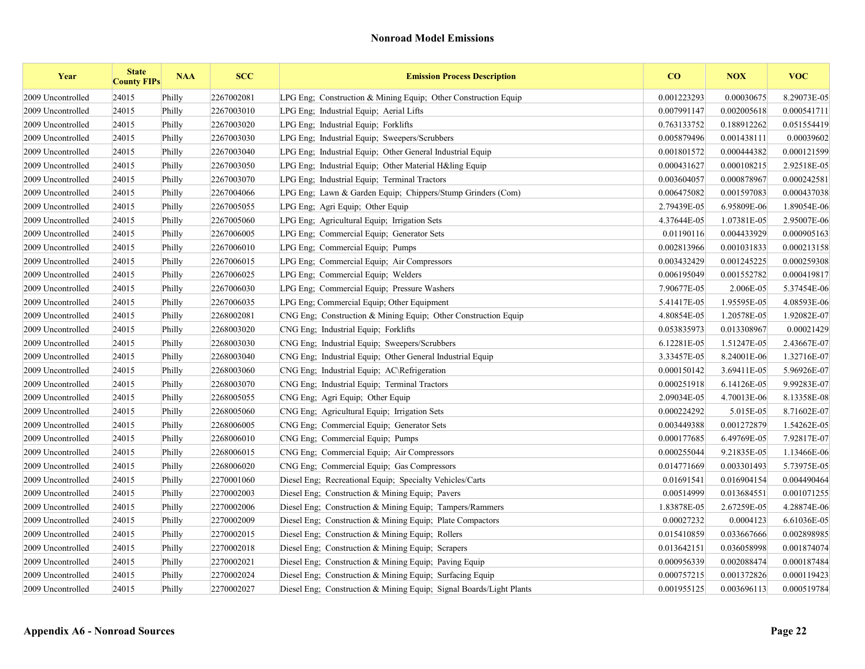| Year              | <b>State</b><br><b>County FIPs</b> | <b>NAA</b> | <b>SCC</b> | <b>Emission Process Description</b>                                 | CO          | <b>NOX</b>  | <b>VOC</b>  |
|-------------------|------------------------------------|------------|------------|---------------------------------------------------------------------|-------------|-------------|-------------|
| 2009 Uncontrolled | 24015                              | Philly     | 2267002081 | LPG Eng; Construction & Mining Equip; Other Construction Equip      | 0.001223293 | 0.00030675  | 8.29073E-05 |
| 2009 Uncontrolled | 24015                              | Philly     | 2267003010 | LPG Eng; Industrial Equip; Aerial Lifts                             | 0.007991147 | 0.002005618 | 0.000541711 |
| 2009 Uncontrolled | 24015                              | Philly     | 2267003020 | LPG Eng; Industrial Equip; Forklifts                                | 0.763133752 | 0.188912262 | 0.051554419 |
| 2009 Uncontrolled | 24015                              | Philly     | 2267003030 | LPG Eng; Industrial Equip; Sweepers/Scrubbers                       | 0.005879496 | 0.001438111 | 0.00039602  |
| 2009 Uncontrolled | 24015                              | Philly     | 2267003040 | LPG Eng: Industrial Equip: Other General Industrial Equip           | 0.001801572 | 0.000444382 | 0.000121599 |
| 2009 Uncontrolled | 24015                              | Philly     | 2267003050 | LPG Eng; Industrial Equip; Other Material H&ling Equip              | 0.000431627 | 0.000108215 | 2.92518E-05 |
| 2009 Uncontrolled | 24015                              | Philly     | 2267003070 | LPG Eng; Industrial Equip; Terminal Tractors                        | 0.003604057 | 0.000878967 | 0.000242581 |
| 2009 Uncontrolled | 24015                              | Philly     | 2267004066 | LPG Eng; Lawn & Garden Equip; Chippers/Stump Grinders (Com)         | 0.006475082 | 0.001597083 | 0.000437038 |
| 2009 Uncontrolled | 24015                              | Philly     | 2267005055 | LPG Eng; Agri Equip; Other Equip                                    | 2.79439E-05 | 6.95809E-06 | 1.89054E-06 |
| 2009 Uncontrolled | 24015                              | Philly     | 2267005060 | LPG Eng; Agricultural Equip; Irrigation Sets                        | 4.37644E-05 | 1.07381E-05 | 2.95007E-06 |
| 2009 Uncontrolled | 24015                              | Philly     | 2267006005 | LPG Eng; Commercial Equip; Generator Sets                           | 0.01190116  | 0.004433929 | 0.000905163 |
| 2009 Uncontrolled | 24015                              | Philly     | 2267006010 | LPG Eng; Commercial Equip; Pumps                                    | 0.002813966 | 0.001031833 | 0.000213158 |
| 2009 Uncontrolled | 24015                              | Philly     | 2267006015 | LPG Eng; Commercial Equip; Air Compressors                          | 0.003432429 | 0.001245225 | 0.000259308 |
| 2009 Uncontrolled | 24015                              | Philly     | 2267006025 | LPG Eng; Commercial Equip; Welders                                  | 0.006195049 | 0.001552782 | 0.000419817 |
| 2009 Uncontrolled | 24015                              | Philly     | 2267006030 | LPG Eng; Commercial Equip; Pressure Washers                         | 7.90677E-05 | 2.006E-05   | 5.37454E-06 |
| 2009 Uncontrolled | 24015                              | Philly     | 2267006035 | LPG Eng; Commercial Equip; Other Equipment                          | 5.41417E-05 | 1.95595E-05 | 4.08593E-06 |
| 2009 Uncontrolled | 24015                              | Philly     | 2268002081 | CNG Eng; Construction & Mining Equip; Other Construction Equip      | 4.80854E-05 | 1.20578E-05 | 1.92082E-07 |
| 2009 Uncontrolled | 24015                              | Philly     | 2268003020 | CNG Eng: Industrial Equip: Forklifts                                | 0.053835973 | 0.013308967 | 0.00021429  |
| 2009 Uncontrolled | 24015                              | Philly     | 2268003030 | CNG Eng; Industrial Equip; Sweepers/Scrubbers                       | 6.12281E-05 | 1.51247E-05 | 2.43667E-07 |
| 2009 Uncontrolled | 24015                              | Philly     | 2268003040 | CNG Eng; Industrial Equip; Other General Industrial Equip           | 3.33457E-05 | 8.24001E-06 | 1.32716E-07 |
| 2009 Uncontrolled | 24015                              | Philly     | 2268003060 | CNG Eng; Industrial Equip; AC\Refrigeration                         | 0.000150142 | 3.69411E-05 | 5.96926E-07 |
| 2009 Uncontrolled | 24015                              | Philly     | 2268003070 | CNG Eng; Industrial Equip; Terminal Tractors                        | 0.000251918 | 6.14126E-05 | 9.99283E-07 |
| 2009 Uncontrolled | 24015                              | Philly     | 2268005055 | CNG Eng; Agri Equip; Other Equip                                    | 2.09034E-05 | 4.70013E-06 | 8.13358E-08 |
| 2009 Uncontrolled | 24015                              | Philly     | 2268005060 | CNG Eng; Agricultural Equip; Irrigation Sets                        | 0.000224292 | 5.015E-05   | 8.71602E-07 |
| 2009 Uncontrolled | 24015                              | Philly     | 2268006005 | CNG Eng; Commercial Equip; Generator Sets                           | 0.003449388 | 0.001272879 | 1.54262E-05 |
| 2009 Uncontrolled | 24015                              | Philly     | 2268006010 | CNG Eng; Commercial Equip; Pumps                                    | 0.000177685 | 6.49769E-05 | 7.92817E-07 |
| 2009 Uncontrolled | 24015                              | Philly     | 2268006015 | CNG Eng; Commercial Equip; Air Compressors                          | 0.000255044 | 9.21835E-05 | 1.13466E-06 |
| 2009 Uncontrolled | 24015                              | Philly     | 2268006020 | CNG Eng: Commercial Equip: Gas Compressors                          | 0.014771669 | 0.003301493 | 5.73975E-05 |
| 2009 Uncontrolled | 24015                              | Philly     | 2270001060 | Diesel Eng; Recreational Equip; Specialty Vehicles/Carts            | 0.01691541  | 0.016904154 | 0.004490464 |
| 2009 Uncontrolled | 24015                              | Philly     | 2270002003 | Diesel Eng; Construction & Mining Equip; Pavers                     | 0.00514999  | 0.013684551 | 0.001071255 |
| 2009 Uncontrolled | 24015                              | Philly     | 2270002006 | Diesel Eng; Construction & Mining Equip; Tampers/Rammers            | 1.83878E-05 | 2.67259E-05 | 4.28874E-06 |
| 2009 Uncontrolled | 24015                              | Philly     | 2270002009 | Diesel Eng; Construction & Mining Equip; Plate Compactors           | 0.00027232  | 0.0004123   | 6.61036E-05 |
| 2009 Uncontrolled | 24015                              | Philly     | 2270002015 | Diesel Eng: Construction & Mining Equip: Rollers                    | 0.015410859 | 0.033667666 | 0.002898985 |
| 2009 Uncontrolled | 24015                              | Philly     | 2270002018 | Diesel Eng; Construction & Mining Equip; Scrapers                   | 0.013642151 | 0.036058998 | 0.001874074 |
| 2009 Uncontrolled | 24015                              | Philly     | 2270002021 | Diesel Eng; Construction & Mining Equip; Paving Equip               | 0.000956339 | 0.002088474 | 0.000187484 |
| 2009 Uncontrolled | 24015                              | Philly     | 2270002024 | Diesel Eng; Construction & Mining Equip; Surfacing Equip            | 0.000757215 | 0.001372826 | 0.000119423 |
| 2009 Uncontrolled | 24015                              | Philly     | 2270002027 | Diesel Eng; Construction & Mining Equip; Signal Boards/Light Plants | 0.001955125 | 0.003696113 | 0.000519784 |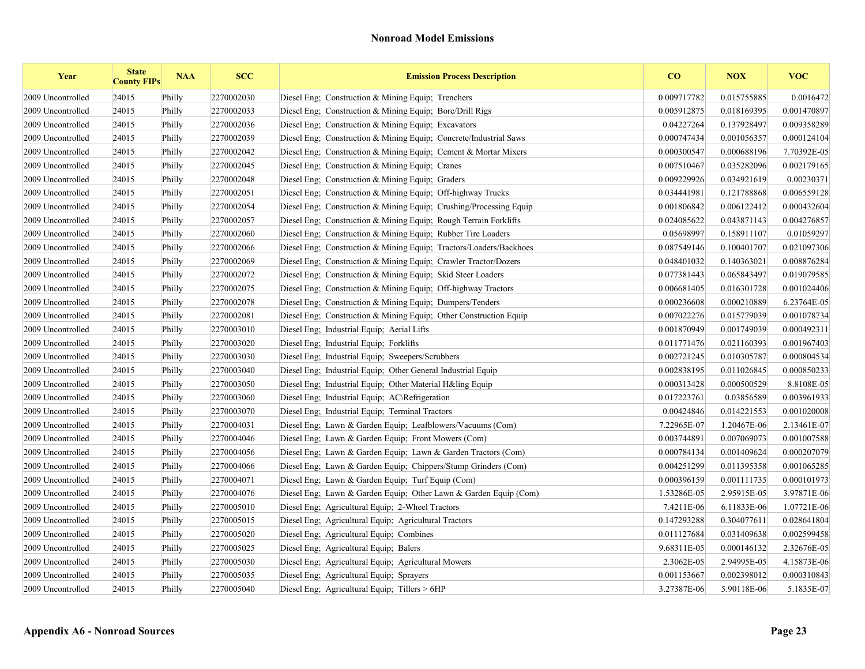| Year              | <b>State</b><br><b>County FIPs</b> | <b>NAA</b> | <b>SCC</b> | <b>Emission Process Description</b>                                | CO          | <b>NOX</b>  | <b>VOC</b>  |
|-------------------|------------------------------------|------------|------------|--------------------------------------------------------------------|-------------|-------------|-------------|
| 2009 Uncontrolled | 24015                              | Philly     | 2270002030 | Diesel Eng: Construction & Mining Equip: Trenchers                 | 0.009717782 | 0.015755885 | 0.0016472   |
| 2009 Uncontrolled | 24015                              | Philly     | 2270002033 | Diesel Eng; Construction & Mining Equip; Bore/Drill Rigs           | 0.005912875 | 0.018169395 | 0.001470897 |
| 2009 Uncontrolled | 24015                              | Philly     | 2270002036 | Diesel Eng: Construction & Mining Equip: Excavators                | 0.04227264  | 0.137928497 | 0.009358289 |
| 2009 Uncontrolled | 24015                              | Philly     | 2270002039 | Diesel Eng; Construction & Mining Equip; Concrete/Industrial Saws  | 0.000747434 | 0.001056357 | 0.000124104 |
| 2009 Uncontrolled | 24015                              | Philly     | 2270002042 | Diesel Eng; Construction & Mining Equip; Cement & Mortar Mixers    | 0.000300547 | 0.000688196 | 7.70392E-05 |
| 2009 Uncontrolled | 24015                              | Philly     | 2270002045 | Diesel Eng; Construction & Mining Equip; Cranes                    | 0.007510467 | 0.035282096 | 0.002179165 |
| 2009 Uncontrolled | 24015                              | Philly     | 2270002048 | Diesel Eng; Construction & Mining Equip; Graders                   | 0.009229926 | 0.034921619 | 0.00230371  |
| 2009 Uncontrolled | 24015                              | Philly     | 2270002051 | Diesel Eng; Construction & Mining Equip; Off-highway Trucks        | 0.034441981 | 0.121788868 | 0.006559128 |
| 2009 Uncontrolled | 24015                              | Philly     | 2270002054 | Diesel Eng; Construction & Mining Equip; Crushing/Processing Equip | 0.001806842 | 0.006122412 | 0.000432604 |
| 2009 Uncontrolled | 24015                              | Philly     | 2270002057 | Diesel Eng; Construction & Mining Equip; Rough Terrain Forklifts   | 0.024085622 | 0.043871143 | 0.004276857 |
| 2009 Uncontrolled | 24015                              | Philly     | 2270002060 | Diesel Eng: Construction & Mining Equip: Rubber Tire Loaders       | 0.05698997  | 0.158911107 | 0.01059297  |
| 2009 Uncontrolled | 24015                              | Philly     | 2270002066 | Diesel Eng; Construction & Mining Equip; Tractors/Loaders/Backhoes | 0.087549146 | 0.100401707 | 0.021097306 |
| 2009 Uncontrolled | 24015                              | Philly     | 2270002069 | Diesel Eng; Construction & Mining Equip; Crawler Tractor/Dozers    | 0.048401032 | 0.140363021 | 0.008876284 |
| 2009 Uncontrolled | 24015                              | Philly     | 2270002072 | Diesel Eng; Construction & Mining Equip; Skid Steer Loaders        | 0.077381443 | 0.065843497 | 0.019079585 |
| 2009 Uncontrolled | 24015                              | Philly     | 2270002075 | Diesel Eng; Construction & Mining Equip; Off-highway Tractors      | 0.006681405 | 0.016301728 | 0.001024406 |
| 2009 Uncontrolled | 24015                              | Philly     | 2270002078 | Diesel Eng; Construction & Mining Equip; Dumpers/Tenders           | 0.000236608 | 0.000210889 | 6.23764E-05 |
| 2009 Uncontrolled | 24015                              | Philly     | 2270002081 | Diesel Eng: Construction & Mining Equip: Other Construction Equip  | 0.007022276 | 0.015779039 | 0.001078734 |
| 2009 Uncontrolled | 24015                              | Philly     | 2270003010 | Diesel Eng; Industrial Equip; Aerial Lifts                         | 0.001870949 | 0.001749039 | 0.000492311 |
| 2009 Uncontrolled | 24015                              | Philly     | 2270003020 | Diesel Eng; Industrial Equip; Forklifts                            | 0.011771476 | 0.021160393 | 0.001967403 |
| 2009 Uncontrolled | 24015                              | Philly     | 2270003030 | Diesel Eng; Industrial Equip; Sweepers/Scrubbers                   | 0.002721245 | 0.010305787 | 0.000804534 |
| 2009 Uncontrolled | 24015                              | Philly     | 2270003040 | Diesel Eng; Industrial Equip; Other General Industrial Equip       | 0.002838195 | 0.011026845 | 0.000850233 |
| 2009 Uncontrolled | 24015                              | Philly     | 2270003050 | Diesel Eng; Industrial Equip; Other Material H&ling Equip          | 0.000313428 | 0.000500529 | 8.8108E-05  |
| 2009 Uncontrolled | 24015                              | Philly     | 2270003060 | Diesel Eng; Industrial Equip; AC\Refrigeration                     | 0.017223761 | 0.03856589  | 0.003961933 |
| 2009 Uncontrolled | 24015                              | Philly     | 2270003070 | Diesel Eng; Industrial Equip; Terminal Tractors                    | 0.00424846  | 0.014221553 | 0.001020008 |
| 2009 Uncontrolled | 24015                              | Philly     | 2270004031 | Diesel Eng; Lawn & Garden Equip; Leafblowers/Vacuums (Com)         | 7.22965E-07 | 1.20467E-06 | 2.13461E-07 |
| 2009 Uncontrolled | 24015                              | Philly     | 2270004046 | Diesel Eng; Lawn & Garden Equip; Front Mowers (Com)                | 0.003744891 | 0.007069073 | 0.001007588 |
| 2009 Uncontrolled | 24015                              | Philly     | 2270004056 | Diesel Eng; Lawn & Garden Equip; Lawn & Garden Tractors (Com)      | 0.000784134 | 0.001409624 | 0.000207079 |
| 2009 Uncontrolled | 24015                              | Philly     | 2270004066 | Diesel Eng; Lawn & Garden Equip; Chippers/Stump Grinders (Com)     | 0.004251299 | 0.011395358 | 0.001065285 |
| 2009 Uncontrolled | 24015                              | Philly     | 2270004071 | Diesel Eng; Lawn & Garden Equip; Turf Equip (Com)                  | 0.000396159 | 0.001111735 | 0.000101973 |
| 2009 Uncontrolled | 24015                              | Philly     | 2270004076 | Diesel Eng; Lawn & Garden Equip; Other Lawn & Garden Equip (Com)   | 1.53286E-05 | 2.95915E-05 | 3.97871E-06 |
| 2009 Uncontrolled | 24015                              | Philly     | 2270005010 | Diesel Eng; Agricultural Equip; 2-Wheel Tractors                   | 7.4211E-06  | 6.11833E-06 | 1.07721E-06 |
| 2009 Uncontrolled | 24015                              | Philly     | 2270005015 | Diesel Eng; Agricultural Equip; Agricultural Tractors              | 0.147293288 | 0.304077611 | 0.028641804 |
| 2009 Uncontrolled | 24015                              | Philly     | 2270005020 | Diesel Eng; Agricultural Equip; Combines                           | 0.011127684 | 0.031409638 | 0.002599458 |
| 2009 Uncontrolled | 24015                              | Philly     | 2270005025 | Diesel Eng; Agricultural Equip; Balers                             | 9.68311E-05 | 0.000146132 | 2.32676E-05 |
| 2009 Uncontrolled | 24015                              | Philly     | 2270005030 | Diesel Eng; Agricultural Equip; Agricultural Mowers                | 2.3062E-05  | 2.94995E-05 | 4.15873E-06 |
| 2009 Uncontrolled | 24015                              | Philly     | 2270005035 | Diesel Eng: Agricultural Equip: Sprayers                           | 0.001153667 | 0.002398012 | 0.000310843 |
| 2009 Uncontrolled | 24015                              | Philly     | 2270005040 | Diesel Eng; Agricultural Equip; Tillers > 6HP                      | 3.27387E-06 | 5.90118E-06 | 5.1835E-07  |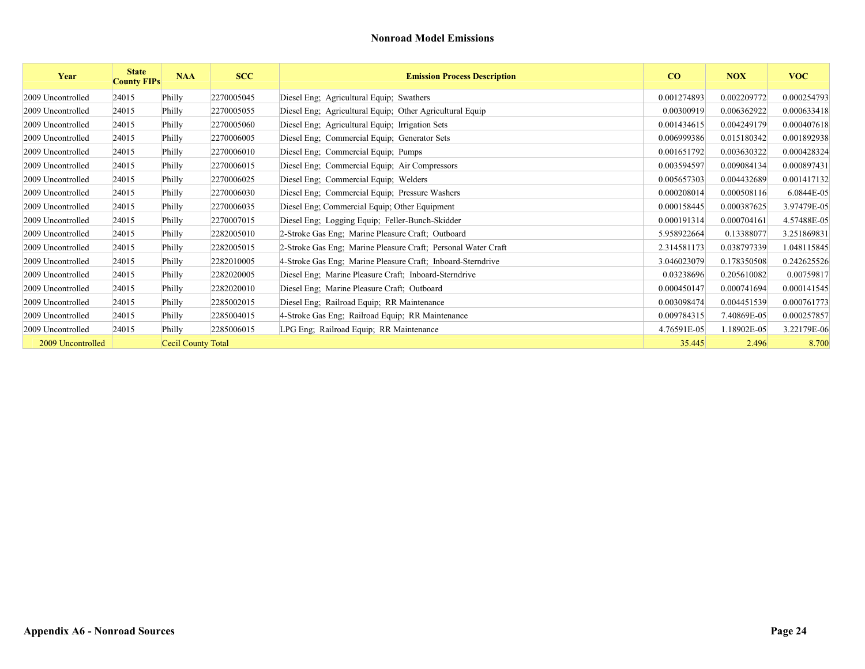| Year              | <b>State</b><br><b>County FIPs</b> | <b>NAA</b>         | <b>SCC</b> | <b>Emission Process Description</b>                           | CO          | <b>NOX</b>  | <b>VOC</b>  |
|-------------------|------------------------------------|--------------------|------------|---------------------------------------------------------------|-------------|-------------|-------------|
| 2009 Uncontrolled | 24015                              | Philly             | 2270005045 | Diesel Eng; Agricultural Equip; Swathers                      | 0.001274893 | 0.002209772 | 0.000254793 |
| 2009 Uncontrolled | 24015                              | Philly             | 2270005055 | Diesel Eng; Agricultural Equip; Other Agricultural Equip      | 0.00300919  | 0.006362922 | 0.000633418 |
| 2009 Uncontrolled | 24015                              | Philly             | 2270005060 | Diesel Eng; Agricultural Equip; Irrigation Sets               | 0.001434615 | 0.004249179 | 0.000407618 |
| 2009 Uncontrolled | 24015                              | Philly             | 2270006005 | Diesel Eng; Commercial Equip; Generator Sets                  | 0.006999386 | 0.015180342 | 0.001892938 |
| 2009 Uncontrolled | 24015                              | Philly             | 2270006010 | Diesel Eng; Commercial Equip; Pumps                           | 0.001651792 | 0.003630322 | 0.000428324 |
| 2009 Uncontrolled | 24015                              | Philly             | 2270006015 | Diesel Eng; Commercial Equip; Air Compressors                 | 0.003594597 | 0.009084134 | 0.000897431 |
| 2009 Uncontrolled | 24015                              | Philly             | 2270006025 | Diesel Eng; Commercial Equip; Welders                         | 0.005657303 | 0.004432689 | 0.001417132 |
| 2009 Uncontrolled | 24015                              | Philly             | 2270006030 | Diesel Eng; Commercial Equip; Pressure Washers                | 0.000208014 | 0.000508116 | 6.0844E-05  |
| 2009 Uncontrolled | 24015                              | Philly             | 2270006035 | Diesel Eng; Commercial Equip; Other Equipment                 | 0.000158445 | 0.000387625 | 3.97479E-05 |
| 2009 Uncontrolled | 24015                              | Philly             | 2270007015 | Diesel Eng; Logging Equip; Feller-Bunch-Skidder               | 0.000191314 | 0.000704161 | 4.57488E-05 |
| 2009 Uncontrolled | 24015                              | Philly             | 2282005010 | 2-Stroke Gas Eng; Marine Pleasure Craft; Outboard             | 5.958922664 | 0.13388077  | 3.251869831 |
| 2009 Uncontrolled | 24015                              | Philly             | 2282005015 | 2-Stroke Gas Eng; Marine Pleasure Craft; Personal Water Craft | 2.314581173 | 0.038797339 | 1.048115845 |
| 2009 Uncontrolled | 24015                              | Philly             | 2282010005 | 4-Stroke Gas Eng; Marine Pleasure Craft; Inboard-Sterndrive   | 3.046023079 | 0.178350508 | 0.242625526 |
| 2009 Uncontrolled | 24015                              | Philly             | 2282020005 | Diesel Eng; Marine Pleasure Craft; Inboard-Sterndrive         | 0.03238696  | 0.205610082 | 0.00759817  |
| 2009 Uncontrolled | 24015                              | Philly             | 2282020010 | Diesel Eng; Marine Pleasure Craft; Outboard                   | 0.000450147 | 0.000741694 | 0.000141545 |
| 2009 Uncontrolled | 24015                              | Philly             | 2285002015 | Diesel Eng; Railroad Equip; RR Maintenance                    | 0.003098474 | 0.004451539 | 0.000761773 |
| 2009 Uncontrolled | 24015                              | Philly             | 2285004015 | 4-Stroke Gas Eng; Railroad Equip; RR Maintenance              | 0.009784315 | 7.40869E-05 | 0.000257857 |
| 2009 Uncontrolled | 24015                              | Philly             | 2285006015 | LPG Eng; Railroad Equip; RR Maintenance                       | 4.76591E-05 | 1.18902E-05 | 3.22179E-06 |
| 2009 Uncontrolled |                                    | Cecil County Total |            |                                                               | 35.445      | 2.496       | 8.700       |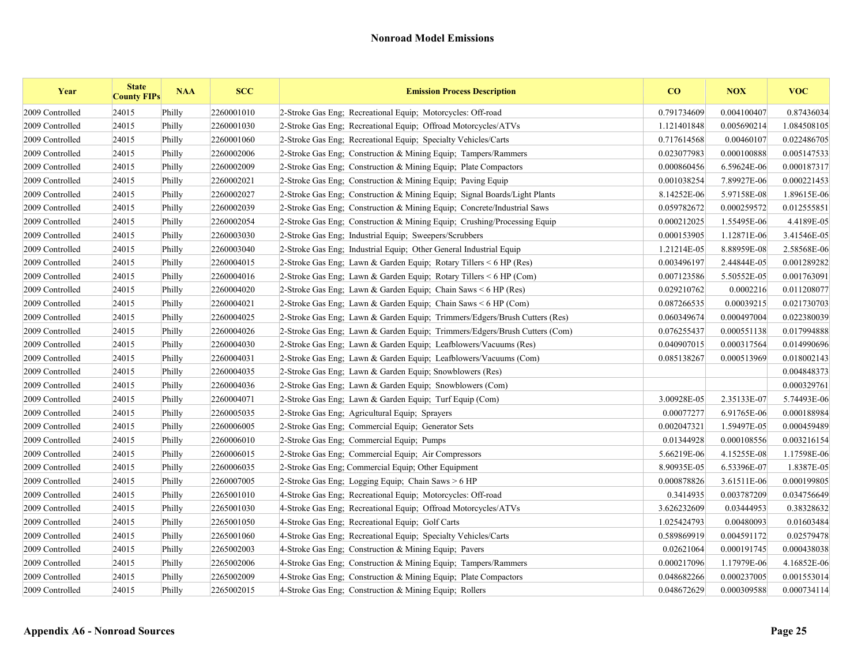| Year            | <b>State</b><br><b>County FIPs</b> | <b>NAA</b> | <b>SCC</b> | <b>Emission Process Description</b>                                        | CO          | <b>NOX</b>  | <b>VOC</b>  |
|-----------------|------------------------------------|------------|------------|----------------------------------------------------------------------------|-------------|-------------|-------------|
| 2009 Controlled | 24015                              | Philly     | 2260001010 | 2-Stroke Gas Eng: Recreational Equip: Motorcycles: Off-road                | 0.791734609 | 0.004100407 | 0.87436034  |
| 2009 Controlled | 24015                              | Philly     | 2260001030 | 2-Stroke Gas Eng; Recreational Equip; Offroad Motorcycles/ATVs             | 1.121401848 | 0.005690214 | 1.084508105 |
| 2009 Controlled | 24015                              | Philly     | 2260001060 | 2-Stroke Gas Eng: Recreational Equip: Specialty Vehicles/Carts             | 0.717614568 | 0.00460107  | 0.022486705 |
| 2009 Controlled | 24015                              | Philly     | 2260002006 | 2-Stroke Gas Eng; Construction & Mining Equip; Tampers/Rammers             | 0.023077983 | 0.000100888 | 0.005147533 |
| 2009 Controlled | 24015                              | Philly     | 2260002009 | 2-Stroke Gas Eng: Construction & Mining Equip: Plate Compactors            | 0.000860456 | 6.59624E-06 | 0.000187317 |
| 2009 Controlled | 24015                              | Philly     | 2260002021 | 2-Stroke Gas Eng: Construction & Mining Equip: Paving Equip                | 0.001038254 | 7.89927E-06 | 0.000221453 |
| 2009 Controlled | 24015                              | Philly     | 2260002027 | 2-Stroke Gas Eng: Construction & Mining Equip; Signal Boards/Light Plants  | 8.14252E-06 | 5.97158E-08 | 1.89615E-06 |
| 2009 Controlled | 24015                              | Philly     | 2260002039 | 2-Stroke Gas Eng; Construction & Mining Equip; Concrete/Industrial Saws    | 0.059782672 | 0.000259572 | 0.012555851 |
| 2009 Controlled | 24015                              | Philly     | 2260002054 | 2-Stroke Gas Eng; Construction & Mining Equip; Crushing/Processing Equip   | 0.000212025 | 1.55495E-06 | 4.4189E-05  |
| 2009 Controlled | 24015                              | Philly     | 2260003030 | 2-Stroke Gas Eng; Industrial Equip; Sweepers/Scrubbers                     | 0.000153905 | 1.12871E-06 | 3.41546E-05 |
| 2009 Controlled | 24015                              | Philly     | 2260003040 | 2-Stroke Gas Eng; Industrial Equip; Other General Industrial Equip         | 1.21214E-05 | 8.88959E-08 | 2.58568E-06 |
| 2009 Controlled | 24015                              | Philly     | 2260004015 | 2-Stroke Gas Eng; Lawn & Garden Equip; Rotary Tillers $\leq 6$ HP (Res)    | 0.003496197 | 2.44844E-05 | 0.001289282 |
| 2009 Controlled | 24015                              | Philly     | 2260004016 | 2-Stroke Gas Eng; Lawn & Garden Equip; Rotary Tillers < 6 HP (Com)         | 0.007123586 | 5.50552E-05 | 0.001763091 |
| 2009 Controlled | 24015                              | Philly     | 2260004020 | 2-Stroke Gas Eng; Lawn & Garden Equip; Chain Saws < 6 HP (Res)             | 0.029210762 | 0.0002216   | 0.011208077 |
| 2009 Controlled | 24015                              | Philly     | 2260004021 | 2-Stroke Gas Eng; Lawn & Garden Equip; Chain Saws < 6 HP (Com)             | 0.087266535 | 0.00039215  | 0.021730703 |
| 2009 Controlled | 24015                              | Philly     | 2260004025 | 2-Stroke Gas Eng; Lawn & Garden Equip; Trimmers/Edgers/Brush Cutters (Res) | 0.060349674 | 0.000497004 | 0.022380039 |
| 2009 Controlled | 24015                              | Philly     | 2260004026 | 2-Stroke Gas Eng; Lawn & Garden Equip; Trimmers/Edgers/Brush Cutters (Com) | 0.076255437 | 0.000551138 | 0.017994888 |
| 2009 Controlled | 24015                              | Philly     | 2260004030 | 2-Stroke Gas Eng: Lawn & Garden Equip: Leafblowers/Vacuums (Res)           | 0.040907015 | 0.000317564 | 0.014990696 |
| 2009 Controlled | 24015                              | Philly     | 2260004031 | 2-Stroke Gas Eng; Lawn & Garden Equip; Leafblowers/Vacuums (Com)           | 0.085138267 | 0.000513969 | 0.018002143 |
| 2009 Controlled | 24015                              | Philly     | 2260004035 | 2-Stroke Gas Eng; Lawn & Garden Equip; Snowblowers (Res)                   |             |             | 0.004848373 |
| 2009 Controlled | 24015                              | Philly     | 2260004036 | 2-Stroke Gas Eng; Lawn & Garden Equip; Snowblowers (Com)                   |             |             | 0.000329761 |
| 2009 Controlled | 24015                              | Philly     | 2260004071 | 2-Stroke Gas Eng: Lawn & Garden Equip: Turf Equip (Com)                    | 3.00928E-05 | 2.35133E-07 | 5.74493E-06 |
| 2009 Controlled | 24015                              | Philly     | 2260005035 | 2-Stroke Gas Eng: Agricultural Equip: Sprayers                             | 0.00077277  | 6.91765E-06 | 0.000188984 |
| 2009 Controlled | 24015                              | Philly     | 2260006005 | 2-Stroke Gas Eng: Commercial Equip: Generator Sets                         | 0.002047321 | 1.59497E-05 | 0.000459489 |
| 2009 Controlled | 24015                              | Philly     | 2260006010 | 2-Stroke Gas Eng; Commercial Equip; Pumps                                  | 0.01344928  | 0.000108556 | 0.003216154 |
| 2009 Controlled | 24015                              | Philly     | 2260006015 | 2-Stroke Gas Eng; Commercial Equip; Air Compressors                        | 5.66219E-06 | 4.15255E-08 | 1.17598E-06 |
| 2009 Controlled | 24015                              | Philly     | 2260006035 | 2-Stroke Gas Eng; Commercial Equip; Other Equipment                        | 8.90935E-05 | 6.53396E-07 | 1.8387E-05  |
| 2009 Controlled | 24015                              | Philly     | 2260007005 | 2-Stroke Gas Eng; Logging Equip; Chain Saws > 6 HP                         | 0.000878826 | 3.61511E-06 | 0.000199805 |
| 2009 Controlled | 24015                              | Philly     | 2265001010 | 4-Stroke Gas Eng; Recreational Equip; Motorcycles: Off-road                | 0.3414935   | 0.003787209 | 0.034756649 |
| 2009 Controlled | 24015                              | Philly     | 2265001030 | 4-Stroke Gas Eng; Recreational Equip; Offroad Motorcycles/ATVs             | 3.626232609 | 0.03444953  | 0.38328632  |
| 2009 Controlled | 24015                              | Philly     | 2265001050 | 4-Stroke Gas Eng; Recreational Equip; Golf Carts                           | 1.025424793 | 0.00480093  | 0.01603484  |
| 2009 Controlled | 24015                              | Philly     | 2265001060 | 4-Stroke Gas Eng; Recreational Equip; Specialty Vehicles/Carts             | 0.589869919 | 0.004591172 | 0.02579478  |
| 2009 Controlled | 24015                              | Philly     | 2265002003 | 4-Stroke Gas Eng; Construction $\&$ Mining Equip; Pavers                   | 0.02621064  | 0.000191745 | 0.000438038 |
| 2009 Controlled | 24015                              | Philly     | 2265002006 | 4-Stroke Gas Eng: Construction & Mining Equip: Tampers/Rammers             | 0.000217096 | 1.17979E-06 | 4.16852E-06 |
| 2009 Controlled | 24015                              | Philly     | 2265002009 | 4-Stroke Gas Eng: Construction & Mining Equip: Plate Compactors            | 0.048682266 | 0.000237005 | 0.001553014 |
| 2009 Controlled | 24015                              | Philly     | 2265002015 | 4-Stroke Gas Eng: Construction & Mining Equip: Rollers                     | 0.048672629 | 0.000309588 | 0.000734114 |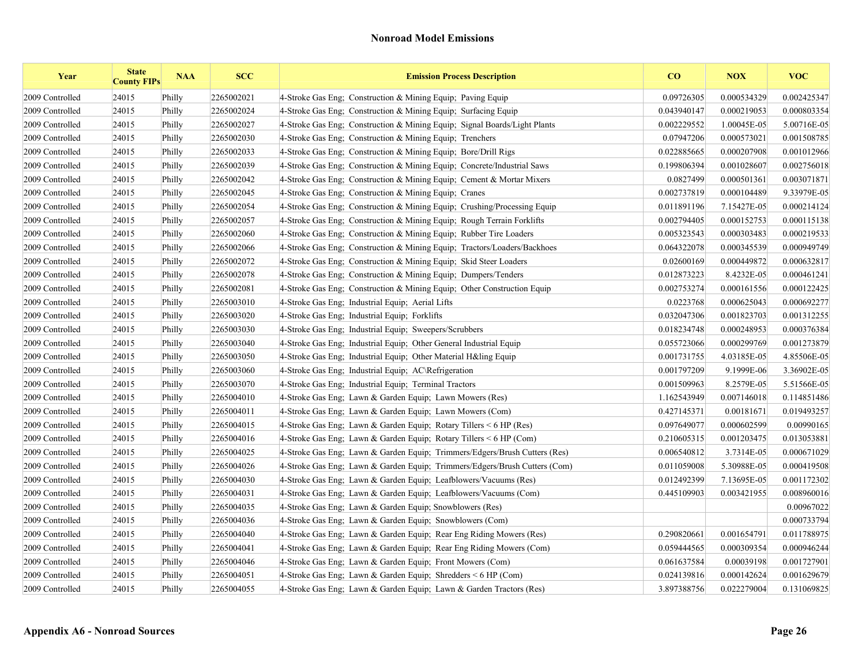| Year            | <b>State</b><br><b>County FIPs</b> | <b>NAA</b> | <b>SCC</b> | <b>Emission Process Description</b>                                        | CO          | <b>NOX</b>  | <b>VOC</b>  |
|-----------------|------------------------------------|------------|------------|----------------------------------------------------------------------------|-------------|-------------|-------------|
| 2009 Controlled | 24015                              | Philly     | 2265002021 | 4-Stroke Gas Eng; Construction & Mining Equip; Paving Equip                | 0.09726305  | 0.000534329 | 0.002425347 |
| 2009 Controlled | 24015                              | Philly     | 2265002024 | 4-Stroke Gas Eng: Construction & Mining Equip: Surfacing Equip             | 0.043940147 | 0.000219053 | 0.000803354 |
| 2009 Controlled | 24015                              | Philly     | 2265002027 | 4-Stroke Gas Eng: Construction & Mining Equip: Signal Boards/Light Plants  | 0.002229552 | 1.00045E-05 | 5.00716E-05 |
| 2009 Controlled | 24015                              | Philly     | 2265002030 | 4-Stroke Gas Eng; Construction & Mining Equip; Trenchers                   | 0.07947206  | 0.000573021 | 0.001508785 |
| 2009 Controlled | 24015                              | Philly     | 2265002033 | 4-Stroke Gas Eng: Construction & Mining Equip: Bore/Drill Rigs             | 0.022885665 | 0.000207908 | 0.001012966 |
| 2009 Controlled | 24015                              | Philly     | 2265002039 | 4-Stroke Gas Eng; Construction & Mining Equip; Concrete/Industrial Saws    | 0.199806394 | 0.001028607 | 0.002756018 |
| 2009 Controlled | 24015                              | Philly     | 2265002042 | 4-Stroke Gas Eng; Construction & Mining Equip; Cement & Mortar Mixers      | 0.0827499   | 0.000501361 | 0.003071871 |
| 2009 Controlled | 24015                              | Philly     | 2265002045 | 4-Stroke Gas Eng; Construction & Mining Equip; Cranes                      | 0.002737819 | 0.000104489 | 9.33979E-05 |
| 2009 Controlled | 24015                              | Philly     | 2265002054 | 4-Stroke Gas Eng; Construction & Mining Equip; Crushing/Processing Equip   | 0.011891196 | 7.15427E-05 | 0.000214124 |
| 2009 Controlled | 24015                              | Philly     | 2265002057 | 4-Stroke Gas Eng; Construction & Mining Equip; Rough Terrain Forklifts     | 0.002794405 | 0.000152753 | 0.000115138 |
| 2009 Controlled | 24015                              | Philly     | 2265002060 | 4-Stroke Gas Eng: Construction & Mining Equip: Rubber Tire Loaders         | 0.005323543 | 0.000303483 | 0.000219533 |
| 2009 Controlled | 24015                              | Philly     | 2265002066 | 4-Stroke Gas Eng; Construction & Mining Equip; Tractors/Loaders/Backhoes   | 0.064322078 | 0.000345539 | 0.000949749 |
| 2009 Controlled | 24015                              | Philly     | 2265002072 | 4-Stroke Gas Eng; Construction & Mining Equip; Skid Steer Loaders          | 0.02600169  | 0.000449872 | 0.000632817 |
| 2009 Controlled | 24015                              | Philly     | 2265002078 | 4-Stroke Gas Eng; Construction & Mining Equip; Dumpers/Tenders             | 0.012873223 | 8.4232E-05  | 0.000461241 |
| 2009 Controlled | 24015                              | Philly     | 2265002081 | 4-Stroke Gas Eng; Construction & Mining Equip; Other Construction Equip    | 0.002753274 | 0.000161556 | 0.000122425 |
| 2009 Controlled | 24015                              | Philly     | 2265003010 | 4-Stroke Gas Eng; Industrial Equip; Aerial Lifts                           | 0.0223768   | 0.000625043 | 0.000692277 |
| 2009 Controlled | 24015                              | Philly     | 2265003020 | 4-Stroke Gas Eng; Industrial Equip; Forklifts                              | 0.032047306 | 0.001823703 | 0.001312255 |
| 2009 Controlled | 24015                              | Philly     | 2265003030 | 4-Stroke Gas Eng: Industrial Equip: Sweepers/Scrubbers                     | 0.018234748 | 0.000248953 | 0.000376384 |
| 2009 Controlled | 24015                              | Philly     | 2265003040 | 4-Stroke Gas Eng; Industrial Equip; Other General Industrial Equip         | 0.055723066 | 0.000299769 | 0.001273879 |
| 2009 Controlled | 24015                              | Philly     | 2265003050 | 4-Stroke Gas Eng; Industrial Equip; Other Material H&ling Equip            | 0.001731755 | 4.03185E-05 | 4.85506E-05 |
| 2009 Controlled | 24015                              | Philly     | 2265003060 | 4-Stroke Gas Eng; Industrial Equip; AC\Refrigeration                       | 0.001797209 | 9.1999E-06  | 3.36902E-05 |
| 2009 Controlled | 24015                              | Philly     | 2265003070 | 4-Stroke Gas Eng; Industrial Equip; Terminal Tractors                      | 0.001509963 | 8.2579E-05  | 5.51566E-05 |
| 2009 Controlled | 24015                              | Philly     | 2265004010 | 4-Stroke Gas Eng: Lawn & Garden Equip: Lawn Mowers (Res)                   | 1.162543949 | 0.007146018 | 0.114851486 |
| 2009 Controlled | 24015                              | Philly     | 2265004011 | 4-Stroke Gas Eng; Lawn & Garden Equip; Lawn Mowers (Com)                   | 0.427145371 | 0.00181671  | 0.019493257 |
| 2009 Controlled | 24015                              | Philly     | 2265004015 | 4-Stroke Gas Eng; Lawn & Garden Equip; Rotary Tillers < 6 HP (Res)         | 0.097649077 | 0.000602599 | 0.00990165  |
| 2009 Controlled | 24015                              | Philly     | 2265004016 | 4-Stroke Gas Eng; Lawn & Garden Equip; Rotary Tillers $\leq 6$ HP (Com)    | 0.210605315 | 0.001203475 | 0.013053881 |
| 2009 Controlled | 24015                              | Philly     | 2265004025 | 4-Stroke Gas Eng; Lawn & Garden Equip; Trimmers/Edgers/Brush Cutters (Res) | 0.006540812 | 3.7314E-05  | 0.000671029 |
| 2009 Controlled | 24015                              | Philly     | 2265004026 | 4-Stroke Gas Eng; Lawn & Garden Equip; Trimmers/Edgers/Brush Cutters (Com) | 0.011059008 | 5.30988E-05 | 0.000419508 |
| 2009 Controlled | 24015                              | Philly     | 2265004030 | 4-Stroke Gas Eng: Lawn & Garden Equip: Leafblowers/Vacuums (Res)           | 0.012492399 | 7.13695E-05 | 0.001172302 |
| 2009 Controlled | 24015                              | Philly     | 2265004031 | 4-Stroke Gas Eng; Lawn & Garden Equip; Leafblowers/Vacuums (Com)           | 0.445109903 | 0.003421955 | 0.008960016 |
| 2009 Controlled | 24015                              | Philly     | 2265004035 | 4-Stroke Gas Eng; Lawn & Garden Equip; Snowblowers (Res)                   |             |             | 0.00967022  |
| 2009 Controlled | 24015                              | Philly     | 2265004036 | 4-Stroke Gas Eng; Lawn & Garden Equip; Snowblowers (Com)                   |             |             | 0.000733794 |
| 2009 Controlled | 24015                              | Philly     | 2265004040 | 4-Stroke Gas Eng; Lawn & Garden Equip; Rear Eng Riding Mowers (Res)        | 0.290820661 | 0.001654791 | 0.011788975 |
| 2009 Controlled | 24015                              | Philly     | 2265004041 | 4-Stroke Gas Eng; Lawn & Garden Equip; Rear Eng Riding Mowers (Com)        | 0.059444565 | 0.000309354 | 0.000946244 |
| 2009 Controlled | 24015                              | Philly     | 2265004046 | 4-Stroke Gas Eng: Lawn & Garden Equip: Front Mowers (Com)                  | 0.061637584 | 0.00039198  | 0.001727901 |
| 2009 Controlled | 24015                              | Philly     | 2265004051 | 4-Stroke Gas Eng; Lawn & Garden Equip; Shredders $\leq 6$ HP (Com)         | 0.024139816 | 0.000142624 | 0.001629679 |
| 2009 Controlled | 24015                              | Philly     | 2265004055 | 4-Stroke Gas Eng; Lawn & Garden Equip; Lawn & Garden Tractors (Res)        | 3.897388756 | 0.022279004 | 0.131069825 |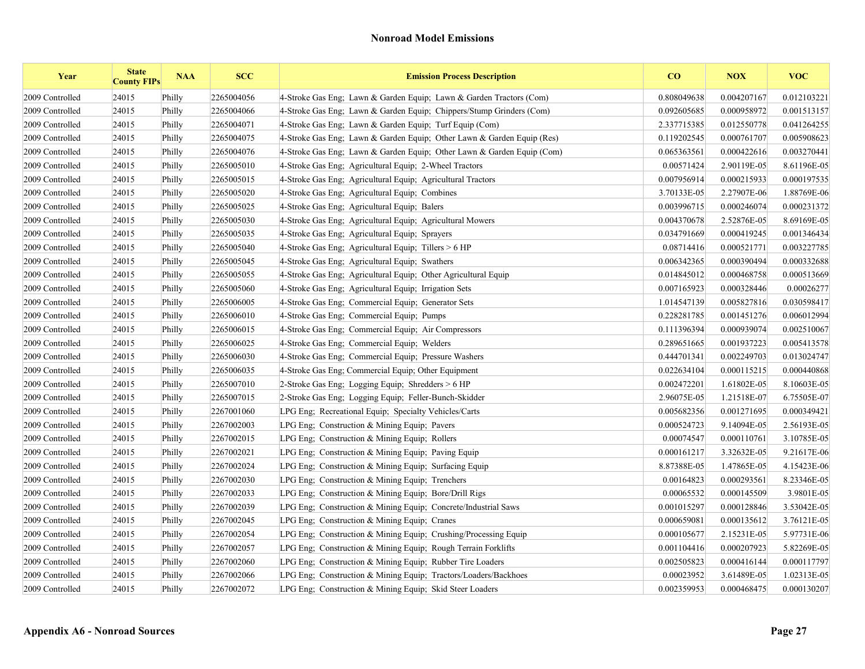| Year            | <b>State</b><br><b>County FIPs</b> | <b>NAA</b> | <b>SCC</b> | <b>Emission Process Description</b>                                    | CO          | <b>NOX</b>  | <b>VOC</b>  |
|-----------------|------------------------------------|------------|------------|------------------------------------------------------------------------|-------------|-------------|-------------|
| 2009 Controlled | 24015                              | Philly     | 2265004056 | 4-Stroke Gas Eng; Lawn & Garden Equip; Lawn & Garden Tractors (Com)    | 0.808049638 | 0.004207167 | 0.012103221 |
| 2009 Controlled | 24015                              | Philly     | 2265004066 | 4-Stroke Gas Eng; Lawn & Garden Equip; Chippers/Stump Grinders (Com)   | 0.092605685 | 0.000958972 | 0.001513157 |
| 2009 Controlled | 24015                              | Philly     | 2265004071 | 4-Stroke Gas Eng; Lawn & Garden Equip; Turf Equip (Com)                | 2.337715385 | 0.012550778 | 0.041264255 |
| 2009 Controlled | 24015                              | Philly     | 2265004075 | 4-Stroke Gas Eng; Lawn & Garden Equip; Other Lawn & Garden Equip (Res) | 0.119202545 | 0.000761707 | 0.005908623 |
| 2009 Controlled | 24015                              | Philly     | 2265004076 | 4-Stroke Gas Eng; Lawn & Garden Equip; Other Lawn & Garden Equip (Com) | 0.065363561 | 0.000422616 | 0.003270441 |
| 2009 Controlled | 24015                              | Philly     | 2265005010 | 4-Stroke Gas Eng: Agricultural Equip: 2-Wheel Tractors                 | 0.00571424  | 2.90119E-05 | 8.61196E-05 |
| 2009 Controlled | 24015                              | Philly     | 2265005015 | 4-Stroke Gas Eng; Agricultural Equip; Agricultural Tractors            | 0.007956914 | 0.000215933 | 0.000197535 |
| 2009 Controlled | 24015                              | Philly     | 2265005020 | 4-Stroke Gas Eng; Agricultural Equip; Combines                         | 3.70133E-05 | 2.27907E-06 | 1.88769E-06 |
| 2009 Controlled | 24015                              | Philly     | 2265005025 | 4-Stroke Gas Eng; Agricultural Equip; Balers                           | 0.003996715 | 0.000246074 | 0.000231372 |
| 2009 Controlled | 24015                              | Philly     | 2265005030 | 4-Stroke Gas Eng; Agricultural Equip; Agricultural Mowers              | 0.004370678 | 2.52876E-05 | 8.69169E-05 |
| 2009 Controlled | 24015                              | Philly     | 2265005035 | 4-Stroke Gas Eng: Agricultural Equip: Sprayers                         | 0.034791669 | 0.000419245 | 0.001346434 |
| 2009 Controlled | 24015                              | Philly     | 2265005040 | 4-Stroke Gas Eng; Agricultural Equip; Tillers $> 6$ HP                 | 0.08714416  | 0.000521771 | 0.003227785 |
| 2009 Controlled | 24015                              | Philly     | 2265005045 | 4-Stroke Gas Eng; Agricultural Equip; Swathers                         | 0.006342365 | 0.000390494 | 0.000332688 |
| 2009 Controlled | 24015                              | Philly     | 2265005055 | 4-Stroke Gas Eng; Agricultural Equip; Other Agricultural Equip         | 0.014845012 | 0.000468758 | 0.000513669 |
| 2009 Controlled | 24015                              | Philly     | 2265005060 | 4-Stroke Gas Eng; Agricultural Equip; Irrigation Sets                  | 0.007165923 | 0.000328446 | 0.00026277  |
| 2009 Controlled | 24015                              | Philly     | 2265006005 | 4-Stroke Gas Eng; Commercial Equip; Generator Sets                     | 1.014547139 | 0.005827816 | 0.030598417 |
| 2009 Controlled | 24015                              | Philly     | 2265006010 | 4-Stroke Gas Eng; Commercial Equip; Pumps                              | 0.228281785 | 0.001451276 | 0.006012994 |
| 2009 Controlled | 24015                              | Philly     | 2265006015 | 4-Stroke Gas Eng; Commercial Equip; Air Compressors                    | 0.111396394 | 0.000939074 | 0.002510067 |
| 2009 Controlled | 24015                              | Philly     | 2265006025 | 4-Stroke Gas Eng: Commercial Equip: Welders                            | 0.289651665 | 0.001937223 | 0.005413578 |
| 2009 Controlled | 24015                              | Philly     | 2265006030 | 4-Stroke Gas Eng; Commercial Equip; Pressure Washers                   | 0.444701341 | 0.002249703 | 0.013024747 |
| 2009 Controlled | 24015                              | Philly     | 2265006035 | 4-Stroke Gas Eng; Commercial Equip; Other Equipment                    | 0.022634104 | 0.000115215 | 0.000440868 |
| 2009 Controlled | 24015                              | Philly     | 2265007010 | 2-Stroke Gas Eng; Logging Equip; Shredders > 6 HP                      | 0.002472201 | 1.61802E-05 | 8.10603E-05 |
| 2009 Controlled | 24015                              | Philly     | 2265007015 | 2-Stroke Gas Eng; Logging Equip; Feller-Bunch-Skidder                  | 2.96075E-05 | 1.21518E-07 | 6.75505E-07 |
| 2009 Controlled | 24015                              | Philly     | 2267001060 | LPG Eng; Recreational Equip; Specialty Vehicles/Carts                  | 0.005682356 | 0.001271695 | 0.000349421 |
| 2009 Controlled | 24015                              | Philly     | 2267002003 | LPG Eng; Construction $&$ Mining Equip; Pavers                         | 0.000524723 | 9.14094E-05 | 2.56193E-05 |
| 2009 Controlled | 24015                              | Philly     | 2267002015 | LPG Eng; Construction & Mining Equip; Rollers                          | 0.00074547  | 0.000110761 | 3.10785E-05 |
| 2009 Controlled | 24015                              | Philly     | 2267002021 | LPG Eng; Construction & Mining Equip; Paving Equip                     | 0.000161217 | 3.32632E-05 | 9.21617E-06 |
| 2009 Controlled | 24015                              | Philly     | 2267002024 | LPG Eng; Construction & Mining Equip; Surfacing Equip                  | 8.87388E-05 | 1.47865E-05 | 4.15423E-06 |
| 2009 Controlled | 24015                              | Philly     | 2267002030 | LPG Eng: Construction & Mining Equip; Trenchers                        | 0.00164823  | 0.000293561 | 8.23346E-05 |
| 2009 Controlled | 24015                              | Philly     | 2267002033 | LPG Eng: Construction & Mining Equip: Bore/Drill Rigs                  | 0.00065532  | 0.000145509 | 3.9801E-05  |
| 2009 Controlled | 24015                              | Philly     | 2267002039 | LPG Eng; Construction & Mining Equip; Concrete/Industrial Saws         | 0.001015297 | 0.000128846 | 3.53042E-05 |
| 2009 Controlled | 24015                              | Philly     | 2267002045 | LPG Eng; Construction & Mining Equip; Cranes                           | 0.000659081 | 0.000135612 | 3.76121E-05 |
| 2009 Controlled | 24015                              | Philly     | 2267002054 | LPG Eng: Construction & Mining Equip; Crushing/Processing Equip        | 0.000105677 | 2.15231E-05 | 5.97731E-06 |
| 2009 Controlled | 24015                              | Philly     | 2267002057 | LPG Eng; Construction & Mining Equip; Rough Terrain Forklifts          | 0.001104416 | 0.000207923 | 5.82269E-05 |
| 2009 Controlled | 24015                              | Philly     | 2267002060 | LPG Eng; Construction & Mining Equip; Rubber Tire Loaders              | 0.002505823 | 0.000416144 | 0.000117797 |
| 2009 Controlled | 24015                              | Philly     | 2267002066 | LPG Eng: Construction & Mining Equip: Tractors/Loaders/Backhoes        | 0.00023952  | 3.61489E-05 | 1.02313E-05 |
| 2009 Controlled | 24015                              | Philly     | 2267002072 | LPG Eng; Construction & Mining Equip; Skid Steer Loaders               | 0.002359953 | 0.000468475 | 0.000130207 |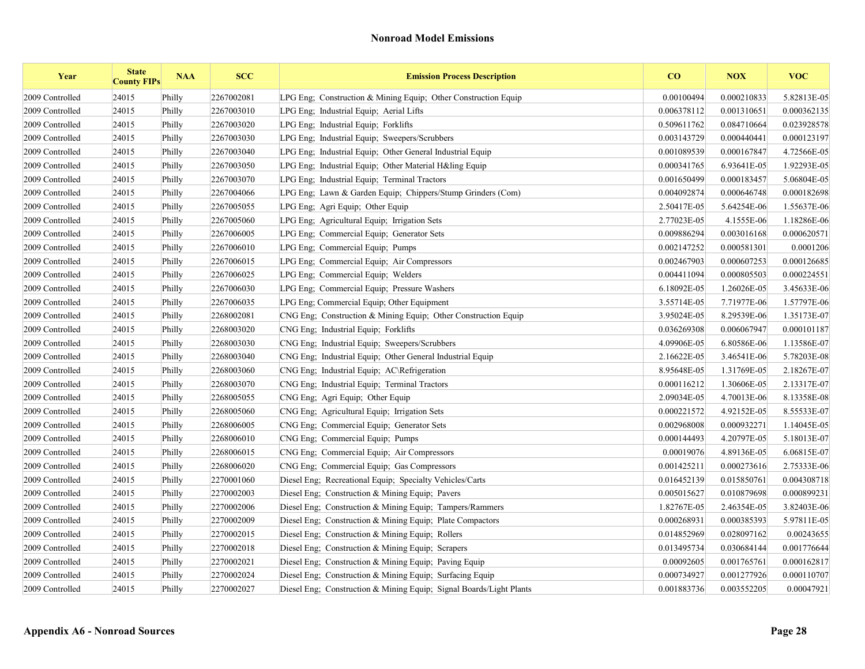| Year            | <b>State</b><br><b>County FIPs</b> | <b>NAA</b> | <b>SCC</b> | <b>Emission Process Description</b>                                 | CO          | <b>NOX</b>  | <b>VOC</b>  |
|-----------------|------------------------------------|------------|------------|---------------------------------------------------------------------|-------------|-------------|-------------|
| 2009 Controlled | 24015                              | Philly     | 2267002081 | LPG Eng; Construction & Mining Equip; Other Construction Equip      | 0.00100494  | 0.000210833 | 5.82813E-05 |
| 2009 Controlled | 24015                              | Philly     | 2267003010 | LPG Eng; Industrial Equip; Aerial Lifts                             | 0.006378112 | 0.001310651 | 0.000362135 |
| 2009 Controlled | 24015                              | Philly     | 2267003020 | LPG Eng; Industrial Equip; Forklifts                                | 0.509611762 | 0.084710664 | 0.023928578 |
| 2009 Controlled | 24015                              | Philly     | 2267003030 | LPG Eng; Industrial Equip; Sweepers/Scrubbers                       | 0.003143729 | 0.000440441 | 0.000123197 |
| 2009 Controlled | 24015                              | Philly     | 2267003040 | LPG Eng; Industrial Equip; Other General Industrial Equip           | 0.001089539 | 0.000167847 | 4.72566E-05 |
| 2009 Controlled | 24015                              | Philly     | 2267003050 | LPG Eng; Industrial Equip; Other Material H&ling Equip              | 0.000341765 | 6.93641E-05 | 1.92293E-05 |
| 2009 Controlled | 24015                              | Philly     | 2267003070 | LPG Eng; Industrial Equip; Terminal Tractors                        | 0.001650499 | 0.000183457 | 5.06804E-05 |
| 2009 Controlled | 24015                              | Philly     | 2267004066 | LPG Eng; Lawn & Garden Equip; Chippers/Stump Grinders (Com)         | 0.004092874 | 0.000646748 | 0.000182698 |
| 2009 Controlled | 24015                              | Philly     | 2267005055 | LPG Eng; Agri Equip; Other Equip                                    | 2.50417E-05 | 5.64254E-06 | 1.55637E-06 |
| 2009 Controlled | 24015                              | Philly     | 2267005060 | LPG Eng; Agricultural Equip; Irrigation Sets                        | 2.77023E-05 | 4.1555E-06  | 1.18286E-06 |
| 2009 Controlled | 24015                              | Philly     | 2267006005 | LPG Eng: Commercial Equip; Generator Sets                           | 0.009886294 | 0.003016168 | 0.000620571 |
| 2009 Controlled | 24015                              | Philly     | 2267006010 | LPG Eng; Commercial Equip; Pumps                                    | 0.002147252 | 0.000581301 | 0.0001206   |
| 2009 Controlled | 24015                              | Philly     | 2267006015 | LPG Eng; Commercial Equip; Air Compressors                          | 0.002467903 | 0.000607253 | 0.000126685 |
| 2009 Controlled | 24015                              | Philly     | 2267006025 | LPG Eng; Commercial Equip; Welders                                  | 0.004411094 | 0.000805503 | 0.000224551 |
| 2009 Controlled | 24015                              | Philly     | 2267006030 | LPG Eng; Commercial Equip; Pressure Washers                         | 6.18092E-05 | 1.26026E-05 | 3.45633E-06 |
| 2009 Controlled | 24015                              | Philly     | 2267006035 | LPG Eng; Commercial Equip; Other Equipment                          | 3.55714E-05 | 7.71977E-06 | 1.57797E-06 |
| 2009 Controlled | 24015                              | Philly     | 2268002081 | CNG Eng; Construction & Mining Equip; Other Construction Equip      | 3.95024E-05 | 8.29539E-06 | 1.35173E-07 |
| 2009 Controlled | 24015                              | Philly     | 2268003020 | CNG Eng: Industrial Equip: Forklifts                                | 0.036269308 | 0.006067947 | 0.000101187 |
| 2009 Controlled | 24015                              | Philly     | 2268003030 | CNG Eng; Industrial Equip; Sweepers/Scrubbers                       | 4.09906E-05 | 6.80586E-06 | 1.13586E-07 |
| 2009 Controlled | 24015                              | Philly     | 2268003040 | CNG Eng; Industrial Equip; Other General Industrial Equip           | 2.16622E-05 | 3.46541E-06 | 5.78203E-08 |
| 2009 Controlled | 24015                              | Philly     | 2268003060 | CNG Eng; Industrial Equip; AC\Refrigeration                         | 8.95648E-05 | 1.31769E-05 | 2.18267E-07 |
| 2009 Controlled | 24015                              | Philly     | 2268003070 | CNG Eng; Industrial Equip; Terminal Tractors                        | 0.000116212 | 1.30606E-05 | 2.13317E-07 |
| 2009 Controlled | 24015                              | Philly     | 2268005055 | CNG Eng: Agri Equip: Other Equip                                    | 2.09034E-05 | 4.70013E-06 | 8.13358E-08 |
| 2009 Controlled | 24015                              | Philly     | 2268005060 | CNG Eng; Agricultural Equip; Irrigation Sets                        | 0.000221572 | 4.92152E-05 | 8.55533E-07 |
| 2009 Controlled | 24015                              | Philly     | 2268006005 | CNG Eng; Commercial Equip; Generator Sets                           | 0.002968008 | 0.000932271 | 1.14045E-05 |
| 2009 Controlled | 24015                              | Philly     | 2268006010 | CNG Eng; Commercial Equip; Pumps                                    | 0.000144493 | 4.20797E-05 | 5.18013E-07 |
| 2009 Controlled | 24015                              | Philly     | 2268006015 | CNG Eng; Commercial Equip; Air Compressors                          | 0.00019076  | 4.89136E-05 | 6.06815E-07 |
| 2009 Controlled | 24015                              | Philly     | 2268006020 | CNG Eng: Commercial Equip: Gas Compressors                          | 0.001425211 | 0.000273616 | 2.75333E-06 |
| 2009 Controlled | 24015                              | Philly     | 2270001060 | Diesel Eng; Recreational Equip; Specialty Vehicles/Carts            | 0.016452139 | 0.015850761 | 0.004308718 |
| 2009 Controlled | 24015                              | Philly     | 2270002003 | Diesel Eng; Construction & Mining Equip; Pavers                     | 0.005015627 | 0.010879698 | 0.000899231 |
| 2009 Controlled | 24015                              | Philly     | 2270002006 | Diesel Eng; Construction & Mining Equip; Tampers/Rammers            | 1.82767E-05 | 2.46354E-05 | 3.82403E-06 |
| 2009 Controlled | 24015                              | Philly     | 2270002009 | Diesel Eng; Construction & Mining Equip; Plate Compactors           | 0.000268931 | 0.000385393 | 5.97811E-05 |
| 2009 Controlled | 24015                              | Philly     | 2270002015 | Diesel Eng; Construction & Mining Equip; Rollers                    | 0.014852969 | 0.028097162 | 0.00243655  |
| 2009 Controlled | 24015                              | Philly     | 2270002018 | Diesel Eng; Construction & Mining Equip; Scrapers                   | 0.013495734 | 0.030684144 | 0.001776644 |
| 2009 Controlled | 24015                              | Philly     | 2270002021 | Diesel Eng; Construction & Mining Equip; Paving Equip               | 0.00092605  | 0.001765761 | 0.000162817 |
| 2009 Controlled | 24015                              | Philly     | 2270002024 | Diesel Eng: Construction & Mining Equip: Surfacing Equip            | 0.000734927 | 0.001277926 | 0.000110707 |
| 2009 Controlled | 24015                              | Philly     | 2270002027 | Diesel Eng; Construction & Mining Equip; Signal Boards/Light Plants | 0.001883736 | 0.003552205 | 0.00047921  |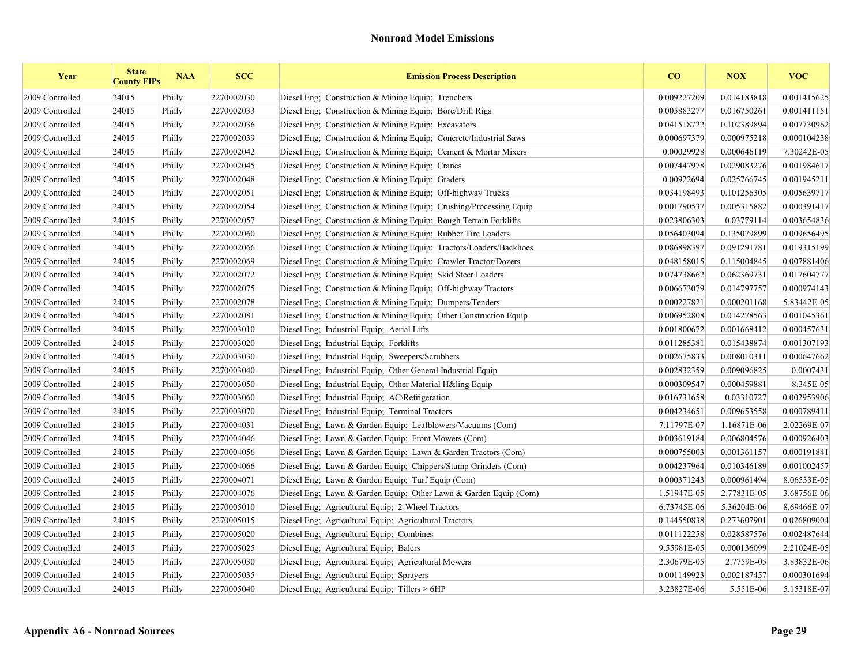| Year            | <b>State</b><br><b>County FIPs</b> | <b>NAA</b> | <b>SCC</b> | <b>Emission Process Description</b>                                | CO          | <b>NOX</b>  | <b>VOC</b>  |
|-----------------|------------------------------------|------------|------------|--------------------------------------------------------------------|-------------|-------------|-------------|
| 2009 Controlled | 24015                              | Philly     | 2270002030 | Diesel Eng: Construction & Mining Equip: Trenchers                 | 0.009227209 | 0.014183818 | 0.001415625 |
| 2009 Controlled | 24015                              | Philly     | 2270002033 | Diesel Eng; Construction & Mining Equip; Bore/Drill Rigs           | 0.005883277 | 0.016750261 | 0.001411151 |
| 2009 Controlled | 24015                              | Philly     | 2270002036 | Diesel Eng: Construction & Mining Equip: Excavators                | 0.041518722 | 0.102389894 | 0.007730962 |
| 2009 Controlled | 24015                              | Philly     | 2270002039 | Diesel Eng; Construction & Mining Equip; Concrete/Industrial Saws  | 0.000697379 | 0.000975218 | 0.000104238 |
| 2009 Controlled | 24015                              | Philly     | 2270002042 | Diesel Eng; Construction & Mining Equip; Cement & Mortar Mixers    | 0.00029928  | 0.000646119 | 7.30242E-05 |
| 2009 Controlled | 24015                              | Philly     | 2270002045 | Diesel Eng; Construction & Mining Equip; Cranes                    | 0.007447978 | 0.029083276 | 0.001984617 |
| 2009 Controlled | 24015                              | Philly     | 2270002048 | Diesel Eng; Construction & Mining Equip; Graders                   | 0.00922694  | 0.025766745 | 0.001945211 |
| 2009 Controlled | 24015                              | Philly     | 2270002051 | Diesel Eng; Construction & Mining Equip; Off-highway Trucks        | 0.034198493 | 0.101256305 | 0.005639717 |
| 2009 Controlled | 24015                              | Philly     | 2270002054 | Diesel Eng; Construction & Mining Equip; Crushing/Processing Equip | 0.001790537 | 0.005315882 | 0.000391417 |
| 2009 Controlled | 24015                              | Philly     | 2270002057 | Diesel Eng; Construction & Mining Equip; Rough Terrain Forklifts   | 0.023806303 | 0.03779114  | 0.003654836 |
| 2009 Controlled | 24015                              | Philly     | 2270002060 | Diesel Eng. Construction & Mining Equip. Rubber Tire Loaders       | 0.056403094 | 0.135079899 | 0.009656495 |
| 2009 Controlled | 24015                              | Philly     | 2270002066 | Diesel Eng; Construction & Mining Equip; Tractors/Loaders/Backhoes | 0.086898397 | 0.091291781 | 0.019315199 |
| 2009 Controlled | 24015                              | Philly     | 2270002069 | Diesel Eng; Construction & Mining Equip; Crawler Tractor/Dozers    | 0.048158015 | 0.115004845 | 0.007881406 |
| 2009 Controlled | 24015                              | Philly     | 2270002072 | Diesel Eng; Construction & Mining Equip; Skid Steer Loaders        | 0.074738662 | 0.062369731 | 0.017604777 |
| 2009 Controlled | 24015                              | Philly     | 2270002075 | Diesel Eng; Construction & Mining Equip; Off-highway Tractors      | 0.006673079 | 0.014797757 | 0.000974143 |
| 2009 Controlled | 24015                              | Philly     | 2270002078 | Diesel Eng; Construction & Mining Equip; Dumpers/Tenders           | 0.000227821 | 0.000201168 | 5.83442E-05 |
| 2009 Controlled | 24015                              | Philly     | 2270002081 | Diesel Eng. Construction & Mining Equip. Other Construction Equip. | 0.006952808 | 0.014278563 | 0.001045361 |
| 2009 Controlled | 24015                              | Philly     | 2270003010 | Diesel Eng; Industrial Equip; Aerial Lifts                         | 0.001800672 | 0.001668412 | 0.000457631 |
| 2009 Controlled | 24015                              | Philly     | 2270003020 | Diesel Eng; Industrial Equip; Forklifts                            | 0.011285381 | 0.015438874 | 0.001307193 |
| 2009 Controlled | 24015                              | Philly     | 2270003030 | Diesel Eng; Industrial Equip; Sweepers/Scrubbers                   | 0.002675833 | 0.008010311 | 0.000647662 |
| 2009 Controlled | 24015                              | Philly     | 2270003040 | Diesel Eng; Industrial Equip; Other General Industrial Equip       | 0.002832359 | 0.009096825 | 0.0007431   |
| 2009 Controlled | 24015                              | Philly     | 2270003050 | Diesel Eng; Industrial Equip; Other Material H&ling Equip          | 0.000309547 | 0.000459881 | 8.345E-05   |
| 2009 Controlled | 24015                              | Philly     | 2270003060 | Diesel Eng; Industrial Equip; AC\Refrigeration                     | 0.016731658 | 0.03310727  | 0.002953906 |
| 2009 Controlled | 24015                              | Philly     | 2270003070 | Diesel Eng; Industrial Equip; Terminal Tractors                    | 0.004234651 | 0.009653558 | 0.000789411 |
| 2009 Controlled | 24015                              | Philly     | 2270004031 | Diesel Eng; Lawn & Garden Equip; Leafblowers/Vacuums (Com)         | 7.11797E-07 | 1.16871E-06 | 2.02269E-07 |
| 2009 Controlled | 24015                              | Philly     | 2270004046 | Diesel Eng; Lawn & Garden Equip; Front Mowers (Com)                | 0.003619184 | 0.006804576 | 0.000926403 |
| 2009 Controlled | 24015                              | Philly     | 2270004056 | Diesel Eng; Lawn & Garden Equip; Lawn & Garden Tractors (Com)      | 0.000755003 | 0.001361157 | 0.000191841 |
| 2009 Controlled | 24015                              | Philly     | 2270004066 | Diesel Eng; Lawn & Garden Equip; Chippers/Stump Grinders (Com)     | 0.004237964 | 0.010346189 | 0.001002457 |
| 2009 Controlled | 24015                              | Philly     | 2270004071 | Diesel Eng; Lawn & Garden Equip; Turf Equip (Com)                  | 0.000371243 | 0.000961494 | 8.06533E-05 |
| 2009 Controlled | 24015                              | Philly     | 2270004076 | Diesel Eng; Lawn & Garden Equip; Other Lawn & Garden Equip (Com)   | 1.51947E-05 | 2.77831E-05 | 3.68756E-06 |
| 2009 Controlled | 24015                              | Philly     | 2270005010 | Diesel Eng; Agricultural Equip; 2-Wheel Tractors                   | 6.73745E-06 | 5.36204E-06 | 8.69466E-07 |
| 2009 Controlled | 24015                              | Philly     | 2270005015 | Diesel Eng; Agricultural Equip; Agricultural Tractors              | 0.144550838 | 0.273607901 | 0.026809004 |
| 2009 Controlled | 24015                              | Philly     | 2270005020 | Diesel Eng; Agricultural Equip; Combines                           | 0.011122258 | 0.028587576 | 0.002487644 |
| 2009 Controlled | 24015                              | Philly     | 2270005025 | Diesel Eng; Agricultural Equip; Balers                             | 9.55981E-05 | 0.000136099 | 2.21024E-05 |
| 2009 Controlled | 24015                              | Philly     | 2270005030 | Diesel Eng; Agricultural Equip; Agricultural Mowers                | 2.30679E-05 | 2.7759E-05  | 3.83832E-06 |
| 2009 Controlled | 24015                              | Philly     | 2270005035 | Diesel Eng; Agricultural Equip; Sprayers                           | 0.001149923 | 0.002187457 | 0.000301694 |
| 2009 Controlled | 24015                              | Philly     | 2270005040 | Diesel Eng; Agricultural Equip; Tillers > 6HP                      | 3.23827E-06 | 5.551E-06   | 5.15318E-07 |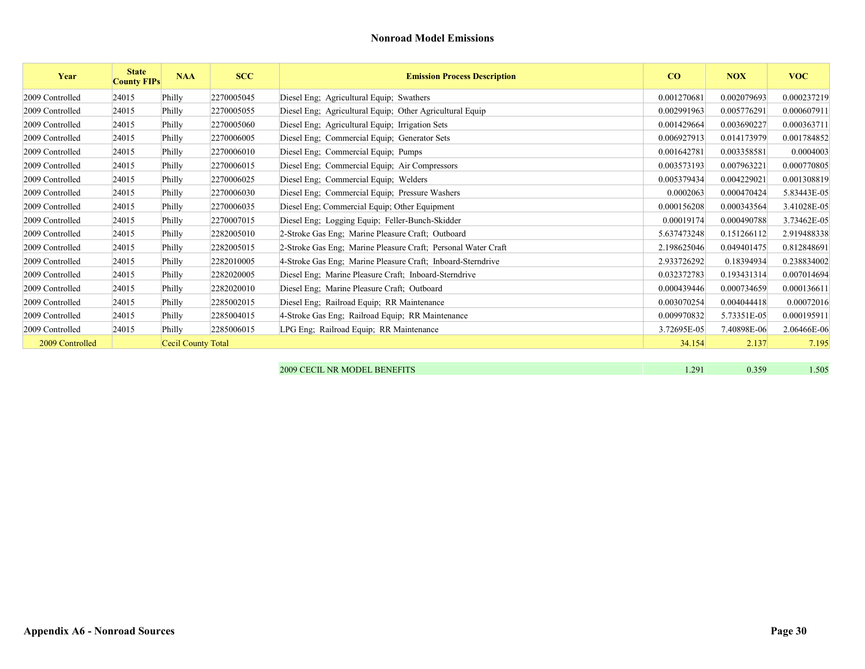| Year            | <b>State</b><br><b>County FIPs</b> | <b>NAA</b>         | <b>SCC</b> | <b>Emission Process Description</b>                           | CO          | <b>NOX</b>  | <b>VOC</b>  |
|-----------------|------------------------------------|--------------------|------------|---------------------------------------------------------------|-------------|-------------|-------------|
| 2009 Controlled | 24015                              | Philly             | 2270005045 | Diesel Eng; Agricultural Equip; Swathers                      | 0.001270681 | 0.002079693 | 0.000237219 |
| 2009 Controlled | 24015                              | Philly             | 2270005055 | Diesel Eng; Agricultural Equip; Other Agricultural Equip      | 0.002991963 | 0.005776291 | 0.000607911 |
| 2009 Controlled | 24015                              | Philly             | 2270005060 | Diesel Eng; Agricultural Equip; Irrigation Sets               | 0.001429664 | 0.003690227 | 0.000363711 |
| 2009 Controlled | 24015                              | Philly             | 2270006005 | Diesel Eng; Commercial Equip; Generator Sets                  | 0.006927913 | 0.014173979 | 0.001784852 |
| 2009 Controlled | 24015                              | Philly             | 2270006010 | Diesel Eng; Commercial Equip; Pumps                           | 0.001642781 | 0.003358581 | 0.0004003   |
| 2009 Controlled | 24015                              | Philly             | 2270006015 | Diesel Eng; Commercial Equip; Air Compressors                 | 0.003573193 | 0.007963221 | 0.000770805 |
| 2009 Controlled | 24015                              | Philly             | 2270006025 | Diesel Eng; Commercial Equip; Welders                         | 0.005379434 | 0.004229021 | 0.001308819 |
| 2009 Controlled | 24015                              | Philly             | 2270006030 | Diesel Eng; Commercial Equip; Pressure Washers                | 0.0002063   | 0.000470424 | 5.83443E-05 |
| 2009 Controlled | 24015                              | Philly             | 2270006035 | Diesel Eng; Commercial Equip; Other Equipment                 | 0.000156208 | 0.000343564 | 3.41028E-05 |
| 2009 Controlled | 24015                              | Philly             | 2270007015 | Diesel Eng; Logging Equip; Feller-Bunch-Skidder               | 0.00019174  | 0.000490788 | 3.73462E-05 |
| 2009 Controlled | 24015                              | Philly             | 2282005010 | 2-Stroke Gas Eng; Marine Pleasure Craft; Outboard             | 5.637473248 | 0.151266112 | 2.919488338 |
| 2009 Controlled | 24015                              | Philly             | 2282005015 | 2-Stroke Gas Eng: Marine Pleasure Craft: Personal Water Craft | 2.198625046 | 0.049401475 | 0.812848691 |
| 2009 Controlled | 24015                              | Philly             | 2282010005 | 4-Stroke Gas Eng; Marine Pleasure Craft; Inboard-Sterndrive   | 2.933726292 | 0.18394934  | 0.238834002 |
| 2009 Controlled | 24015                              | Philly             | 2282020005 | Diesel Eng; Marine Pleasure Craft; Inboard-Sterndrive         | 0.032372783 | 0.193431314 | 0.007014694 |
| 2009 Controlled | 24015                              | Philly             | 2282020010 | Diesel Eng; Marine Pleasure Craft; Outboard                   | 0.000439446 | 0.000734659 | 0.000136611 |
| 2009 Controlled | 24015                              | Philly             | 2285002015 | Diesel Eng; Railroad Equip; RR Maintenance                    | 0.003070254 | 0.004044418 | 0.00072016  |
| 2009 Controlled | 24015                              | Philly             | 2285004015 | 4-Stroke Gas Eng; Railroad Equip; RR Maintenance              | 0.009970832 | 5.73351E-05 | 0.000195911 |
| 2009 Controlled | 24015                              | Philly             | 2285006015 | LPG Eng; Railroad Equip; RR Maintenance                       | 3.72695E-05 | 7.40898E-06 | 2.06466E-06 |
| 2009 Controlled |                                    | Cecil County Total |            |                                                               | 34.154      | 2.137       | 7.195       |
|                 |                                    |                    |            |                                                               |             |             |             |

| 2009 CECIL NR MODEL BENEFITS | 201<br>. | 0.359 | 1.505 |
|------------------------------|----------|-------|-------|
|                              |          |       |       |